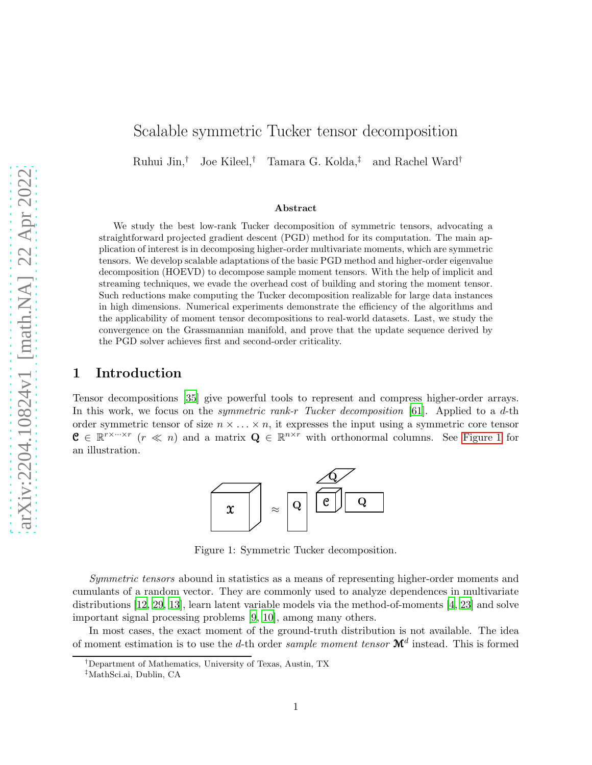# Scalable symmetric Tucker tensor decomposition

Ruhui Jin,† Joe Kileel,† Tamara G. Kolda,‡ and Rachel Ward†

#### Abstract

We study the best low-rank Tucker decomposition of symmetric tensors, advocating a straightforward projected gradient descent (PGD) method for its computation. The main application of interest is in decomposing higher-order multivariate moments, which are symmetric tensors. We develop scalable adaptations of the basic PGD method and higher-order eigenvalue decomposition (HOEVD) to decompose sample moment tensors. With the help of implicit and streaming techniques, we evade the overhead cost of building and storing the moment tensor. Such reductions make computing the Tucker decomposition realizable for large data instances in high dimensions. Numerical experiments demonstrate the efficiency of the algorithms and the applicability of moment tensor decompositions to real-world datasets. Last, we study the convergence on the Grassmannian manifold, and prove that the update sequence derived by the PGD solver achieves first and second-order criticality.

### <span id="page-0-1"></span>1 Introduction

<span id="page-0-0"></span>Tensor decompositions [\[35](#page-26-0)] give powerful tools to represent and compress higher-order arrays. In this work, we focus on the *symmetric rank-r* Tucker decomposition [\[61\]](#page-27-0). Applied to a  $d$ -th order symmetric tensor of size  $n \times \ldots \times n$ , it expresses the input using a symmetric core tensor  $\mathbf{C} \in \mathbb{R}^{r \times \dots \times r}$   $(r \ll n)$  and a matrix  $\mathbf{Q} \in \mathbb{R}^{n \times r}$  with orthonormal columns. See [Figure 1](#page-0-0) for an illustration.



Figure 1: Symmetric Tucker decomposition.

Symmetric tensors abound in statistics as a means of representing higher-order moments and cumulants of a random vector. They are commonly used to analyze dependences in multivariate distributions [\[12](#page-24-0), [29](#page-25-0), [13](#page-24-1)], learn latent variable models via the method-of-moments [\[4](#page-24-2), [23](#page-25-1)] and solve important signal processing problems [\[9](#page-24-3), [10\]](#page-24-4), among many others.

In most cases, the exact moment of the ground-truth distribution is not available. The idea of moment estimation is to use the d-th order *sample moment tensor*  $\mathbf{M}^d$  instead. This is formed

<sup>†</sup>Department of Mathematics, University of Texas, Austin, TX

<sup>‡</sup>MathSci.ai, Dublin, CA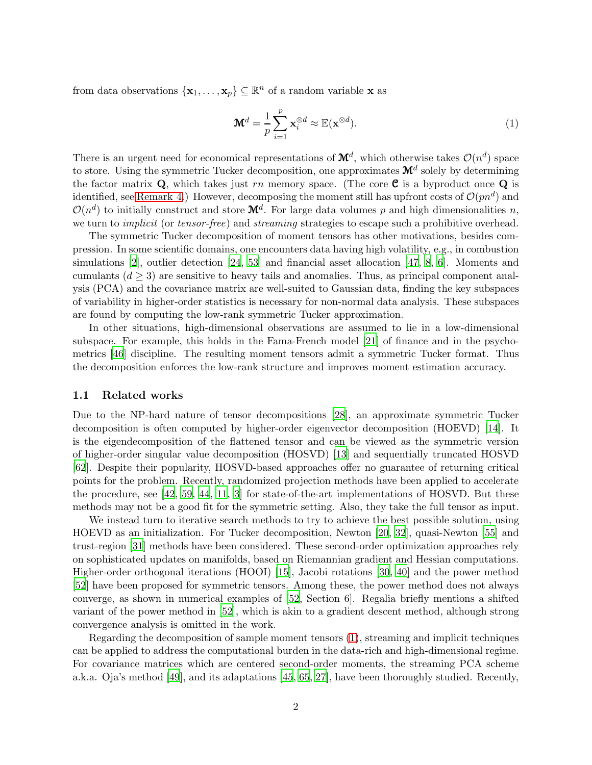from data observations  $\{x_1, \ldots, x_p\} \subseteq \mathbb{R}^n$  of a random variable **x** as

<span id="page-1-0"></span>
$$
\mathbf{M}^d = \frac{1}{p} \sum_{i=1}^p \mathbf{x}_i^{\otimes d} \approx \mathbb{E}(\mathbf{x}^{\otimes d}).
$$
\n(1)

There is an urgent need for economical representations of  $\mathbf{M}^d$ , which otherwise takes  $\mathcal{O}(n^d)$  space to store. Using the symmetric Tucker decomposition, one approximates  $\mathbf{M}^{d}$  solely by determining the factor matrix Q, which takes just rn memory space. (The core  $C$  is a byproduct once Q is identified, see [Remark 4.](#page-8-0)) However, decomposing the moment still has upfront costs of  $\mathcal{O}(pn^d)$  and  $\mathcal{O}(n^d)$  to initially construct and store  $\mathbf{M}^d$ . For large data volumes p and high dimensionalities n, we turn to *implicit* (or *tensor-free*) and *streaming* strategies to escape such a prohibitive overhead.

The symmetric Tucker decomposition of moment tensors has other motivations, besides compression. In some scientific domains, one encounters data having high volatility, e.g., in combustion simulations [\[2](#page-24-5)], outlier detection [\[24](#page-25-2), [53](#page-27-1)] and financial asset allocation [\[47,](#page-27-2) [8,](#page-24-6) [6](#page-24-7)]. Moments and cumulants  $(d \geq 3)$  are sensitive to heavy tails and anomalies. Thus, as principal component analysis (PCA) and the covariance matrix are well-suited to Gaussian data, finding the key subspaces of variability in higher-order statistics is necessary for non-normal data analysis. These subspaces are found by computing the low-rank symmetric Tucker approximation.

In other situations, high-dimensional observations are assumed to lie in a low-dimensional subspace. For example, this holds in the Fama-French model [\[21](#page-25-3)] of finance and in the psychometrics [\[46\]](#page-27-3) discipline. The resulting moment tensors admit a symmetric Tucker format. Thus the decomposition enforces the low-rank structure and improves moment estimation accuracy.

#### 1.1 Related works

Due to the NP-hard nature of tensor decompositions [\[28](#page-25-4)], an approximate symmetric Tucker decomposition is often computed by higher-order eigenvector decomposition (HOEVD) [\[14](#page-24-8)]. It is the eigendecomposition of the flattened tensor and can be viewed as the symmetric version of higher-order singular value decomposition (HOSVD) [\[13](#page-24-1)] and sequentially truncated HOSVD [\[62](#page-28-0)]. Despite their popularity, HOSVD-based approaches offer no guarantee of returning critical points for the problem. Recently, randomized projection methods have been applied to accelerate the procedure, see [\[42,](#page-26-1) [59,](#page-27-4) [44](#page-26-2), [11](#page-24-9), [3\]](#page-24-10) for state-of-the-art implementations of HOSVD. But these methods may not be a good fit for the symmetric setting. Also, they take the full tensor as input.

We instead turn to iterative search methods to try to achieve the best possible solution, using HOEVD as an initialization. For Tucker decomposition, Newton [\[20](#page-25-5), [32\]](#page-26-3), quasi-Newton [\[55](#page-27-5)] and trust-region [\[31](#page-26-4)] methods have been considered. These second-order optimization approaches rely on sophisticated updates on manifolds, based on Riemannian gradient and Hessian computations. Higher-order orthogonal iterations (HOOI) [\[15](#page-25-6)], Jacobi rotations [\[30](#page-25-7), [40](#page-26-5)] and the power method [\[52](#page-27-6)] have been proposed for symmetric tensors. Among these, the power method does not always converge, as shown in numerical examples of [\[52,](#page-27-6) Section 6]. Regalia briefly mentions a shifted variant of the power method in [\[52\]](#page-27-6), which is akin to a gradient descent method, although strong convergence analysis is omitted in the work.

Regarding the decomposition of sample moment tensors [\(1\)](#page-1-0), streaming and implicit techniques can be applied to address the computational burden in the data-rich and high-dimensional regime. For covariance matrices which are centered second-order moments, the streaming PCA scheme a.k.a. Oja's method [\[49](#page-27-7)], and its adaptations [\[45](#page-26-6), [65](#page-28-1), [27](#page-25-8)], have been thoroughly studied. Recently,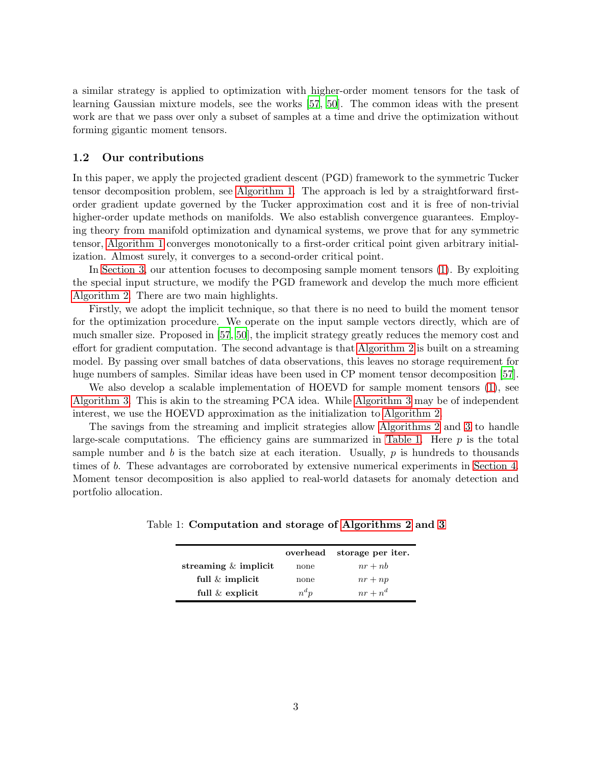a similar strategy is applied to optimization with higher-order moment tensors for the task of learning Gaussian mixture models, see the works [\[57,](#page-27-8) [50](#page-27-9)]. The common ideas with the present work are that we pass over only a subset of samples at a time and drive the optimization without forming gigantic moment tensors.

#### 1.2 Our contributions

In this paper, we apply the projected gradient descent (PGD) framework to the symmetric Tucker tensor decomposition problem, see [Algorithm 1.](#page-5-0) The approach is led by a straightforward firstorder gradient update governed by the Tucker approximation cost and it is free of non-trivial higher-order update methods on manifolds. We also establish convergence guarantees. Employing theory from manifold optimization and dynamical systems, we prove that for any symmetric tensor, [Algorithm 1](#page-5-0) converges monotonically to a first-order critical point given arbitrary initialization. Almost surely, it converges to a second-order critical point.

In [Section 3,](#page-5-1) our attention focuses to decomposing sample moment tensors [\(1\)](#page-1-0). By exploiting the special input structure, we modify the PGD framework and develop the much more efficient [Algorithm 2.](#page-7-0) There are two main highlights.

Firstly, we adopt the implicit technique, so that there is no need to build the moment tensor for the optimization procedure. We operate on the input sample vectors directly, which are of much smaller size. Proposed in [\[57](#page-27-8), [50](#page-27-9)], the implicit strategy greatly reduces the memory cost and effort for gradient computation. The second advantage is that [Algorithm 2](#page-7-0) is built on a streaming model. By passing over small batches of data observations, this leaves no storage requirement for huge numbers of samples. Similar ideas have been used in CP moment tensor decomposition [\[57\]](#page-27-8).

We also develop a scalable implementation of HOEVD for sample moment tensors [\(1\)](#page-1-0), see [Algorithm 3.](#page-8-1) This is akin to the streaming PCA idea. While [Algorithm 3](#page-8-1) may be of independent interest, we use the HOEVD approximation as the initialization to [Algorithm 2.](#page-7-0)

<span id="page-2-0"></span>The savings from the streaming and implicit strategies allow [Algorithms 2](#page-7-0) and [3](#page-8-1) to handle large-scale computations. The efficiency gains are summarized in [Table 1.](#page-2-0) Here  $p$  is the total sample number and b is the batch size at each iteration. Usually,  $p$  is hundreds to thousands times of b. These advantages are corroborated by extensive numerical experiments in [Section 4.](#page-8-2) Moment tensor decomposition is also applied to real-world datasets for anomaly detection and portfolio allocation.

|                         | overhead | storage per iter. |
|-------------------------|----------|-------------------|
| streaming $\&$ implicit | none     | $nr + nb$         |
| full $\&$ implicit      | none     | $nr + np$         |
| full $\&$ explicit      | $n^d p$  | $nr + n^d$        |

Table 1: Computation and storage of [Algorithms 2](#page-7-0) and [3](#page-8-1)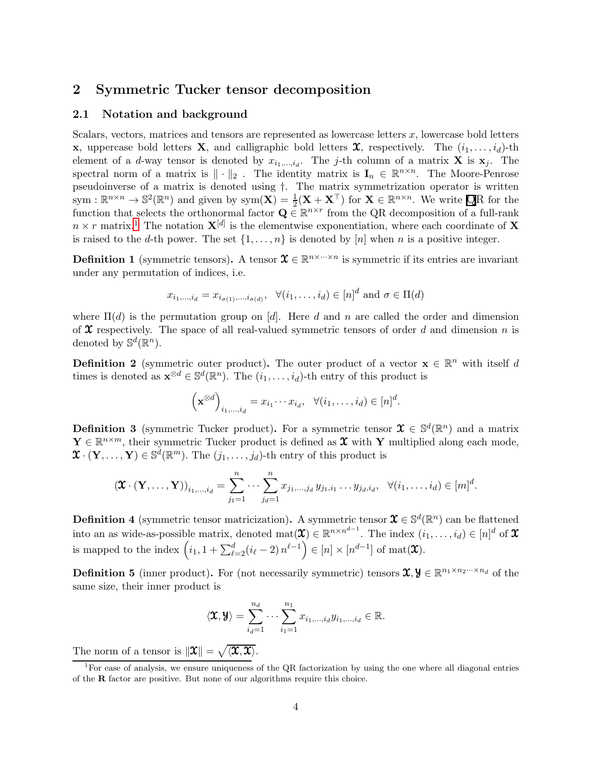### 2 Symmetric Tucker tensor decomposition

#### 2.1 Notation and background

Scalars, vectors, matrices and tensors are represented as lowercase letters  $x$ , lowercase bold letters x, uppercase bold letters X, and calligraphic bold letters X, respectively. The  $(i_1, \ldots, i_d)$ -th element of a d-way tensor is denoted by  $x_{i_1,\dots,i_d}$ . The j-th column of a matrix **X** is  $x_j$ . The spectral norm of a matrix is  $\|\cdot\|_2$ . The identity matrix is  $I_n \in \mathbb{R}^{n \times n}$ . The Moore-Penrose pseudoinverse of a matrix is denoted using †. The matrix symmetrization operator is written sym :  $\mathbb{R}^{n \times n} \to \mathbb{S}^2(\mathbb{R}^n)$  and given by  $\text{sym}(\mathbf{X}) = \frac{1}{2}(\mathbf{X} + \mathbf{X}^{\top})$  for  $\mathbf{X} \in \mathbb{R}^{n \times n}$ . We write  $\mathbf{Q} \mathbf{R}$  for the function that selects the orthonormal factor  $\mathbf{Q} \in \mathbb{R}^{n \times r}$  from the QR decomposition of a full-rank  $n \times r$  matrix.<sup>[1](#page-3-0)</sup> The notation  $X^{[d]}$  is the elementwise exponentiation, where each coordinate of X is raised to the d-th power. The set  $\{1, \ldots, n\}$  is denoted by  $[n]$  when n is a positive integer.

**Definition 1** (symmetric tensors). A tensor  $\mathbf{\mathfrak{X}} \in \mathbb{R}^{n \times \dots \times n}$  is symmetric if its entries are invariant under any permutation of indices, i.e.

$$
x_{i_1,...,i_d} = x_{i_{\sigma(1)},...,i_{\sigma(d)}}, \ \ \forall (i_1,...,i_d) \in [n]^d \text{ and } \sigma \in \Pi(d)
$$

where  $\Pi(d)$  is the permutation group on [d]. Here d and n are called the order and dimension of  $\mathfrak X$  respectively. The space of all real-valued symmetric tensors of order d and dimension n is denoted by  $\mathbb{S}^d(\mathbb{R}^n)$ .

**Definition 2** (symmetric outer product). The outer product of a vector  $\mathbf{x} \in \mathbb{R}^n$  with itself d times is denoted as  $\mathbf{x}^{\otimes d} \in \mathbb{S}^d(\mathbb{R}^n)$ . The  $(i_1, \ldots, i_d)$ -th entry of this product is

$$
\left(\mathbf{x}^{\otimes d}\right)_{i_1,\dots,i_d} = x_{i_1}\cdots x_{i_d}, \ \ \forall (i_1,\dots,i_d) \in [n]^d.
$$

<span id="page-3-1"></span>**Definition 3** (symmetric Tucker product). For a symmetric tensor  $\mathbf{\mathcal{X}} \in \mathbb{S}^d(\mathbb{R}^n)$  and a matrix  $\mathbf{Y} \in \mathbb{R}^{n \times m}$ , their symmetric Tucker product is defined as  $\mathbf{\hat{x}}$  with Y multiplied along each mode,  $\mathbf{\mathfrak{X}}\cdot(\mathbf{Y},\ldots,\mathbf{Y})\in\mathbb{S}^{d}(\mathbb{R}^{m})$ . The  $(j_{1},\ldots,j_{d})$ -th entry of this product is

$$
\left(\mathbf{\mathfrak{X}}\cdot(\mathbf{Y},\ldots,\mathbf{Y})\right)_{i_1,\ldots,i_d} = \sum_{j_1=1}^n\cdots\sum_{j_d=1}^n x_{j_1,\ldots,j_d} y_{j_1,i_1}\ldots y_{j_d,i_d}, \ \ \forall (i_1,\ldots,i_d) \in [m]^d.
$$

**Definition 4** (symmetric tensor matricization). A symmetric tensor  $\mathbf{\mathfrak{X}} \in \mathbb{S}^d(\mathbb{R}^n)$  can be flattened into an as wide-as-possible matrix, denoted  $\text{mat}(\mathbf{x}) \in \mathbb{R}^{n \times n^{d-1}}$ . The index  $(i_1, \ldots, i_d) \in [n]^d$  of  $\mathbf{x}$ is mapped to the index  $(i_1, 1 + \sum_{\ell=2}^d (i_\ell - 2) n^{\ell-1}) \in [n] \times [n^{d-1}]$  of mat $(\mathbf{\mathfrak{X}})$ .

**Definition 5** (inner product). For (not necessarily symmetric) tensors  $\mathbf{\mathfrak{X},\mathbf{\mathcal{Y}} \in \mathbb{R}^{n_1 \times n_2 \times \cdots \times n_d}$  of the same size, their inner product is

$$
\langle \mathbf{\mathbf{X}}, \mathbf{\mathbf{Y}} \rangle = \sum_{i_d=1}^{n_d} \cdots \sum_{i_1=1}^{n_1} x_{i_1, \ldots, i_d} y_{i_1, \ldots, i_d} \in \mathbb{R}.
$$

The norm of a tensor is  $\|\mathfrak{X}\| = \sqrt{\langle \mathfrak{X}, \mathfrak{X} \rangle}$ .

<span id="page-3-0"></span><sup>&</sup>lt;sup>1</sup>For ease of analysis, we ensure uniqueness of the QR factorization by using the one where all diagonal entries of the R factor are positive. But none of our algorithms require this choice.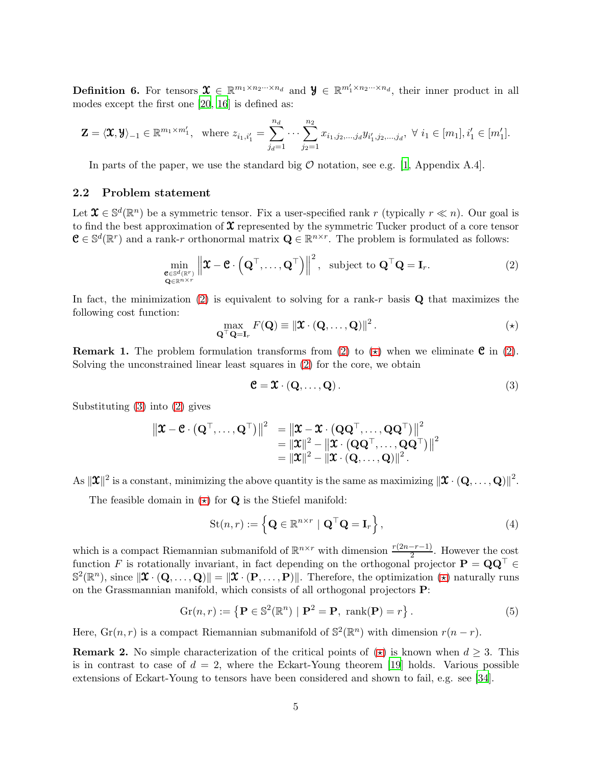**Definition 6.** For tensors  $\mathbf{\mathfrak{X}} \in \mathbb{R}^{m_1 \times n_2 \times \cdots \times n_d}$  and  $\mathbf{Y} \in \mathbb{R}^{m'_1 \times n_2 \times \cdots \times n_d}$ , their inner product in all modes except the first one [\[20](#page-25-5), [16\]](#page-25-9) is defined as:

$$
\mathbf{Z} = \langle \mathbf{\mathbf{X}}, \mathbf{\mathbf{y}} \rangle_{-1} \in \mathbb{R}^{m_1 \times m'_1}, \text{ where } z_{i_1, i'_1} = \sum_{j_d=1}^{n_d} \cdots \sum_{j_2=1}^{n_2} x_{i_1, j_2, \dots, j_d} y_{i'_1, j_2, \dots, j_d}, \ \forall \ i_1 \in [m_1], i'_1 \in [m'_1].
$$

In parts of the paper, we use the standard big  $\mathcal O$  notation, see e.g. [\[1](#page-24-11), Appendix A.4].

#### <span id="page-4-5"></span>2.2 Problem statement

Let  $\mathbf{X} \in \mathbb{S}^d(\mathbb{R}^n)$  be a symmetric tensor. Fix a user-specified rank r (typically  $r \ll n$ ). Our goal is to find the best approximation of  $\mathfrak X$  represented by the symmetric Tucker product of a core tensor  $\mathbf{C} \in \mathbb{S}^d(\mathbb{R}^r)$  and a rank-r orthonormal matrix  $\mathbf{Q} \in \mathbb{R}^{n \times r}$ . The problem is formulated as follows:

<span id="page-4-0"></span>
$$
\min_{\substack{\mathbf{e}\in\mathbb{S}^d(\mathbb{R}^r) \\ \mathbf{q}\in\mathbb{R}^{n\times r}}}\left\|\boldsymbol{\mathcal{X}}-\mathbf{C}\cdot\left(\mathbf{Q}^\top,\ldots,\mathbf{Q}^\top\right)\right\|^2, \text{ subject to } \mathbf{Q}^\top\mathbf{Q}=\mathbf{I}_r. \tag{2}
$$

In fact, the minimization [\(2\)](#page-4-0) is equivalent to solving for a rank-r basis  $Q$  that maximizes the following cost function:

$$
\max_{\mathbf{Q}^{\top} \mathbf{Q} = \mathbf{I}_r} F(\mathbf{Q}) \equiv \left\| \mathbf{\mathcal{X}} \cdot (\mathbf{Q}, \dots, \mathbf{Q}) \right\|^2.
$$
 (\*)

**Remark 1.** The problem formulation transforms from [\(2\)](#page-4-0) to  $(\star)$  when we eliminate **C** in (2). Solving the unconstrained linear least squares in [\(2\)](#page-4-0) for the core, we obtain

<span id="page-4-2"></span><span id="page-4-1"></span>
$$
\mathbf{C} = \mathbf{\mathfrak{X}} \cdot (\mathbf{Q}, \dots, \mathbf{Q}). \tag{3}
$$

Substituting [\(3\)](#page-4-2) into [\(2\)](#page-4-0) gives

$$
\begin{array}{ll}\n\|\mathbf{\mathbf{\mathcal{X}}-C} \cdot (\mathbf{Q}^{\top}, \ldots, \mathbf{Q}^{\top})\|^{2} & = \|\mathbf{\mathcal{X}} - \mathbf{\mathcal{X}} \cdot (\mathbf{Q}\mathbf{Q}^{\top}, \ldots, \mathbf{Q}\mathbf{Q}^{\top})\|^{2} \\
& = \|\mathbf{\mathcal{X}}\|^{2} - \|\mathbf{\mathcal{X}} \cdot (\mathbf{Q}\mathbf{Q}^{\top}, \ldots, \mathbf{Q}\mathbf{Q}^{\top})\|^{2} \\
& = \|\mathbf{\mathcal{X}}\|^{2} - \|\mathbf{\mathcal{X}} \cdot (\mathbf{Q}, \ldots, \mathbf{Q})\|^{2}.\n\end{array}
$$

 $\mathrm{As}\ \|\pmb{\mathcal{X}}\|^2 \text{ is a constant, minimizing the above quantity is the same as maximizing } \|\pmb{\mathcal{X}}\cdot (\mathbf{Q},\dots,\mathbf{Q})\|^2.$ 

The feasible domain in  $(\star)$  for **Q** is the Stiefel manifold:

<span id="page-4-3"></span>
$$
St(n,r) := \left\{ \mathbf{Q} \in \mathbb{R}^{n \times r} \mid \mathbf{Q}^\top \mathbf{Q} = \mathbf{I}_r \right\},\tag{4}
$$

which is a compact Riemannian submanifold of  $\mathbb{R}^{n \times r}$  with dimension  $\frac{r(2n-r-1)}{2}$ . However the cost function F is rotationally invariant, in fact depending on the orthogonal projector  $\mathbf{P} = \mathbf{Q}\mathbf{Q}^{\top} \in$  $\mathbb{S}^2(\mathbb{R}^n)$ , since  $\|\mathbf{\mathcal{X}}\cdot(\mathbf{Q},\ldots,\mathbf{Q})\| = \|\mathbf{\mathcal{X}}\cdot(\mathbf{P},\ldots,\mathbf{P})\|$ . Therefore, the optimization  $(\star)$  naturally runs on the Grassmannian manifold, which consists of all orthogonal projectors P:

$$
Gr(n,r) := \left\{ \mathbf{P} \in \mathbb{S}^2(\mathbb{R}^n) \mid \mathbf{P}^2 = \mathbf{P}, \text{ rank}(\mathbf{P}) = r \right\}. \tag{5}
$$

<span id="page-4-4"></span>Here,  $\text{Gr}(n, r)$  is a compact Riemannian submanifold of  $\mathbb{S}^2(\mathbb{R}^n)$  with dimension  $r(n-r)$ .

**Remark 2.** No simple characterization of the critical points of  $(\star)$  is known when  $d \geq 3$ . This is in contrast to case of  $d = 2$ , where the Eckart-Young theorem [\[19\]](#page-25-10) holds. Various possible extensions of Eckart-Young to tensors have been considered and shown to fail, e.g. see [\[34](#page-26-7)].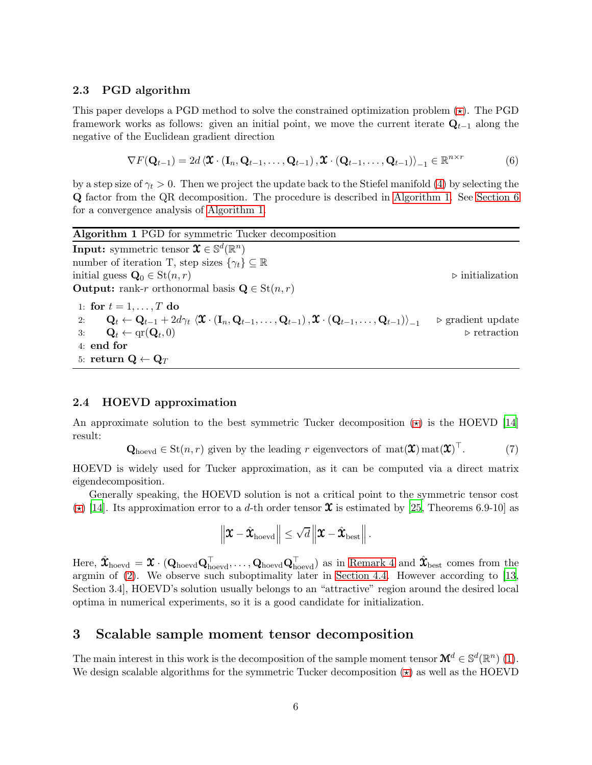#### 2.3 PGD algorithm

This paper develops a PGD method to solve the constrained optimization problem  $(\star)$ . The PGD framework works as follows: given an initial point, we move the current iterate  $\mathbf{Q}_{t-1}$  along the negative of the Euclidean gradient direction

<span id="page-5-3"></span>
$$
\nabla F(\mathbf{Q}_{t-1}) = 2d \left\langle \mathbf{X} \cdot (\mathbf{I}_n, \mathbf{Q}_{t-1}, \dots, \mathbf{Q}_{t-1}), \mathbf{X} \cdot (\mathbf{Q}_{t-1}, \dots, \mathbf{Q}_{t-1}) \right\rangle_{-1} \in \mathbb{R}^{n \times r}
$$
(6)

by a step size of  $\gamma_t > 0$ . Then we project the update back to the Stiefel manifold [\(4\)](#page-4-3) by selecting the Q factor from the QR decomposition. The procedure is described in [Algorithm 1.](#page-5-0) See [Section 6](#page-16-0) for a convergence analysis of [Algorithm 1.](#page-5-0)

<span id="page-5-0"></span>

| <b>Algorithm 1 PGD</b> for symmetric Tucker decomposition                                                                                                                                                                      |                                  |
|--------------------------------------------------------------------------------------------------------------------------------------------------------------------------------------------------------------------------------|----------------------------------|
| Input: symmetric tensor $\mathfrak{X} \in \mathbb{S}^d(\mathbb{R}^n)$                                                                                                                                                          |                                  |
| number of iteration T, step sizes $\{\gamma_t\} \subseteq \mathbb{R}$                                                                                                                                                          |                                  |
| initial guess $\mathbf{Q}_0 \in \text{St}(n,r)$                                                                                                                                                                                | $\triangleright$ initialization  |
| <b>Output:</b> rank-r orthonormal basis $Q \in St(n,r)$                                                                                                                                                                        |                                  |
| 1: for $t = 1, , T$ do                                                                                                                                                                                                         |                                  |
| $\mathbf{Q}_t \leftarrow \mathbf{Q}_{t-1} + 2d\gamma_t \langle \mathbf{\hat{X}}\cdot(\mathbf{I}_n,\mathbf{Q}_{t-1},\ldots,\mathbf{Q}_{t-1}),\mathbf{\hat{X}}\cdot(\mathbf{Q}_{t-1},\ldots,\mathbf{Q}_{t-1})\rangle_{-1}$<br>2: | $\triangleright$ gradient update |
| 3: $\mathbf{Q}_t \leftarrow \text{qr}(\mathbf{Q}_t, 0)$                                                                                                                                                                        | $\triangleright$ retraction      |
| 4: end for                                                                                                                                                                                                                     |                                  |
| 5: return $\mathbf{Q} \leftarrow \mathbf{Q}_T$                                                                                                                                                                                 |                                  |

#### 2.4 HOEVD approximation

An approximate solution to the best symmetric Tucker decomposition  $(\star)$  is the HOEVD [\[14\]](#page-24-8) result:

> <span id="page-5-2"></span> $\mathbf{Q}_{\text{hoevd}} \in \text{St}(n,r)$  given by the leading r eigenvectors of  $\text{mat}(\mathbf{\mathfrak{X}}) \text{mat}(\mathbf{\mathfrak{X}})^{\top}$ .  $(7)$

HOEVD is widely used for Tucker approximation, as it can be computed via a direct matrix eigendecomposition.

Generally speaking, the HOEVD solution is not a critical point to the symmetric tensor cost (\*) [\[14](#page-24-8)]. Its approximation error to a d-th order tensor  $\mathfrak X$  is estimated by [\[25](#page-25-11), Theorems 6.9-10] as

$$
\left\|\boldsymbol{\mathbf{\mathfrak{X}}}-\hat{\boldsymbol{\mathbf{\mathfrak{X}}}}_{\text{hoevd}}\right\| \leq \sqrt{d}\left\|\boldsymbol{\mathbf{\mathfrak{X}}}-\hat{\boldsymbol{\mathbf{\mathfrak{X}}}}_{\text{best}}\right\|.
$$

Here,  $\hat{\mathbf{X}}_{\text{hoevd}} = \mathbf{\hat{X}} \cdot (\mathbf{Q}_{\text{hoevd}} \mathbf{Q}_{\text{hoevd}}^\top, \dots, \mathbf{Q}_{\text{hoevd}} \mathbf{Q}_{\text{hoevd}}^\top)$  as in [Remark 4](#page-8-0) and  $\hat{\mathbf{X}}_{\text{best}}$  comes from the argmin of [\(2\)](#page-4-0). We observe such suboptimality later in [Section 4.4.](#page-11-0) However according to [\[13,](#page-24-1) Section 3.4], HOEVD's solution usually belongs to an "attractive" region around the desired local optima in numerical experiments, so it is a good candidate for initialization.

### <span id="page-5-1"></span>3 Scalable sample moment tensor decomposition

The main interest in this work is the decomposition of the sample moment tensor  $\mathbf{M}^d \in \mathbb{S}^d(\mathbb{R}^n)$  [\(1\)](#page-1-0). We design scalable algorithms for the symmetric Tucker decomposition  $(\star)$  as well as the HOEVD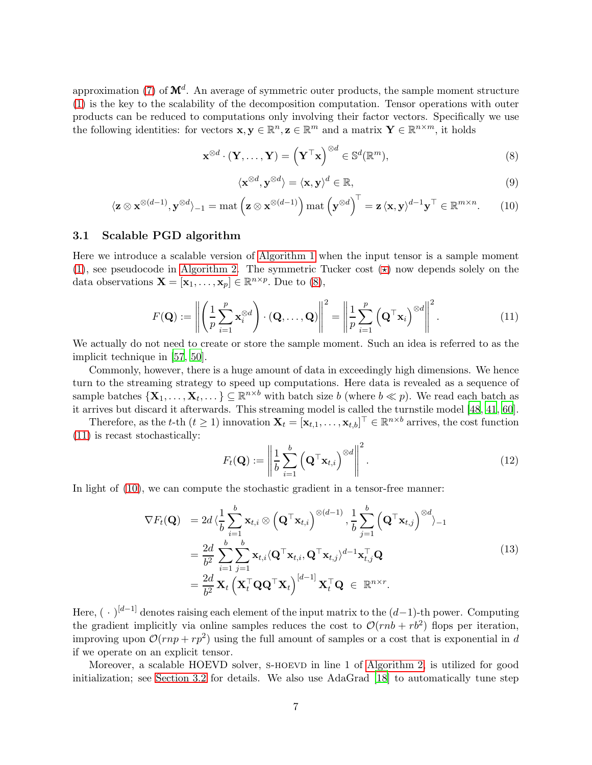approximation [\(7\)](#page-5-2) of  $\mathcal{M}^d$ . An average of symmetric outer products, the sample moment structure [\(1\)](#page-1-0) is the key to the scalability of the decomposition computation. Tensor operations with outer products can be reduced to computations only involving their factor vectors. Specifically we use the following identities: for vectors  $\mathbf{x}, \mathbf{y} \in \mathbb{R}^n, \mathbf{z} \in \mathbb{R}^m$  and a matrix  $\mathbf{Y} \in \mathbb{R}^{n \times m}$ , it holds

<span id="page-6-0"></span>
$$
\mathbf{x}^{\otimes d} \cdot (\mathbf{Y}, \dots, \mathbf{Y}) = (\mathbf{Y}^{\top} \mathbf{x})^{\otimes d} \in \mathbb{S}^{d}(\mathbb{R}^{m}),
$$
\n(8)

<span id="page-6-3"></span>
$$
\langle \mathbf{x}^{\otimes d}, \mathbf{y}^{\otimes d} \rangle = \langle \mathbf{x}, \mathbf{y} \rangle^d \in \mathbb{R},\tag{9}
$$

<span id="page-6-2"></span>
$$
\langle \mathbf{z} \otimes \mathbf{x}^{\otimes (d-1)}, \mathbf{y}^{\otimes d} \rangle_{-1} = \text{mat} \left( \mathbf{z} \otimes \mathbf{x}^{\otimes (d-1)} \right) \text{mat} \left( \mathbf{y}^{\otimes d} \right)^{\top} = \mathbf{z} \langle \mathbf{x}, \mathbf{y} \rangle^{d-1} \mathbf{y}^{\top} \in \mathbb{R}^{m \times n}.
$$
 (10)

#### 3.1 Scalable PGD algorithm

Here we introduce a scalable version of [Algorithm 1](#page-5-0) when the input tensor is a sample moment [\(1\)](#page-1-0), see pseudocode in [Algorithm 2.](#page-7-0) The symmetric Tucker cost  $(\star)$  now depends solely on the data observations  $\mathbf{X} = [\mathbf{x}_1, \dots, \mathbf{x}_p] \in \mathbb{R}^{n \times p}$ . Due to [\(8\)](#page-6-0),

<span id="page-6-1"></span>
$$
F(\mathbf{Q}) := \left\| \left( \frac{1}{p} \sum_{i=1}^{p} \mathbf{x}_i^{\otimes d} \right) \cdot (\mathbf{Q}, \dots, \mathbf{Q}) \right\|^2 = \left\| \frac{1}{p} \sum_{i=1}^{p} \left( \mathbf{Q}^\top \mathbf{x}_i \right)^{\otimes d} \right\|^2.
$$
 (11)

We actually do not need to create or store the sample moment. Such an idea is referred to as the implicit technique in [\[57,](#page-27-8) [50](#page-27-9)].

Commonly, however, there is a huge amount of data in exceedingly high dimensions. We hence turn to the streaming strategy to speed up computations. Here data is revealed as a sequence of sample batches  $\{X_1, \ldots, X_t, \ldots\} \subseteq \mathbb{R}^{n \times b}$  with batch size b (where  $b \ll p$ ). We read each batch as it arrives but discard it afterwards. This streaming model is called the turnstile model [\[48](#page-27-10), [41,](#page-26-8) [60\]](#page-27-11).

Therefore, as the t-th  $(t \ge 1)$  innovation  $\mathbf{X}_t = [\mathbf{x}_{t,1}, \dots, \mathbf{x}_{t,b}]^\top \in \mathbb{R}^{n \times b}$  arrives, the cost function [\(11\)](#page-6-1) is recast stochastically:

$$
F_t(\mathbf{Q}) := \left\| \frac{1}{b} \sum_{i=1}^b \left( \mathbf{Q}^\top \mathbf{x}_{t,i} \right)^{\otimes d} \right\|^2.
$$
 (12)

In light of [\(10\)](#page-6-2), we can compute the stochastic gradient in a tensor-free manner:

$$
\nabla F_t(\mathbf{Q}) = 2d \langle \frac{1}{b} \sum_{i=1}^b \mathbf{x}_{t,i} \otimes \left( \mathbf{Q}^\top \mathbf{x}_{t,i} \right)^{\otimes (d-1)}, \frac{1}{b} \sum_{j=1}^b \left( \mathbf{Q}^\top \mathbf{x}_{t,j} \right)^{\otimes d} \rangle_{-1}
$$
  
\n
$$
= \frac{2d}{b^2} \sum_{i=1}^b \sum_{j=1}^b \mathbf{x}_{t,i} \langle \mathbf{Q}^\top \mathbf{x}_{t,i}, \mathbf{Q}^\top \mathbf{x}_{t,j} \rangle^{d-1} \mathbf{x}_{t,j}^\top \mathbf{Q}
$$
  
\n
$$
= \frac{2d}{b^2} \mathbf{X}_t \left( \mathbf{X}_t^\top \mathbf{Q} \mathbf{Q}^\top \mathbf{X}_t \right)^{[d-1]} \mathbf{X}_t^\top \mathbf{Q} \in \mathbb{R}^{n \times r}.
$$
  
\n(13)

Here,  $(\cdot)^{[d-1]}$  denotes raising each element of the input matrix to the  $(d-1)$ -th power. Computing the gradient implicitly via online samples reduces the cost to  $\mathcal{O}(rnb + rb^2)$  flops per iteration, improving upon  $\mathcal{O}(rnp + rp^2)$  using the full amount of samples or a cost that is exponential in d if we operate on an explicit tensor.

Moreover, a scalable HOEVD solver, s-HOEVD in line 1 of [Algorithm 2,](#page-7-0) is utilized for good initialization; see [Section 3.2](#page-7-1) for details. We also use AdaGrad [\[18\]](#page-25-12) to automatically tune step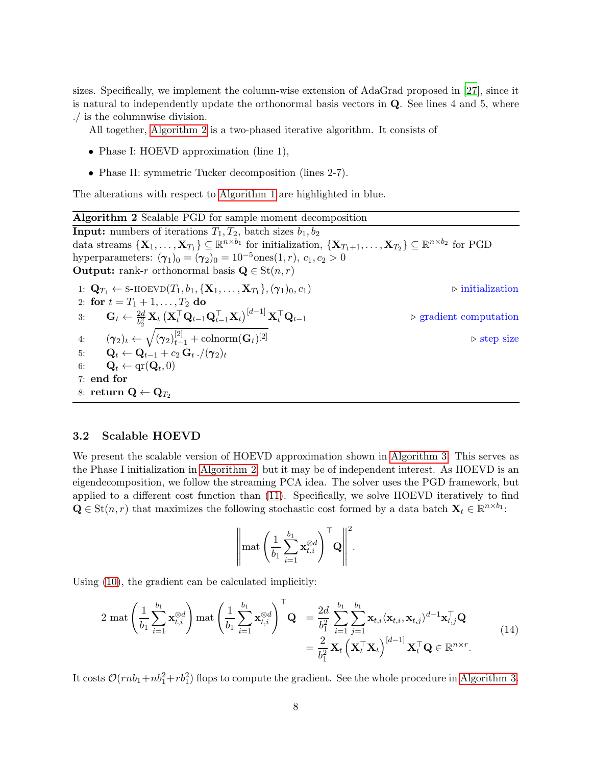sizes. Specifically, we implement the column-wise extension of AdaGrad proposed in [\[27](#page-25-8)], since it is natural to independently update the orthonormal basis vectors in Q. See lines 4 and 5, where ./ is the columnwise division.

All together, [Algorithm 2](#page-7-0) is a two-phased iterative algorithm. It consists of

- Phase I: HOEVD approximation (line 1),
- Phase II: symmetric Tucker decomposition (lines 2-7).

<span id="page-7-0"></span>The alterations with respect to [Algorithm 1](#page-5-0) are highlighted in blue.

Algorithm 2 Scalable PGD for sample moment decomposition **Input:** numbers of iterations  $T_1, T_2$ , batch sizes  $b_1, b_2$ data streams  $\{X_1, \ldots, X_{T_1}\} \subseteq \mathbb{R}^{n \times b_1}$  for initialization,  $\{X_{T_1+1}, \ldots, X_{T_2}\} \subseteq \mathbb{R}^{n \times b_2}$  for PGD hyperparameters:  $({\gamma}_1)_0 = ({\gamma}_2)_0 = 10^{-5}$ ones $(1, r)$ ,  $c_1, c_2 > 0$ **Output:** rank-r orthonormal basis  $\mathbf{Q} \in \text{St}(n,r)$ 1:  $\mathbf{Q}_{T_1} \leftarrow \text{s-HOEVD}(T_1, b_1, \{\mathbf{X}_1, \dots, \mathbf{X}_{T_1}\}, (\gamma_1)_0, c_1)$   $\triangleright$  initialization 2: for  $t = T_1 + 1, \ldots, T_2$  do 3:  $\mathbf{G}_t \leftarrow \frac{2d}{b_2^2} \mathbf{X}_t \left( \mathbf{X}_t^{\top} \mathbf{Q}_{t-1} \mathbf{Q}_{t-1}^{\top} \mathbf{X}_t \right)^{[d-1]} \mathbf{X}_t^{\top}$ ⊳ gradient computation 4:  $(\gamma_2)_t \leftarrow \sqrt{(\gamma_2)^{[2]}_{t-1} + \text{colnorm}(\mathbf{G}_t)^{[2]}}$   $\triangleright$  step size 5:  $\mathbf{Q}_t \leftarrow \mathbf{Q}_{t-1} + c_2 \, \mathbf{G}_t \, . / (\boldsymbol{\gamma}_2)_t$ 

6: 
$$
\mathbf{Q}_t \leftarrow \text{qr}(\mathbf{Q}_t, 0)
$$
7: end for

8: return  $\mathbf{Q} \leftarrow \mathbf{Q}_{T_2}$ 

#### <span id="page-7-1"></span>3.2 Scalable HOEVD

We present the scalable version of HOEVD approximation shown in [Algorithm 3.](#page-8-1) This serves as the Phase I initialization in [Algorithm 2,](#page-7-0) but it may be of independent interest. As HOEVD is an eigendecomposition, we follow the streaming PCA idea. The solver uses the PGD framework, but applied to a different cost function than [\(11\)](#page-6-1). Specifically, we solve HOEVD iteratively to find  $\mathbf{Q} \in \text{St}(n, r)$  that maximizes the following stochastic cost formed by a data batch  $\mathbf{X}_t \in \mathbb{R}^{n \times b_1}$ :

$$
\left\|\max\left(\frac{1}{b_1}\sum_{i=1}^{b_1}\mathbf{x}_{t,i}^{\otimes d}\right)^\top\mathbf{Q}\right\|^2.
$$

Using [\(10\)](#page-6-2), the gradient can be calculated implicitly:

$$
2 \operatorname{mat} \left( \frac{1}{b_1} \sum_{i=1}^{b_1} \mathbf{x}_{t,i}^{\otimes d} \right) \operatorname{mat} \left( \frac{1}{b_1} \sum_{i=1}^{b_1} \mathbf{x}_{t,i}^{\otimes d} \right)^{\perp} \mathbf{Q} = \frac{2d}{b_1^2} \sum_{i=1}^{b_1} \sum_{j=1}^{b_1} \mathbf{x}_{t,i} \langle \mathbf{x}_{t,i}, \mathbf{x}_{t,j} \rangle^{d-1} \mathbf{x}_{t,j}^{\top} \mathbf{Q}
$$
\n
$$
= \frac{2}{b_1^2} \mathbf{X}_t \left( \mathbf{X}_t^{\top} \mathbf{X}_t \right)^{[d-1]} \mathbf{X}_t^{\top} \mathbf{Q} \in \mathbb{R}^{n \times r}.
$$
\n(14)

It costs  $\mathcal{O}(rnb_1 + nb_1^2 + rb_1^2)$  flops to compute the gradient. See the whole procedure in [Algorithm 3.](#page-8-1)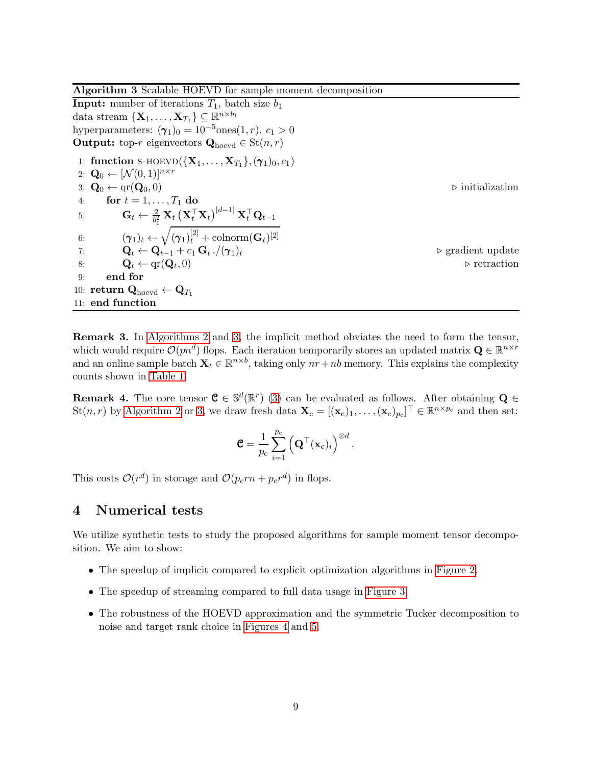<span id="page-8-1"></span>Algorithm 3 Scalable HOEVD for sample moment decomposition

**Input:** number of iterations  $T_1$ , batch size  $b_1$ data stream  $\{\mathbf X_1,\ldots,\mathbf X_{T_1}\}\subseteq\mathbb{R}^{n\times b_1}$ hyperparameters:  $(\gamma_1)_0 = 10^{-5}$ ones $(1, r)$ ,  $c_1 > 0$ **Output:** top-r eigenvectors  $\mathbf{Q}_{\text{hoevd}} \in \text{St}(n, r)$ 1: function S-HOEVD $({\bf X}_1, ..., {\bf X}_{T_1}), (\gamma_1)_0, c_1)$ 2:  $\mathbf{Q}_0 \leftarrow [\mathcal{N}(0,1)]^{n \times r}$ 3:  $\mathbf{Q}_0 \leftarrow \text{qr}(\mathbf{Q}_0, 0)$   $\triangleright$  initialization<br>4: **for**  $t = 1, ..., T_1$  **do** for  $t = 1, \ldots, T_1$  do 5:  $\mathbf{G}_t \leftarrow \frac{2}{b_1^2} \mathbf{X}_t \left( \mathbf{X}_t^\top \mathbf{X}_t \right)^{[d-1]} \mathbf{X}_t^\top \mathbf{Q}_{t-1}$ 6:  $({\boldsymbol{\gamma}}_1)_t \leftarrow$  $\sqrt{ }$  $(\boldsymbol{\gamma}_1)^{[2]}_t + \mathrm{colnorm}(\mathbf{G}_t)^{[2]}$ 7:  $\mathbf{Q}_t \leftarrow \mathbf{Q}_{t-1} + c_1 \mathbf{G}_t . / (\boldsymbol{\gamma}_1)$ <br>8:  $\mathbf{Q}_t \leftarrow \text{qr}(\mathbf{Q}_t, 0)$  $▶$  gradient update  $\mathbf{Q}_t \leftarrow \text{qr}(\mathbf{Q}_t, 0)$ ⊳ retraction 9: end for 10:  $\mathbf{return} \ \mathbf{Q}_\text{hoevd} \leftarrow \mathbf{Q}_{T_1}$ 11: end function

Remark 3. In [Algorithms 2](#page-7-0) and [3,](#page-8-1) the implicit method obviates the need to form the tensor, which would require  $\mathcal{O}(pn^d)$  flops. Each iteration temporarily stores an updated matrix  $\mathbf{Q} \in \mathbb{R}^{n \times r}$ and an online sample batch  $\mathbf{X}_t \in \mathbb{R}^{n \times b}$ , taking only  $nr + nb$  memory. This explains the complexity counts shown in [Table 1.](#page-2-0)

<span id="page-8-0"></span>**Remark 4.** The core tensor  $\mathbf{C} \in \mathbb{S}^d(\mathbb{R}^r)$  [\(3\)](#page-4-2) can be evaluated as follows. After obtaining  $\mathbf{Q} \in$  $\text{St}(n,r)$  by [Algorithm 2](#page-7-0) or [3,](#page-8-1) we draw fresh data  $\mathbf{X}_{\text{c}} = [(\mathbf{x}_{\text{c}})_1, \dots, (\mathbf{x}_{\text{c}})_{p_{\text{c}}}]^{\top} \in \mathbb{R}^{n \times p_{\text{c}}}$  and then set:

$$
\mathbf{C} = \frac{1}{p_{\mathrm{c}}} \sum_{i=1}^{p_{\mathrm{c}}} \left( \mathbf{Q}^{\top}(\mathbf{x}_{\mathrm{c}})_i \right)^{\otimes d}.
$$

This costs  $\mathcal{O}(r^d)$  in storage and  $\mathcal{O}(p_c r n + p_c r^d)$  in flops.

### <span id="page-8-2"></span>4 Numerical tests

We utilize synthetic tests to study the proposed algorithms for sample moment tensor decomposition. We aim to show:

- The speedup of implicit compared to explicit optimization algorithms in [Figure 2.](#page-10-0)
- The speedup of streaming compared to full data usage in [Figure 3.](#page-11-1)
- The robustness of the HOEVD approximation and the symmetric Tucker decomposition to noise and target rank choice in [Figures 4](#page-12-0) and [5.](#page-12-1)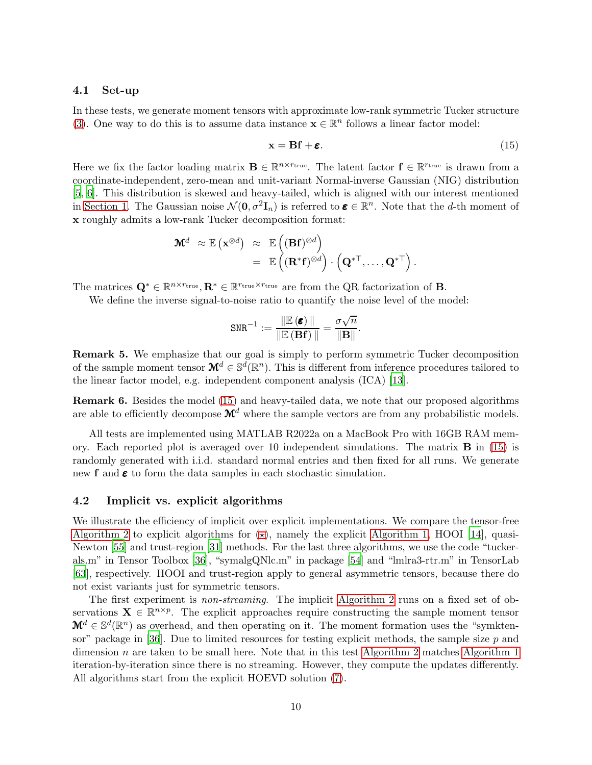#### 4.1 Set-up

In these tests, we generate moment tensors with approximate low-rank symmetric Tucker structure [\(3\)](#page-3-1). One way to do this is to assume data instance  $\mathbf{x} \in \mathbb{R}^n$  follows a linear factor model:

<span id="page-9-0"></span>
$$
\mathbf{x} = \mathbf{B} \mathbf{f} + \boldsymbol{\varepsilon}.\tag{15}
$$

Here we fix the factor loading matrix  $\mathbf{B} \in \mathbb{R}^{n \times r_{\text{true}}}$ . The latent factor  $\mathbf{f} \in \mathbb{R}^{r_{\text{true}}}$  is drawn from a coordinate-independent, zero-mean and unit-variant Normal-inverse Gaussian (NIG) distribution [\[5,](#page-24-12) [6\]](#page-24-7). This distribution is skewed and heavy-tailed, which is aligned with our interest mentioned in [Section 1.](#page-0-1) The Gaussian noise  $\mathcal{N}(\mathbf{0}, \sigma^2 \mathbf{I}_n)$  is referred to  $\boldsymbol{\varepsilon} \in \mathbb{R}^n$ . Note that the d-th moment of x roughly admits a low-rank Tucker decomposition format:

$$
\begin{array}{rcl} \mathbf{M}^d & \approx \mathbb{E}\left(\mathbf{x}^{\otimes d}\right) & \approx & \mathbb{E}\left((\mathbf{B}\mathbf{f})^{\otimes d}\right) \\ & = & \mathbb{E}\left((\mathbf{R}^*\mathbf{f})^{\otimes d}\right)\cdot\left(\mathbf{Q}^{*\top},\ldots,\mathbf{Q}^{*\top}\right). \end{array}
$$

The matrices  $\mathbf{Q}^* \in \mathbb{R}^{n \times r_{\text{true}}}, \mathbf{R}^* \in \mathbb{R}^{r_{\text{true}} \times r_{\text{true}}}$  are from the QR factorization of **B**.

We define the inverse signal-to-noise ratio to quantify the noise level of the model:

$$
SNR^{-1} := \frac{\|\mathbb{E}(\boldsymbol{\varepsilon})\|}{\|\mathbb{E}(\mathbf{B}\mathbf{f})\|} = \frac{\sigma\sqrt{n}}{\|\mathbf{B}\|}
$$

.

**Remark 5.** We emphasize that our goal is simply to perform symmetric Tucker decomposition of the sample moment tensor  $\mathbf{M}^d \in \mathbb{S}^d(\mathbb{R}^n)$ . This is different from inference procedures tailored to the linear factor model, e.g. independent component analysis (ICA) [\[13\]](#page-24-1).

Remark 6. Besides the model [\(15\)](#page-9-0) and heavy-tailed data, we note that our proposed algorithms are able to efficiently decompose  $\mathbf{M}^{d}$  where the sample vectors are from any probabilistic models.

All tests are implemented using MATLAB R2022a on a MacBook Pro with 16GB RAM memory. Each reported plot is averaged over 10 independent simulations. The matrix  $\bf{B}$  in [\(15\)](#page-9-0) is randomly generated with i.i.d. standard normal entries and then fixed for all runs. We generate new f and  $\varepsilon$  to form the data samples in each stochastic simulation.

#### 4.2 Implicit vs. explicit algorithms

We illustrate the efficiency of implicit over explicit implementations. We compare the tensor-free [Algorithm 2](#page-7-0) to explicit algorithms for  $(\star)$ , namely the explicit [Algorithm 1,](#page-5-0) HOOI [\[14\]](#page-24-8), quasi-Newton [\[55](#page-27-5)] and trust-region [\[31\]](#page-26-4) methods. For the last three algorithms, we use the code "tuckerals.m" in Tensor Toolbox [\[36\]](#page-26-9), "symalgQNlc.m" in package [\[54](#page-27-12)] and "lmlra3-rtr.m" in TensorLab [\[63](#page-28-2)], respectively. HOOI and trust-region apply to general asymmetric tensors, because there do not exist variants just for symmetric tensors.

The first experiment is non-streaming. The implicit [Algorithm 2](#page-7-0) runs on a fixed set of observations  $\mathbf{X} \in \mathbb{R}^{n \times p}$ . The explicit approaches require constructing the sample moment tensor  $\mathbf{M}^d \in \mathbb{S}^d(\mathbb{R}^n)$  as overhead, and then operating on it. The moment formation uses the "symkten-sor" package in [\[36](#page-26-9)]. Due to limited resources for testing explicit methods, the sample size  $p$  and dimension  $n$  are taken to be small here. Note that in this test [Algorithm 2](#page-7-0) matches [Algorithm 1](#page-5-0) iteration-by-iteration since there is no streaming. However, they compute the updates differently. All algorithms start from the explicit HOEVD solution [\(7\)](#page-5-2).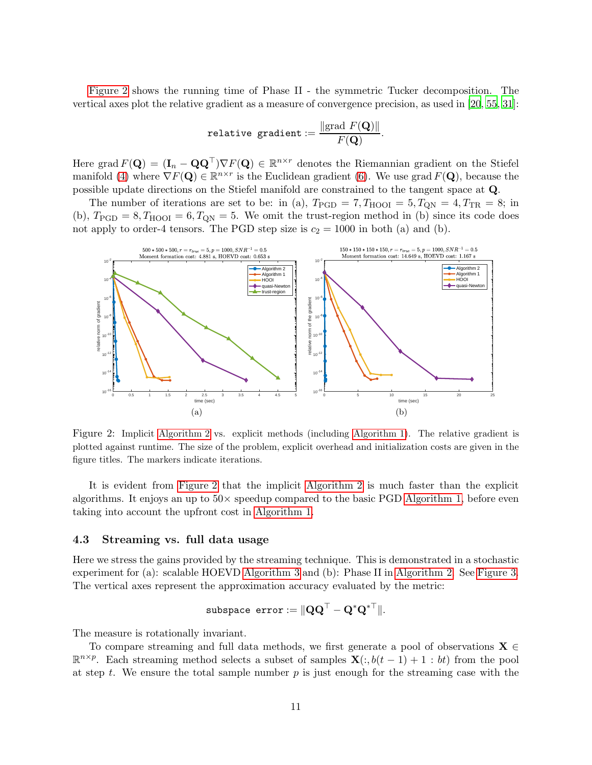[Figure 2](#page-10-0) shows the running time of Phase II - the symmetric Tucker decomposition. The vertical axes plot the relative gradient as a measure of convergence precision, as used in [\[20,](#page-25-5) [55](#page-27-5), [31\]](#page-26-4):

$$
\texttt{relative gradient} := \frac{\|\text{grad } F(\mathbf{Q})\|}{F(\mathbf{Q})}.
$$

Here grad  $F(\mathbf{Q}) = (\mathbf{I}_n - \mathbf{Q}\mathbf{Q}^\top)\nabla F(\mathbf{Q}) \in \mathbb{R}^{n \times r}$  denotes the Riemannian gradient on the Stiefel manifold [\(4\)](#page-4-3) where  $\nabla F(\mathbf{Q}) \in \mathbb{R}^{n \times r}$  is the Euclidean gradient [\(6\)](#page-5-3). We use grad  $F(\mathbf{Q})$ , because the possible update directions on the Stiefel manifold are constrained to the tangent space at Q.

The number of iterations are set to be: in (a),  $T_{\text{PGD}} = 7, T_{\text{HOOI}} = 5, T_{\text{QN}} = 4, T_{\text{TR}} = 8$ ; in (b),  $T_{\text{PGD}} = 8$ ,  $T_{\text{HOOI}} = 6$ ,  $T_{\text{QN}} = 5$ . We omit the trust-region method in (b) since its code does not apply to order-4 tensors. The PGD step size is  $c_2 = 1000$  in both (a) and (b).

<span id="page-10-0"></span>

Figure 2: Implicit [Algorithm 2](#page-7-0) vs. explicit methods (including [Algorithm 1\)](#page-5-0). The relative gradient is plotted against runtime. The size of the problem, explicit overhead and initialization costs are given in the figure titles. The markers indicate iterations.

It is evident from [Figure 2](#page-10-0) that the implicit [Algorithm 2](#page-7-0) is much faster than the explicit algorithms. It enjoys an up to  $50\times$  speedup compared to the basic PGD [Algorithm 1,](#page-5-0) before even taking into account the upfront cost in [Algorithm 1.](#page-5-0)

#### 4.3 Streaming vs. full data usage

Here we stress the gains provided by the streaming technique. This is demonstrated in a stochastic experiment for (a): scalable HOEVD [Algorithm 3](#page-8-1) and (b): Phase II in [Algorithm 2.](#page-7-0) See [Figure 3.](#page-11-1) The vertical axes represent the approximation accuracy evaluated by the metric:

$$
\texttt{subspace error} := \|\mathbf{Q}\mathbf{Q}^\top - \mathbf{Q}^*\mathbf{Q}^{*\top}\|.
$$

The measure is rotationally invariant.

To compare streaming and full data methods, we first generate a pool of observations  $\mathbf{X} \in \mathbb{R}$  $\mathbb{R}^{n \times p}$ . Each streaming method selects a subset of samples  $\mathbf{X}(:, b(t-1) + 1 : bt)$  from the pool at step t. We ensure the total sample number  $p$  is just enough for the streaming case with the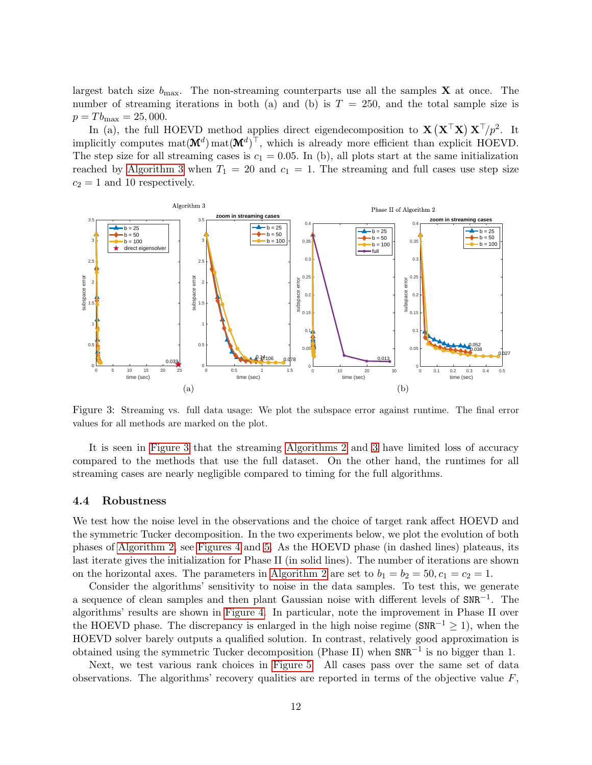largest batch size  $b_{\text{max}}$ . The non-streaming counterparts use all the samples **X** at once. The number of streaming iterations in both (a) and (b) is  $T = 250$ , and the total sample size is  $p = Tb_{\text{max}} = 25,000.$ 

In (a), the full HOEVD method applies direct eigendecomposition to  $X(X^{\top}X) X^{\top}/p^2$ . It implicitly computes  $\text{mat}(\mathbf{M}^d) \text{mat}(\mathbf{M}^d)^\top$ , which is already more efficient than explicit HOEVD. The step size for all streaming cases is  $c_1 = 0.05$ . In (b), all plots start at the same initialization reached by [Algorithm 3](#page-8-1) when  $T_1 = 20$  and  $c_1 = 1$ . The streaming and full cases use step size  $c_2 = 1$  and 10 respectively.

<span id="page-11-1"></span>

Figure 3: Streaming vs. full data usage: We plot the subspace error against runtime. The final error values for all methods are marked on the plot.

It is seen in [Figure 3](#page-11-1) that the streaming [Algorithms 2](#page-7-0) and [3](#page-8-1) have limited loss of accuracy compared to the methods that use the full dataset. On the other hand, the runtimes for all streaming cases are nearly negligible compared to timing for the full algorithms.

#### <span id="page-11-0"></span>4.4 Robustness

We test how the noise level in the observations and the choice of target rank affect HOEVD and the symmetric Tucker decomposition. In the two experiments below, we plot the evolution of both phases of [Algorithm 2,](#page-7-0) see [Figures 4](#page-12-0) and [5.](#page-12-1) As the HOEVD phase (in dashed lines) plateaus, its last iterate gives the initialization for Phase II (in solid lines). The number of iterations are shown on the horizontal axes. The parameters in [Algorithm 2](#page-7-0) are set to  $b_1 = b_2 = 50, c_1 = c_2 = 1$ .

Consider the algorithms' sensitivity to noise in the data samples. To test this, we generate a sequence of clean samples and then plant Gaussian noise with different levels of  $SNR^{-1}$ . The algorithms' results are shown in [Figure 4.](#page-12-0) In particular, note the improvement in Phase II over the HOEVD phase. The discrepancy is enlarged in the high noise regime ( $\text{SNR}^{-1} \geq 1$ ), when the HOEVD solver barely outputs a qualified solution. In contrast, relatively good approximation is obtained using the symmetric Tucker decomposition (Phase II) when SNR−<sup>1</sup> is no bigger than 1.

Next, we test various rank choices in [Figure 5.](#page-12-1) All cases pass over the same set of data observations. The algorithms' recovery qualities are reported in terms of the objective value  $F$ ,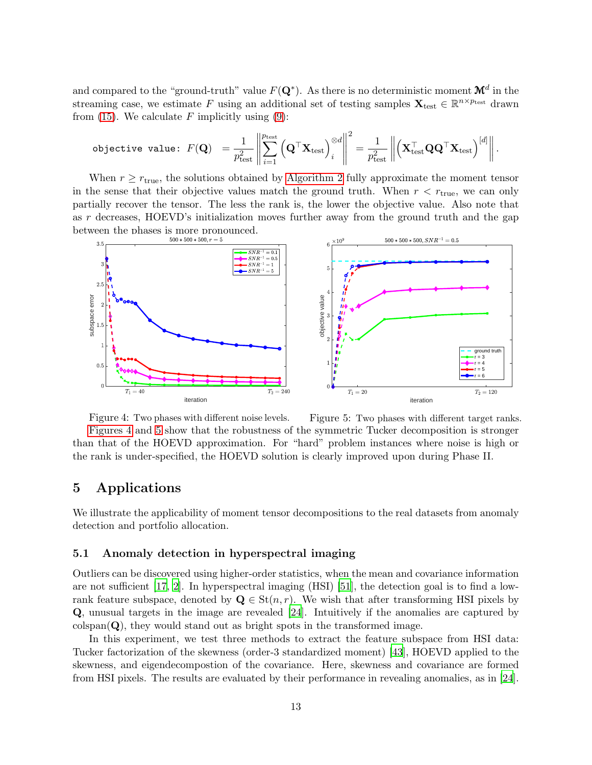and compared to the "ground-truth" value  $F(\mathbf{Q}^*)$ . As there is no deterministic moment  $\mathbf{M}^d$  in the streaming case, we estimate F using an additional set of testing samples  $\mathbf{X}_{test} \in \mathbb{R}^{n \times p_{test}}$  drawn from  $(15)$ . We calculate F implicitly using  $(9)$ :

$$
\text{objective value: } F(\mathbf{Q}) = \frac{1}{p_{\text{test}}^2} \left\| \sum_{i=1}^{p_{\text{test}}} \left( \mathbf{Q}^\top \mathbf{X}_{\text{test}} \right)_i^{\otimes d} \right\|^2 = \frac{1}{p_{\text{test}}^2} \left\| \left( \mathbf{X}_{\text{test}}^\top \mathbf{Q} \mathbf{Q}^\top \mathbf{X}_{\text{test}} \right)^{[d]} \right\|.
$$

When  $r \geq r_{\text{true}}$ , the solutions obtained by [Algorithm 2](#page-7-0) fully approximate the moment tensor in the sense that their objective values match the ground truth. When  $r < r_{\text{true}}$ , we can only partially recover the tensor. The less the rank is, the lower the objective value. Also note that as r decreases, HOEVD's initialization moves further away from the ground truth and the gap between the phases is more pronounced.



<span id="page-12-1"></span><span id="page-12-0"></span>Figure 4: Two phases with different noise levels. Figure 5: Two phases with different target ranks. [Figures 4](#page-12-0) and [5](#page-12-1) show that the robustness of the symmetric Tucker decomposition is stronger than that of the HOEVD approximation. For "hard" problem instances where noise is high or the rank is under-specified, the HOEVD solution is clearly improved upon during Phase II.

### 5 Applications

We illustrate the applicability of moment tensor decompositions to the real datasets from anomaly detection and portfolio allocation.

#### 5.1 Anomaly detection in hyperspectral imaging

Outliers can be discovered using higher-order statistics, when the mean and covariance information are not sufficient  $[17, 2]$  $[17, 2]$ . In hyperspectral imaging (HSI)  $[51]$ , the detection goal is to find a lowrank feature subspace, denoted by  $\mathbf{Q} \in \text{St}(n, r)$ . We wish that after transforming HSI pixels by Q, unusual targets in the image are revealed [\[24\]](#page-25-2). Intuitively if the anomalies are captured by  $colspan(Q)$ , they would stand out as bright spots in the transformed image.

In this experiment, we test three methods to extract the feature subspace from HSI data: Tucker factorization of the skewness (order-3 standardized moment) [\[43\]](#page-26-10), HOEVD applied to the skewness, and eigendecompostion of the covariance. Here, skewness and covariance are formed from HSI pixels. The results are evaluated by their performance in revealing anomalies, as in [\[24\]](#page-25-2).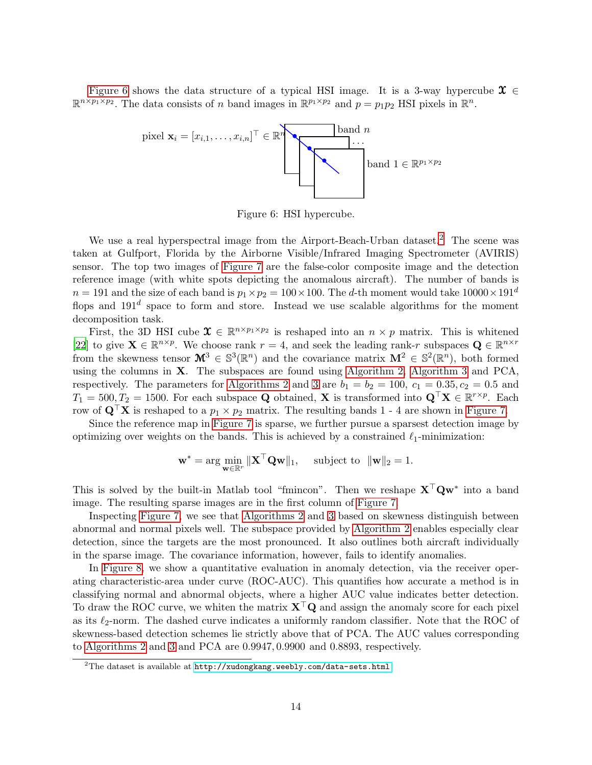<span id="page-13-0"></span>[Figure 6](#page-13-0) shows the data structure of a typical HSI image. It is a 3-way hypercube  $\mathfrak{X} \in$  $\mathbb{R}^{n \times p_1 \times p_2}$ . The data consists of *n* band images in  $\mathbb{R}^{p_1 \times p_2}$  and  $p = p_1 p_2$  HSI pixels in  $\mathbb{R}^n$ .



Figure 6: HSI hypercube.

We use a real hyperspectral image from the Airport-Beach-Urban dataset.<sup>[2](#page-13-1)</sup> The scene was taken at Gulfport, Florida by the Airborne Visible/Infrared Imaging Spectrometer (AVIRIS) sensor. The top two images of [Figure 7](#page-14-0) are the false-color composite image and the detection reference image (with white spots depicting the anomalous aircraft). The number of bands is  $n = 191$  and the size of each band is  $p_1 \times p_2 = 100 \times 100$ . The d-th moment would take  $10000 \times 191^d$ flops and  $191<sup>d</sup>$  space to form and store. Instead we use scalable algorithms for the moment decomposition task.

First, the 3D HSI cube  $\mathbf{\mathfrak{X}} \in \mathbb{R}^{n \times p_1 \times p_2}$  is reshaped into an  $n \times p$  matrix. This is whitened [\[22](#page-25-14)] to give  $\mathbf{X} \in \mathbb{R}^{n \times p}$ . We choose rank  $r = 4$ , and seek the leading rank-r subspaces  $\mathbf{Q} \in \mathbb{R}^{n \times r}$ from the skewness tensor  $\mathbf{M}^3 \in \mathbb{S}^3(\mathbb{R}^n)$  and the covariance matrix  $\mathbf{M}^2 \in \mathbb{S}^2(\mathbb{R}^n)$ , both formed using the columns in  $X$ . The subspaces are found using [Algorithm 2,](#page-7-0) [Algorithm 3](#page-8-1) and PCA, respectively. The parameters for [Algorithms 2](#page-7-0) and [3](#page-8-1) are  $b_1 = b_2 = 100$ ,  $c_1 = 0.35$ ,  $c_2 = 0.5$  and  $T_1 = 500, T_2 = 1500$ . For each subspace Q obtained, X is transformed into  $Q^{\top}X \in \mathbb{R}^{r \times p}$ . Each row of  $\mathbf{Q}^\top \mathbf{X}$  is reshaped to a  $p_1 \times p_2$  matrix. The resulting bands 1 - 4 are shown in [Figure 7.](#page-14-0)

Since the reference map in [Figure 7](#page-14-0) is sparse, we further pursue a sparsest detection image by optimizing over weights on the bands. This is achieved by a constrained  $\ell_1$ -minimization:

$$
\mathbf{w}^* = \arg\min_{\mathbf{w} \in \mathbb{R}^r} \|\mathbf{X}^\top \mathbf{Q} \mathbf{w}\|_1, \quad \text{ subject to } \|\mathbf{w}\|_2 = 1.
$$

This is solved by the built-in Matlab tool "fmincon". Then we reshape  $X<sup>†</sup>Qw<sup>*</sup>$  into a band image. The resulting sparse images are in the first column of [Figure 7.](#page-14-0)

Inspecting [Figure 7,](#page-14-0) we see that [Algorithms 2](#page-7-0) and [3](#page-8-1) based on skewness distinguish between abnormal and normal pixels well. The subspace provided by [Algorithm 2](#page-7-0) enables especially clear detection, since the targets are the most pronounced. It also outlines both aircraft individually in the sparse image. The covariance information, however, fails to identify anomalies.

In [Figure 8,](#page-14-1) we show a quantitative evaluation in anomaly detection, via the receiver operating characteristic-area under curve (ROC-AUC). This quantifies how accurate a method is in classifying normal and abnormal objects, where a higher AUC value indicates better detection. To draw the ROC curve, we whiten the matrix  $X^{\top}Q$  and assign the anomaly score for each pixel as its  $\ell_2$ -norm. The dashed curve indicates a uniformly random classifier. Note that the ROC of skewness-based detection schemes lie strictly above that of PCA. The AUC values corresponding to [Algorithms 2](#page-7-0) and [3](#page-8-1) and PCA are 0.9947, 0.9900 and 0.8893, respectively.

<span id="page-13-1"></span><sup>&</sup>lt;sup>2</sup>The dataset is available at  $http://xudongkang.weebly.com/data-sets.html$ .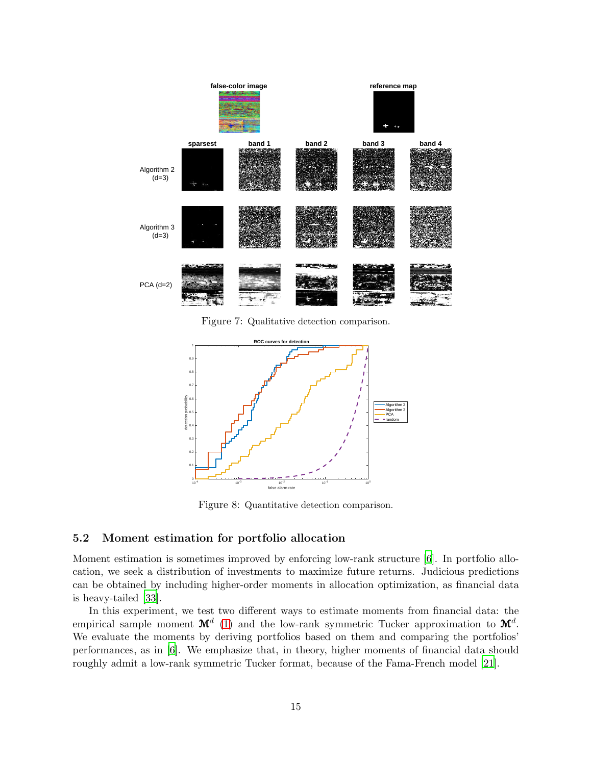<span id="page-14-0"></span>

Figure 7: Qualitative detection comparison.

<span id="page-14-1"></span>

Figure 8: Quantitative detection comparison.

#### 5.2 Moment estimation for portfolio allocation

Moment estimation is sometimes improved by enforcing low-rank structure [\[6\]](#page-24-7). In portfolio allocation, we seek a distribution of investments to maximize future returns. Judicious predictions can be obtained by including higher-order moments in allocation optimization, as financial data is heavy-tailed [\[33](#page-26-11)].

In this experiment, we test two different ways to estimate moments from financial data: the empirical sample moment  $\mathbf{M}^{d}$  [\(1\)](#page-1-0) and the low-rank symmetric Tucker approximation to  $\mathbf{M}^{d}$ . We evaluate the moments by deriving portfolios based on them and comparing the portfolios' performances, as in [\[6](#page-24-7)]. We emphasize that, in theory, higher moments of financial data should roughly admit a low-rank symmetric Tucker format, because of the Fama-French model [\[21](#page-25-3)].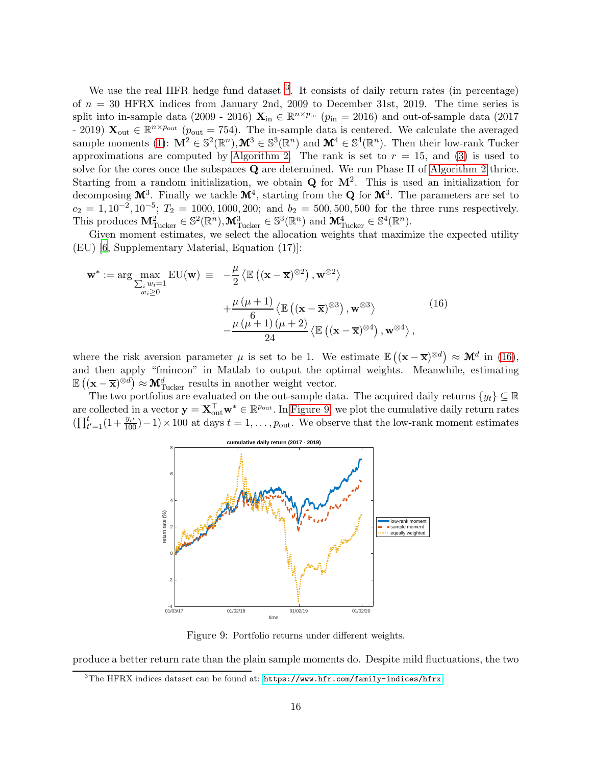We use the real HFR hedge fund dataset <sup>[3](#page-15-0)</sup>. It consists of daily return rates (in percentage) of  $n = 30$  HFRX indices from January 2nd, 2009 to December 31st, 2019. The time series is split into in-sample data (2009 - 2016)  $\mathbf{X}_{in} \in \mathbb{R}^{n \times p_{in}}$  ( $p_{in} = 2016$ ) and out-of-sample data (2017 - 2019)  $\mathbf{X}_{\text{out}} \in \mathbb{R}^{n \times p_{\text{out}}}$  ( $p_{\text{out}} = 754$ ). The in-sample data is centered. We calculate the averaged sample moments [\(1\)](#page-1-0):  $\mathbf{M}^2 \in \mathbb{S}^2(\mathbb{R}^n)$ ,  $\mathbf{M}^3 \in \mathbb{S}^3(\mathbb{R}^n)$  and  $\mathbf{M}^4 \in \mathbb{S}^4(\mathbb{R}^n)$ . Then their low-rank Tucker approximations are computed by [Algorithm 2.](#page-7-0) The rank is set to  $r = 15$ , and [\(3\)](#page-4-2) is used to solve for the cores once the subspaces  $Q$  are determined. We run Phase II of [Algorithm 2](#page-7-0) thrice. Starting from a random initialization, we obtain  $Q$  for  $M^2$ . This is used an initialization for decomposing  $\mathcal{M}^3$ . Finally we tackle  $\mathcal{M}^4$ , starting from the **Q** for  $\mathcal{M}^3$ . The parameters are set to  $c_2 = 1, 10^{-2}, 10^{-5}; T_2 = 1000, 1000, 200;$  and  $b_2 = 500, 500, 500$  for the three runs respectively. This produces  $\mathbf{M}_{\text{Tucker}}^2 \in \mathbb{S}^2(\mathbb{R}^n), \mathbf{\mathcal{M}}_{\text{Tucker}}^3 \in \mathbb{S}^3(\mathbb{R}^n)$  and  $\mathbf{\mathcal{M}}_{\text{Tucker}}^4 \in \mathbb{S}^4(\mathbb{R}^n)$ .

Given moment estimates, we select the allocation weights that maximize the expected utility (EU) [\[6](#page-24-7), Supplementary Material, Equation (17)]:

$$
\mathbf{w}^* := \arg \max_{\substack{\sum_i w_i = 1 \\ w_i \ge 0}} \text{EU}(\mathbf{w}) = -\frac{\mu}{2} \left\langle \mathbb{E} \left( (\mathbf{x} - \overline{\mathbf{x}})^{\otimes 2} \right), \mathbf{w}^{\otimes 2} \right\rangle + \frac{\mu (\mu + 1)}{6} \left\langle \mathbb{E} \left( (\mathbf{x} - \overline{\mathbf{x}})^{\otimes 3} \right), \mathbf{w}^{\otimes 3} \right\rangle - \frac{\mu (\mu + 1) (\mu + 2)}{24} \left\langle \mathbb{E} \left( (\mathbf{x} - \overline{\mathbf{x}})^{\otimes 4} \right), \mathbf{w}^{\otimes 4} \right\rangle,
$$
(16)

where the risk aversion parameter  $\mu$  is set to be 1. We estimate  $\mathbb{E}((\mathbf{x}-\overline{\mathbf{x}})^{\otimes d}) \approx \mathbf{M}^d$  in [\(16\)](#page-15-1), and then apply "fmincon" in Matlab to output the optimal weights. Meanwhile, estimating  $\mathbb{E} \left( (\mathbf{x} - \overline{\mathbf{x}})^{\otimes d} \right) \approx \mathbf{M}_{\text{Tucker}}^d$  results in another weight vector.

<span id="page-15-2"></span>The two portfolios are evaluated on the out-sample data. The acquired daily returns  $\{y_t\} \subseteq \mathbb{R}$ are collected in a vector  $\mathbf{y} = \mathbf{X}_{out}^{\top} \mathbf{w}^* \in \mathbb{R}^{p_{out}}$ . In [Figure 9,](#page-15-2) we plot the cumulative daily return rates  $(\prod_{t'=1}^t(1+\frac{y_{t'}}{100})-1)\times 100$  at days  $t=1,\ldots,p_{\text{out}}$ . We observe that the low-rank moment estimates

<span id="page-15-1"></span>

Figure 9: Portfolio returns under different weights.

produce a better return rate than the plain sample moments do. Despite mild fluctuations, the two

<span id="page-15-0"></span> ${}^{3}$ The HFRX indices dataset can be found at:  $https://www.hfr.com/family-indices/hfrx.$  $https://www.hfr.com/family-indices/hfrx.$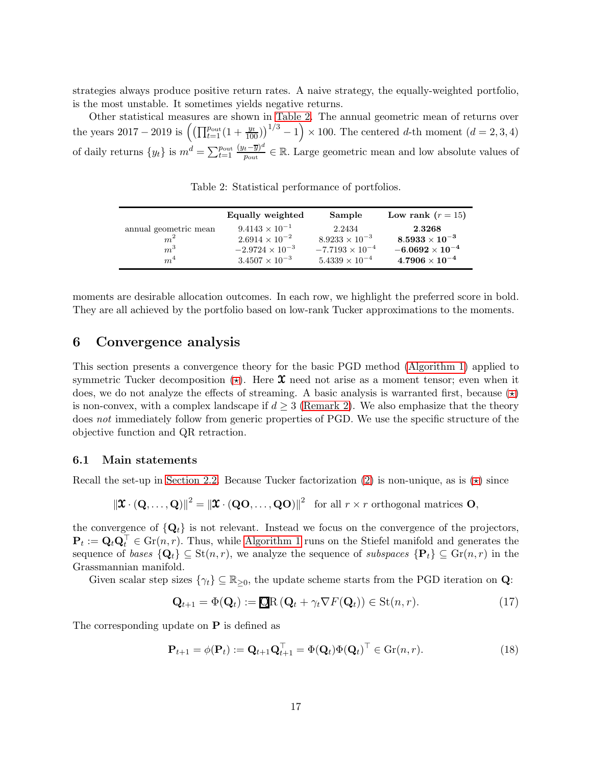strategies always produce positive return rates. A naive strategy, the equally-weighted portfolio, is the most unstable. It sometimes yields negative returns.

<span id="page-16-1"></span>Other statistical measures are shown in [Table 2.](#page-16-1) The annual geometric mean of returns over the years 2017 – 2019 is  $((\prod_{t=1}^{p_{\text{out}}}(1 + \frac{y_t}{100}))^{1/3} - 1) \times 100$ . The centered d-th moment  $(d = 2, 3, 4)$ of daily returns  $\{y_t\}$  is  $m^d = \sum_{t=1}^{p_{\text{out}}} \frac{(y_t - \overline{y})^d}{p_{\text{out}}}$  $\frac{u_t - \overline{y})^a}{p_{\text{out}}} \in \mathbb{R}$ . Large geometric mean and low absolute values of

Table 2: Statistical performance of portfolios.

|                       | Equally weighted         | Sample                   | Low rank $(r = 15)$    |
|-----------------------|--------------------------|--------------------------|------------------------|
| annual geometric mean | $9.4143 \times 10^{-1}$  | 2.2434                   | 2.3268                 |
| m <sup>2</sup>        | $2.6914 \times 10^{-2}$  | $8.9233 \times 10^{-3}$  | $8.5933\times10^{-3}$  |
| $m^3$                 | $-2.9724 \times 10^{-3}$ | $-7.7193 \times 10^{-4}$ | $-6.0692\times10^{-4}$ |
| m <sup>4</sup>        | $3.4507 \times 10^{-3}$  | $5.4339 \times 10^{-4}$  | $4.7906\times10^{-4}$  |

moments are desirable allocation outcomes. In each row, we highlight the preferred score in bold. They are all achieved by the portfolio based on low-rank Tucker approximations to the moments.

### <span id="page-16-0"></span>6 Convergence analysis

This section presents a convergence theory for the basic PGD method [\(Algorithm 1\)](#page-5-0) applied to symmetric Tucker decomposition  $(x)$ . Here  $x$  need not arise as a moment tensor; even when it does, we do not analyze the effects of streaming. A basic analysis is warranted first, because  $(\star)$ is non-convex, with a complex landscape if  $d \geq 3$  [\(Remark 2\)](#page-4-4). We also emphasize that the theory does not immediately follow from generic properties of PGD. We use the specific structure of the objective function and QR retraction.

#### 6.1 Main statements

Recall the set-up in [Section 2.2.](#page-4-5) Because Tucker factorization [\(2\)](#page-4-0) is non-unique, as is  $\star$ ) since

 $\|\mathbf{\mathcal{X}}\cdot(\mathbf{Q},\ldots,\mathbf{Q})\|^2 = \|\mathbf{\mathcal{X}}\cdot(\mathbf{Q}\mathbf{O},\ldots,\mathbf{Q}\mathbf{O})\|^2$  for all  $r \times r$  orthogonal matrices  $\mathbf{O},$ 

the convergence of  $\{Q_t\}$  is not relevant. Instead we focus on the convergence of the projectors,  $\mathbf{P}_t := \mathbf{Q}_t \mathbf{Q}_t^{\top} \in \text{Gr}(n, r)$ . Thus, while [Algorithm 1](#page-5-0) runs on the Stiefel manifold and generates the sequence of bases  $\{Q_t\} \subseteq St(n,r)$ , we analyze the sequence of subspaces  $\{P_t\} \subseteq Gr(n,r)$  in the Grassmannian manifold.

Given scalar step sizes  $\{\gamma_t\} \subseteq \mathbb{R}_{\geq 0}$ , the update scheme starts from the PGD iteration on Q:

<span id="page-16-2"></span>
$$
\mathbf{Q}_{t+1} = \Phi(\mathbf{Q}_t) := \mathbf{Q}\mathbf{R}\left(\mathbf{Q}_t + \gamma_t \nabla F(\mathbf{Q}_t)\right) \in \text{St}(n, r). \tag{17}
$$

The corresponding update on P is defined as

<span id="page-16-3"></span>
$$
\mathbf{P}_{t+1} = \phi(\mathbf{P}_t) := \mathbf{Q}_{t+1} \mathbf{Q}_{t+1}^\top = \Phi(\mathbf{Q}_t) \Phi(\mathbf{Q}_t)^\top \in \text{Gr}(n, r). \tag{18}
$$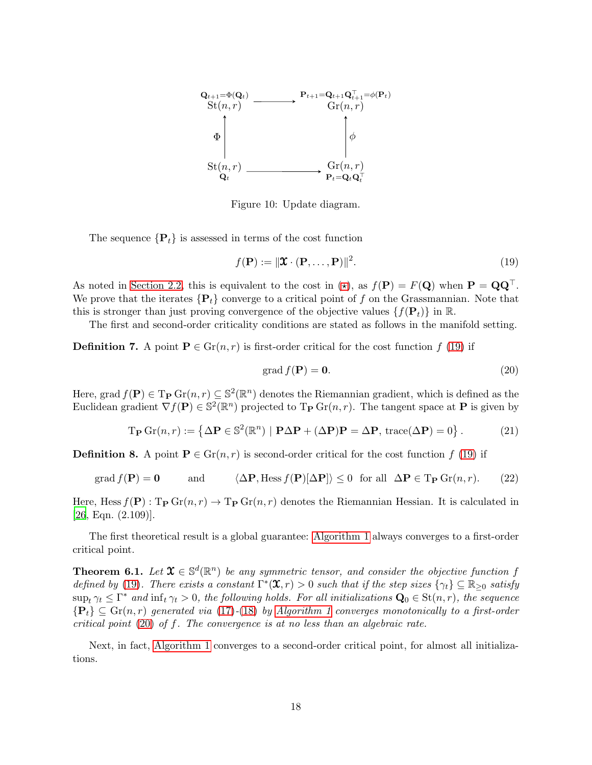<span id="page-17-6"></span>

Figure 10: Update diagram.

The sequence  $\{P_t\}$  is assessed in terms of the cost function

<span id="page-17-0"></span>
$$
f(\mathbf{P}) := \|\mathbf{\mathcal{X}} \cdot (\mathbf{P}, \dots, \mathbf{P})\|^2. \tag{19}
$$

As noted in [Section 2.2,](#page-4-5) this is equivalent to the cost in  $(\star)$ , as  $f(\mathbf{P}) = F(\mathbf{Q})$  when  $\mathbf{P} = \mathbf{Q}\mathbf{Q}^{\top}$ . We prove that the iterates  $\{P_t\}$  converge to a critical point of f on the Grassmannian. Note that this is stronger than just proving convergence of the objective values  $\{f(\mathbf{P}_t)\}\$ in R.

The first and second-order criticality conditions are stated as follows in the manifold setting.

**Definition 7.** A point  $P \in Gr(n,r)$  is first-order critical for the cost function f [\(19\)](#page-17-0) if

<span id="page-17-1"></span>
$$
\operatorname{grad} f(\mathbf{P}) = \mathbf{0}.\tag{20}
$$

Here, grad  $f(\mathbf{P}) \in \mathrm{Tr} \mathrm{Gr}(n,r) \subseteq \mathbb{S}^2(\mathbb{R}^n)$  denotes the Riemannian gradient, which is defined as the Euclidean gradient  $\nabla f(\mathbf{P}) \in \mathbb{S}^2(\mathbb{R}^n)$  projected to  $T_\mathbf{P}$  Gr $(n, r)$ . The tangent space at  $\mathbf{P}$  is given by

<span id="page-17-5"></span>
$$
\operatorname{Tr} \operatorname{Gr}(n,r) := \left\{ \Delta \mathbf{P} \in \mathbb{S}^2(\mathbb{R}^n) \mid \mathbf{P} \Delta \mathbf{P} + (\Delta \mathbf{P}) \mathbf{P} = \Delta \mathbf{P}, \operatorname{trace}(\Delta \mathbf{P}) = 0 \right\}. \tag{21}
$$

**Definition 8.** A point  $P \in Gr(n,r)$  is second-order critical for the cost function f [\(19\)](#page-17-0) if

<span id="page-17-2"></span>
$$
\text{grad } f(\mathbf{P}) = \mathbf{0} \quad \text{and} \quad \langle \Delta \mathbf{P}, \text{Hess } f(\mathbf{P})[\Delta \mathbf{P}] \rangle \le 0 \quad \text{for all} \quad \Delta \mathbf{P} \in \mathrm{Tr} \, \mathrm{Gr}(n, r). \tag{22}
$$

Here, Hess  $f(\mathbf{P}) : \mathrm{Tr} \mathrm{Gr}(n, r) \to \mathrm{Tr} \mathrm{Gr}(n, r)$  denotes the Riemannian Hessian. It is calculated in  $[26,$  $[26,$  Eqn.  $(2.109)$ ].

<span id="page-17-3"></span>The first theoretical result is a global guarantee: [Algorithm 1](#page-5-0) always converges to a first-order critical point.

**Theorem 6.1.** Let  $\mathbf{X} \in \mathbb{S}^d(\mathbb{R}^n)$  be any symmetric tensor, and consider the objective function f defined by [\(19\)](#page-17-0). There exists a constant  $\Gamma^*(\mathfrak{X}, r) > 0$  such that if the step sizes  $\{\gamma_t\} \subseteq \mathbb{R}_{\geq 0}$  satisfy  $\sup_t \gamma_t \leq \Gamma^*$  and  $\inf_t \gamma_t > 0$ , the following holds. For all initializations  $\mathbf{Q}_0 \in \mathrm{St}(n,r)$ , the sequence  ${P_t} \subseteq Gr(n,r)$  generated via [\(17\)](#page-16-2)-[\(18\)](#page-16-3) by [Algorithm 1](#page-5-0) converges monotonically to a first-order critical point [\(20\)](#page-17-1) of f. The convergence is at no less than an algebraic rate.

<span id="page-17-4"></span>Next, in fact, [Algorithm 1](#page-5-0) converges to a second-order critical point, for almost all initializations.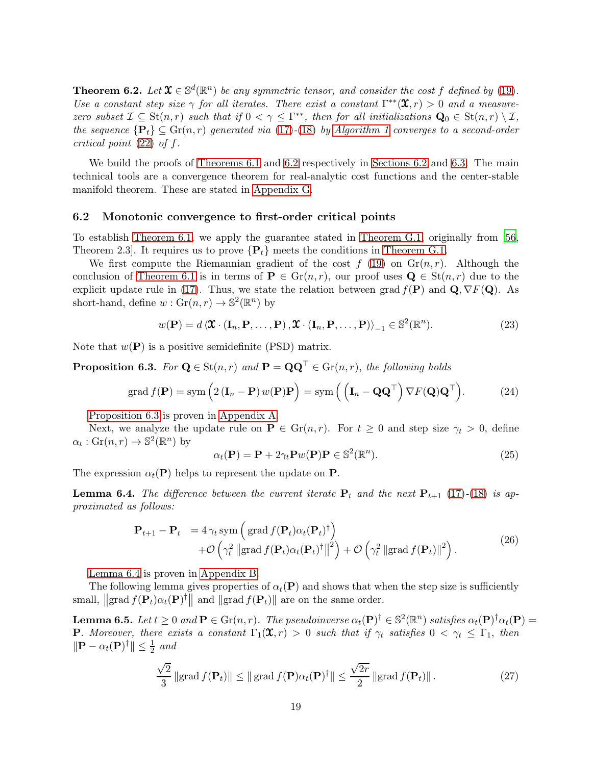**Theorem 6.2.** Let  $\mathbf{\mathfrak{X}} \in \mathbb{S}^d(\mathbb{R}^n)$  be any symmetric tensor, and consider the cost f defined by [\(19\)](#page-17-0). Use a constant step size  $\gamma$  for all iterates. There exist a constant  $\Gamma^{**}(\mathfrak{X},r) > 0$  and a measurezero subset  $\mathcal{I} \subseteq \text{St}(n,r)$  such that if  $0 < \gamma \leq \Gamma^{**}$ , then for all initializations  $\mathbf{Q}_0 \in \text{St}(n,r) \setminus \mathcal{I}$ , the sequence  $\{P_t\} \subseteq \text{Gr}(n,r)$  generated via [\(17\)](#page-16-2)-[\(18\)](#page-16-3) by [Algorithm 1](#page-5-0) converges to a second-order critical point  $(22)$  of f.

We build the proofs of [Theorems 6.1](#page-17-3) and [6.2](#page-17-4) respectively in [Sections 6.2](#page-18-0) and [6.3.](#page-21-0) The main technical tools are a convergence theorem for real-analytic cost functions and the center-stable manifold theorem. These are stated in [Appendix G.](#page-37-0)

#### <span id="page-18-0"></span>6.2 Monotonic convergence to first-order critical points

To establish [Theorem 6.1,](#page-17-3) we apply the guarantee stated in [Theorem G.1,](#page-38-0) originally from [\[56,](#page-27-14) Theorem 2.3. It requires us to prove  $\{P_t\}$  meets the conditions in [Theorem G.1.](#page-38-0)

We first compute the Riemannian gradient of the cost  $f(19)$  $f(19)$  on  $\text{Gr}(n, r)$ . Although the conclusion of [Theorem 6.1](#page-17-3) is in terms of  $P \in \mathrm{Gr}(n,r)$ , our proof uses  $Q \in \mathrm{St}(n,r)$  due to the explicit update rule in [\(17\)](#page-16-2). Thus, we state the relation between grad  $f(\mathbf{P})$  and  $\mathbf{Q}, \nabla F(\mathbf{Q})$ . As short-hand, define  $w: \mathrm{Gr}(n,r) \to \mathbb{S}^2(\mathbb{R}^n)$  by

<span id="page-18-8"></span>
$$
w(\mathbf{P}) = d\left\langle \mathbf{\mathcal{X}}\cdot(\mathbf{I}_n, \mathbf{P}, \dots, \mathbf{P}), \mathbf{\mathcal{X}}\cdot(\mathbf{I}_n, \mathbf{P}, \dots, \mathbf{P})\right\rangle_{-1} \in \mathbb{S}^2(\mathbb{R}^n).
$$
 (23)

<span id="page-18-1"></span>Note that  $w(\mathbf{P})$  is a positive semidefinite (PSD) matrix.

**Proposition 6.3.** For  $\mathbf{Q} \in \text{St}(n, r)$  and  $\mathbf{P} = \mathbf{Q}\mathbf{Q}^{\top} \in \text{Gr}(n, r)$ , the following holds

<span id="page-18-6"></span>
$$
\operatorname{grad} f(\mathbf{P}) = \operatorname{sym} \left( 2 \left( \mathbf{I}_n - \mathbf{P} \right) w(\mathbf{P}) \mathbf{P} \right) = \operatorname{sym} \left( \left( \mathbf{I}_n - \mathbf{Q} \mathbf{Q}^\top \right) \nabla F(\mathbf{Q}) \mathbf{Q}^\top \right). \tag{24}
$$

[Proposition 6.3](#page-18-1) is proven in [Appendix A.](#page-28-3)

Next, we analyze the update rule on  $P \in Gr(n,r)$ . For  $t \geq 0$  and step size  $\gamma_t > 0$ , define  $\alpha_t : \text{Gr}(n, r) \to \mathbb{S}^2(\mathbb{R}^n)$  by

<span id="page-18-5"></span>
$$
\alpha_t(\mathbf{P}) = \mathbf{P} + 2\gamma_t \mathbf{P} w(\mathbf{P}) \mathbf{P} \in \mathbb{S}^2(\mathbb{R}^n). \tag{25}
$$

<span id="page-18-2"></span>The expression  $\alpha_t(\mathbf{P})$  helps to represent the update on **P**.

**Lemma 6.4.** The difference between the current iterate  $P_t$  and the next  $P_{t+1}$  [\(17\)](#page-16-2)-[\(18\)](#page-16-3) is approximated as follows:

<span id="page-18-7"></span>
$$
\mathbf{P}_{t+1} - \mathbf{P}_t = 4 \gamma_t \operatorname{sym} \left( \operatorname{grad} f(\mathbf{P}_t) \alpha_t(\mathbf{P}_t)^{\dagger} \right) \n+ \mathcal{O} \left( \gamma_t^2 \left\| \operatorname{grad} f(\mathbf{P}_t) \alpha_t(\mathbf{P}_t)^{\dagger} \right\|^2 \right) + \mathcal{O} \left( \gamma_t^2 \left\| \operatorname{grad} f(\mathbf{P}_t) \right\|^2 \right).
$$
\n(26)

[Lemma 6.4](#page-18-2) is proven in [Appendix B.](#page-29-0)

<span id="page-18-3"></span>The following lemma gives properties of  $\alpha_t(\mathbf{P})$  and shows that when the step size is sufficiently small,  $\|\text{grad } f(\mathbf{P}_t) \alpha_t(\mathbf{P})^{\dagger} \|\$  and  $\|\text{grad } f(\mathbf{P}_t) \|$  are on the same order.

**Lemma 6.5.** Let  $t \geq 0$  and  $\mathbf{P} \in \mathrm{Gr}(n,r)$ . The pseudoinverse  $\alpha_t(\mathbf{P})^{\dagger} \in \mathbb{S}^2(\mathbb{R}^n)$  satisfies  $\alpha_t(\mathbf{P})^{\dagger} \alpha_t(\mathbf{P}) =$ **P**. Moreover, there exists a constant  $\Gamma_1(\mathbf{\mathfrak{X}}, r) > 0$  such that if  $\gamma_t$  satisfies  $0 < \gamma_t \leq \Gamma_1$ , then  $\|\mathbf{P} - \alpha_t(\mathbf{P})^{\dagger}\| \leq \frac{1}{2}$  and

<span id="page-18-4"></span>
$$
\frac{\sqrt{2}}{3} \|\operatorname{grad} f(\mathbf{P}_t)\| \le \|\operatorname{grad} f(\mathbf{P})\alpha_t(\mathbf{P})^\dagger\| \le \frac{\sqrt{2r}}{2} \|\operatorname{grad} f(\mathbf{P}_t)\|.
$$
 (27)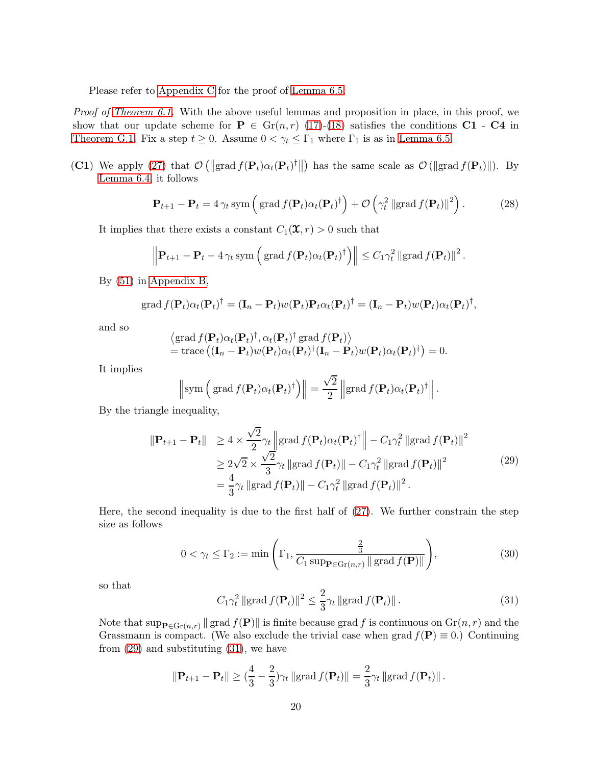Please refer to [Appendix C](#page-31-0) for the proof of [Lemma 6.5.](#page-18-3)

Proof of [Theorem 6.1.](#page-17-3) With the above useful lemmas and proposition in place, in this proof, we show that our update scheme for  $P \in Gr(n,r)$  [\(17\)](#page-16-2)-[\(18\)](#page-16-3) satisfies the conditions C1 - C4 in [Theorem G.1.](#page-38-0) Fix a step  $t \geq 0$ . Assume  $0 < \gamma_t \leq \Gamma_1$  where  $\Gamma_1$  is as in [Lemma 6.5.](#page-18-3)

(C1) We apply [\(27\)](#page-18-4) that  $\mathcal{O}(|\text{grad } f(\mathbf{P}_t) \alpha_t(\mathbf{P}_t)^{\dagger}||)$  has the same scale as  $\mathcal{O}(|\text{grad } f(\mathbf{P}_t)||)$ . By [Lemma 6.4,](#page-18-2) it follows

<span id="page-19-3"></span>
$$
\mathbf{P}_{t+1} - \mathbf{P}_t = 4 \gamma_t \operatorname{sym} \left( \operatorname{grad} f(\mathbf{P}_t) \alpha_t(\mathbf{P}_t)^{\dagger} \right) + \mathcal{O} \left( \gamma_t^2 \left\| \operatorname{grad} f(\mathbf{P}_t) \right\|^2 \right). \tag{28}
$$

It implies that there exists a constant  $C_1(\mathbf{x}, r) > 0$  such that

$$
\left\|\mathbf{P}_{t+1}-\mathbf{P}_t-4\,\gamma_t\,\text{sym}\left(\,\text{grad }f(\mathbf{P}_t)\alpha_t(\mathbf{P}_t)^{\dagger}\right)\right\|\leq C_1\gamma_t^2\,\|\text{grad }f(\mathbf{P}_t)\|^2\,.
$$

By [\(51\)](#page-30-0) in [Appendix B,](#page-29-0)

grad 
$$
f(\mathbf{P}_t)\alpha_t(\mathbf{P}_t)^{\dagger} = (\mathbf{I}_n - \mathbf{P}_t)w(\mathbf{P}_t)\mathbf{P}_t\alpha_t(\mathbf{P}_t)^{\dagger} = (\mathbf{I}_n - \mathbf{P}_t)w(\mathbf{P}_t)\alpha_t(\mathbf{P}_t)^{\dagger},
$$

and so

$$
\langle \operatorname{grad} f(\mathbf{P}_t) \alpha_t(\mathbf{P}_t)^{\dagger}, \alpha_t(\mathbf{P}_t)^{\dagger} \operatorname{grad} f(\mathbf{P}_t) \rangle = \operatorname{trace} ((\mathbf{I}_n - \mathbf{P}_t) w(\mathbf{P}_t) \alpha_t(\mathbf{P}_t)^{\dagger} (\mathbf{I}_n - \mathbf{P}_t) w(\mathbf{P}_t) \alpha_t(\mathbf{P}_t)^{\dagger}) = 0.
$$

It implies

$$
\left\|\operatorname{sym}\left(\operatorname{grad} f(\mathbf{P}_t)\alpha_t(\mathbf{P}_t)^{\dagger}\right)\right\| = \frac{\sqrt{2}}{2}\left\|\operatorname{grad} f(\mathbf{P}_t)\alpha_t(\mathbf{P}_t)^{\dagger}\right\|.
$$

By the triangle inequality,

<span id="page-19-0"></span>
$$
\|\mathbf{P}_{t+1} - \mathbf{P}_t\| \ge 4 \times \frac{\sqrt{2}}{2} \gamma_t \|\text{grad } f(\mathbf{P}_t) \alpha_t(\mathbf{P}_t)^{\dagger} \| - C_1 \gamma_t^2 \|\text{grad } f(\mathbf{P}_t)\|^2
$$
  
\n
$$
\ge 2\sqrt{2} \times \frac{\sqrt{2}}{3} \gamma_t \|\text{grad } f(\mathbf{P}_t)\| - C_1 \gamma_t^2 \|\text{grad } f(\mathbf{P}_t)\|^2
$$
  
\n
$$
= \frac{4}{3} \gamma_t \|\text{grad } f(\mathbf{P}_t)\| - C_1 \gamma_t^2 \|\text{grad } f(\mathbf{P}_t)\|^2.
$$
 (29)

Here, the second inequality is due to the first half of [\(27\)](#page-18-4). We further constrain the step size as follows

<span id="page-19-2"></span>
$$
0 < \gamma_t \le \Gamma_2 := \min\left(\Gamma_1, \frac{\frac{2}{3}}{C_1 \sup_{\mathbf{P} \in \text{Gr}(n,r)} \| \text{grad } f(\mathbf{P}) \|}\right),\tag{30}
$$

so that

<span id="page-19-1"></span>
$$
C_1 \gamma_t^2 \left\| \operatorname{grad} f(\mathbf{P}_t) \right\|^2 \le \frac{2}{3} \gamma_t \left\| \operatorname{grad} f(\mathbf{P}_t) \right\|. \tag{31}
$$

Note that  $\sup_{\mathbf{P}\in\text{Gr}(n,r)} \| \text{grad } f(\mathbf{P}) \|$  is finite because grad f is continuous on  $\text{Gr}(n,r)$  and the Grassmann is compact. (We also exclude the trivial case when grad  $f(\mathbf{P}) \equiv 0$ .) Continuing from [\(29\)](#page-19-0) and substituting [\(31\)](#page-19-1), we have

$$
\|\mathbf{P}_{t+1} - \mathbf{P}_t\| \geq (\frac{4}{3} - \frac{2}{3})\gamma_t \|\text{grad } f(\mathbf{P}_t)\| = \frac{2}{3}\gamma_t \|\text{grad } f(\mathbf{P}_t)\|.
$$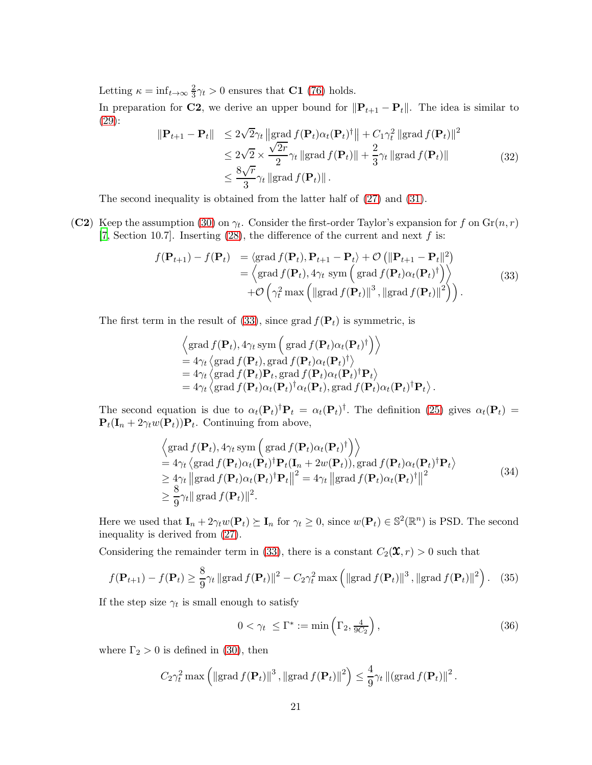Letting  $\kappa = \inf_{t \to \infty} \frac{2}{3}$  $\frac{2}{3}\gamma_t > 0$  ensures that **C1** [\(76\)](#page-37-1) holds.

In preparation for C2, we derive an upper bound for  $\|\mathbf{P}_{t+1} - \mathbf{P}_{t}\|$ . The idea is similar to [\(29\)](#page-19-0):

<span id="page-20-2"></span>
$$
\|\mathbf{P}_{t+1} - \mathbf{P}_t\| \le 2\sqrt{2}\gamma_t \|\text{grad } f(\mathbf{P}_t)\alpha_t(\mathbf{P}_t)^{\dagger}\| + C_1\gamma_t^2 \|\text{grad } f(\mathbf{P}_t)\|^2
$$
  
\n
$$
\le 2\sqrt{2} \times \frac{\sqrt{2r}}{2}\gamma_t \|\text{grad } f(\mathbf{P}_t)\| + \frac{2}{3}\gamma_t \|\text{grad } f(\mathbf{P}_t)\|
$$
  
\n
$$
\le \frac{8\sqrt{r}}{3}\gamma_t \|\text{grad } f(\mathbf{P}_t)\|.
$$
 (32)

The second inequality is obtained from the latter half of [\(27\)](#page-18-4) and [\(31\)](#page-19-1).

(C2) Keep the assumption [\(30\)](#page-19-2) on  $\gamma_t$ . Consider the first-order Taylor's expansion for f on  $\text{Gr}(n, r)$ [\[7,](#page-24-13) Section 10.7]. Inserting [\(28\)](#page-19-3), the difference of the current and next  $f$  is:

<span id="page-20-0"></span>
$$
f(\mathbf{P}_{t+1}) - f(\mathbf{P}_t) = \langle \text{grad } f(\mathbf{P}_t), \mathbf{P}_{t+1} - \mathbf{P}_t \rangle + \mathcal{O} \left( \|\mathbf{P}_{t+1} - \mathbf{P}_t\|^2 \right) = \langle \text{grad } f(\mathbf{P}_t), 4\gamma_t \text{ sym } \left( \text{grad } f(\mathbf{P}_t) \alpha_t(\mathbf{P}_t)^{\dagger} \right) \rangle + \mathcal{O} \left( \gamma_t^2 \max \left( \|\text{grad } f(\mathbf{P}_t)\|^3, \|\text{grad } f(\mathbf{P}_t)\|^2 \right) \right).
$$
 (33)

The first term in the result of [\(33\)](#page-20-0), since grad  $f(\mathbf{P}_t)$  is symmetric, is

$$
\begin{aligned}\n&\left\langle \operatorname{grad} f(\mathbf{P}_t), 4\gamma_t \operatorname{sym} \left( \operatorname{grad} f(\mathbf{P}_t) \alpha_t (\mathbf{P}_t)^{\dagger} \right) \right\rangle \\
&= 4\gamma_t \left\langle \operatorname{grad} f(\mathbf{P}_t), \operatorname{grad} f(\mathbf{P}_t) \alpha_t (\mathbf{P}_t)^{\dagger} \right\rangle \\
&= 4\gamma_t \left\langle \operatorname{grad} f(\mathbf{P}_t) \mathbf{P}_t, \operatorname{grad} f(\mathbf{P}_t) \alpha_t (\mathbf{P}_t)^{\dagger} \mathbf{P}_t \right\rangle \\
&= 4\gamma_t \left\langle \operatorname{grad} f(\mathbf{P}_t) \alpha_t (\mathbf{P}_t)^{\dagger} \alpha_t (\mathbf{P}_t), \operatorname{grad} f(\mathbf{P}_t) \alpha_t (\mathbf{P}_t)^{\dagger} \mathbf{P}_t \right\rangle.\n\end{aligned}
$$

The second equation is due to  $\alpha_t(\mathbf{P}_t)^{\dagger} \mathbf{P}_t = \alpha_t(\mathbf{P}_t)^{\dagger}$ . The definition [\(25\)](#page-18-5) gives  $\alpha_t(\mathbf{P}_t)$  =  $\mathbf{P}_t(\mathbf{I}_n + 2\gamma_t w(\mathbf{P}_t))\mathbf{P}_t$ . Continuing from above,

$$
\begin{aligned}\n\left\langle \operatorname{grad} f(\mathbf{P}_t), 4\gamma_t \operatorname{sym} \left( \operatorname{grad} f(\mathbf{P}_t) \alpha_t (\mathbf{P}_t)^{\dagger} \right) \right\rangle \\
&= 4\gamma_t \left\langle \operatorname{grad} f(\mathbf{P}_t) \alpha_t (\mathbf{P}_t)^{\dagger} \mathbf{P}_t (\mathbf{I}_n + 2w(\mathbf{P}_t)), \operatorname{grad} f(\mathbf{P}_t) \alpha_t (\mathbf{P}_t)^{\dagger} \mathbf{P}_t \right\rangle \\
&\geq 4\gamma_t \left\| \operatorname{grad} f(\mathbf{P}_t) \alpha_t (\mathbf{P}_t)^{\dagger} \mathbf{P}_t \right\|^2 = 4\gamma_t \left\| \operatorname{grad} f(\mathbf{P}_t) \alpha_t (\mathbf{P}_t)^{\dagger} \right\|^2 \\
&\geq \frac{8}{9} \gamma_t \left\| \operatorname{grad} f(\mathbf{P}_t) \right\|^2.\n\end{aligned} \tag{34}
$$

Here we used that  $\mathbf{I}_n + 2\gamma_t w(\mathbf{P}_t) \succeq \mathbf{I}_n$  for  $\gamma_t \geq 0$ , since  $w(\mathbf{P}_t) \in \mathbb{S}^2(\mathbb{R}^n)$  is PSD. The second inequality is derived from [\(27\)](#page-18-4).

Considering the remainder term in [\(33\)](#page-20-0), there is a constant  $C_2(\mathfrak{X}, r) > 0$  such that

<span id="page-20-1"></span>
$$
f(\mathbf{P}_{t+1}) - f(\mathbf{P}_t) \ge \frac{8}{9}\gamma_t \left\| \operatorname{grad} f(\mathbf{P}_t) \right\|^2 - C_2 \gamma_t^2 \max\left( \left\| \operatorname{grad} f(\mathbf{P}_t) \right\|^3, \left\| \operatorname{grad} f(\mathbf{P}_t) \right\|^2 \right). \tag{35}
$$

If the step size  $\gamma_t$  is small enough to satisfy

<span id="page-20-3"></span>
$$
0 < \gamma_t \le \Gamma^* := \min\left(\Gamma_2, \frac{4}{9C_2}\right),\tag{36}
$$

where  $\Gamma_2 > 0$  is defined in [\(30\)](#page-19-2), then

$$
C_2 \gamma_t^2 \max\left(\|\text{grad } f(\mathbf{P}_t)\|^3, \|\text{grad } f(\mathbf{P}_t)\|^2\right) \le \frac{4}{9} \gamma_t \left\|(\text{grad } f(\mathbf{P}_t)\right\|^2.
$$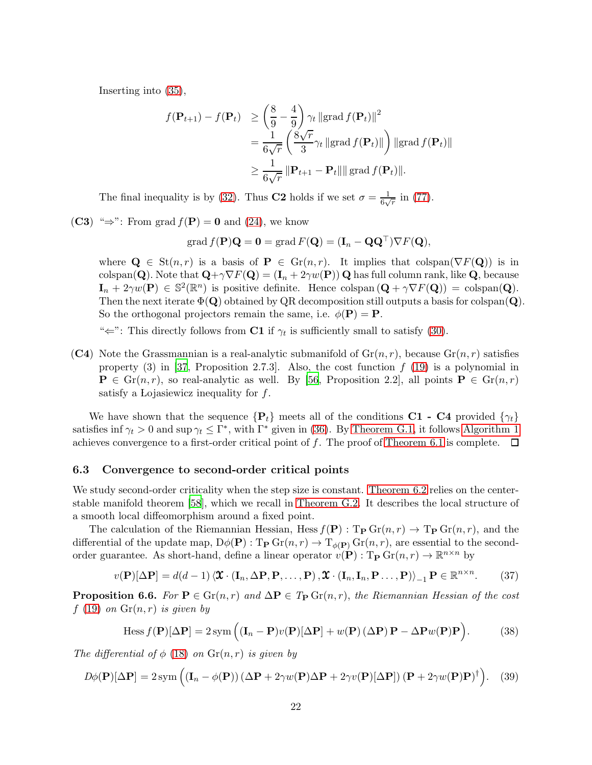Inserting into [\(35\)](#page-20-1),

$$
f(\mathbf{P}_{t+1}) - f(\mathbf{P}_t) \ge \left(\frac{8}{9} - \frac{4}{9}\right) \gamma_t \|\text{grad } f(\mathbf{P}_t)\|^2
$$
  
=  $\frac{1}{6\sqrt{r}} \left(\frac{8\sqrt{r}}{3} \gamma_t \|\text{grad } f(\mathbf{P}_t)\|\right) \|\text{grad } f(\mathbf{P}_t)\|$   
 $\ge \frac{1}{6\sqrt{r}} \|\mathbf{P}_{t+1} - \mathbf{P}_t\| \|\text{grad } f(\mathbf{P}_t)\|.$ 

The final inequality is by [\(32\)](#page-20-2). Thus **C2** holds if we set  $\sigma = \frac{1}{64}$  $\frac{1}{6\sqrt{r}}$  in [\(77\)](#page-37-2).

(C3) "⇒": From grad  $f(P) = 0$  and [\(24\)](#page-18-6), we know

$$
\operatorname{grad} f(\mathbf{P})\mathbf{Q} = \mathbf{0} = \operatorname{grad} F(\mathbf{Q}) = (\mathbf{I}_n - \mathbf{Q}\mathbf{Q}^\top)\nabla F(\mathbf{Q}),
$$

where  $\mathbf{Q} \in \text{St}(n,r)$  is a basis of  $\mathbf{P} \in \text{Gr}(n,r)$ . It implies that colspan $(\nabla F(\mathbf{Q}))$  is in colspan(Q). Note that  $\mathbf{Q} + \gamma \nabla F(\mathbf{Q}) = (\mathbf{I}_n + 2\gamma w(\mathbf{P})) \mathbf{Q}$  has full column rank, like Q, because  $\mathbf{I}_n + 2\gamma w(\mathbf{P}) \in \mathbb{S}^2(\mathbb{R}^n)$  is positive definite. Hence colspan  $(\mathbf{Q} + \gamma \nabla F(\mathbf{Q})) = \text{colspan}(\mathbf{Q})$ . Then the next iterate  $\Phi(Q)$  obtained by QR decomposition still outputs a basis for colspan( $Q$ ). So the orthogonal projectors remain the same, i.e.  $\phi(\mathbf{P}) = \mathbf{P}$ .

" $\Leftarrow$ ": This directly follows from **C1** if  $\gamma_t$  is sufficiently small to satisfy [\(30\)](#page-19-2).

(C4) Note the Grassmannian is a real-analytic submanifold of  $\mathrm{Gr}(n,r)$ , because  $\mathrm{Gr}(n,r)$  satisfies property  $(3)$  in [\[37](#page-26-12), Proposition 2.7.3]. Also, the cost function f  $(19)$  is a polynomial in  $\mathbf{P} \in \mathrm{Gr}(n,r)$ , so real-analytic as well. By [\[56,](#page-27-14) Proposition 2.2], all points  $\mathbf{P} \in \mathrm{Gr}(n,r)$ satisfy a Lojasiewicz inequality for f.

We have shown that the sequence  $\{P_t\}$  meets all of the conditions C1 - C4 provided  $\{\gamma_t\}$ satisfies inf  $\gamma_t > 0$  and sup  $\gamma_t \leq \Gamma^*$ , with  $\Gamma^*$  given in [\(36\)](#page-20-3). By [Theorem G.1,](#page-38-0) it follows [Algorithm 1](#page-5-0) achieves convergence to a first-order critical point of f. The proof of [Theorem 6.1](#page-17-3) is complete.  $\Box$ 

#### <span id="page-21-0"></span>6.3 Convergence to second-order critical points

We study second-order criticality when the step size is constant. [Theorem 6.2](#page-17-4) relies on the centerstable manifold theorem [\[58](#page-27-15)], which we recall in [Theorem G.2.](#page-38-1) It describes the local structure of a smooth local diffeomorphism around a fixed point.

The calculation of the Riemannian Hessian, Hess  $f(\mathbf{P})$ : T<sub>P</sub> Gr $(n, r) \to$  T<sub>P</sub> Gr $(n, r)$ , and the differential of the update map,  $D\phi(\mathbf{P})$ :  $T_{\mathbf{P}}$  Gr $(n,r) \to T_{\phi(\mathbf{P})}$  Gr $(n,r)$ , are essential to the secondorder guarantee. As short-hand, define a linear operator  $v(\mathbf{P})$  :  $T_{\mathbf{P}} Gr(n,r) \to \mathbb{R}^{n \times n}$  by

<span id="page-21-2"></span>
$$
v(\mathbf{P})[\Delta \mathbf{P}] = d(d-1) \left\langle \mathbf{\mathcal{X}} \cdot (\mathbf{I}_n, \Delta \mathbf{P}, \mathbf{P}, \dots, \mathbf{P}), \mathbf{\mathcal{X}} \cdot (\mathbf{I}_n, \mathbf{I}_n, \mathbf{P} \dots, \mathbf{P}) \right\rangle_{-1} \mathbf{P} \in \mathbb{R}^{n \times n}.
$$
 (37)

<span id="page-21-1"></span>**Proposition 6.6.** For  $P \in \text{Gr}(n,r)$  and  $\Delta P \in T_P \text{Gr}(n,r)$ , the Riemannian Hessian of the cost  $f(19)$  $f(19)$  on  $\operatorname{Gr}(n,r)$  is given by

<span id="page-21-3"></span>
$$
\text{Hess}\,f(\mathbf{P})[\Delta\mathbf{P}] = 2\,\text{sym}\,\Big((\mathbf{I}_n - \mathbf{P})v(\mathbf{P})[\Delta\mathbf{P}] + w(\mathbf{P})(\Delta\mathbf{P})\,\mathbf{P} - \Delta\mathbf{P}w(\mathbf{P})\mathbf{P}\Big). \tag{38}
$$

The differential of  $\phi$  [\(18\)](#page-16-3) on  $\text{Gr}(n,r)$  is given by

<span id="page-21-4"></span>
$$
D\phi(\mathbf{P})[\Delta\mathbf{P}] = 2 \operatorname{sym}\left( (\mathbf{I}_n - \phi(\mathbf{P}))\left(\Delta\mathbf{P} + 2\gamma w(\mathbf{P})\Delta\mathbf{P} + 2\gamma v(\mathbf{P})[\Delta\mathbf{P}]\right) (\mathbf{P} + 2\gamma w(\mathbf{P})\mathbf{P})^{\dagger} \right).
$$
 (39)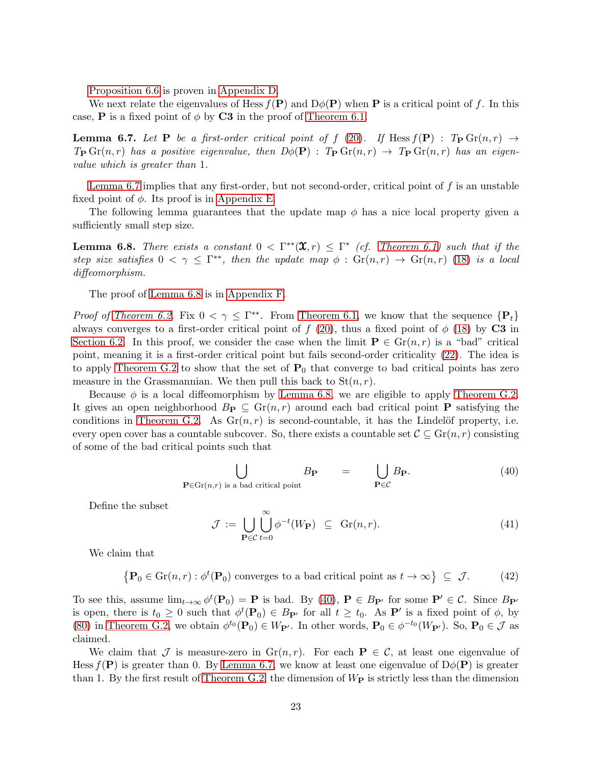[Proposition 6.6](#page-21-1) is proven in [Appendix D.](#page-32-0)

<span id="page-22-0"></span>We next relate the eigenvalues of Hess  $f(\mathbf{P})$  and  $D\phi(\mathbf{P})$  when **P** is a critical point of f. In this case, **P** is a fixed point of  $\phi$  by **C3** in the proof of [Theorem 6.1.](#page-17-3)

**Lemma 6.7.** Let **P** be a first-order critical point of f [\(20\)](#page-17-1). If Hess  $f(\mathbf{P})$  :  $T_{\mathbf{P}} \text{Gr}(n,r) \rightarrow$  $T_{\mathbf{P}}\operatorname{Gr}(n,r)$  has a positive eigenvalue, then  $D\phi(\mathbf{P})$  :  $T_{\mathbf{P}}\operatorname{Gr}(n,r) \to T_{\mathbf{P}}\operatorname{Gr}(n,r)$  has an eigenvalue which is greater than 1.

[Lemma 6.7](#page-22-0) implies that any first-order, but not second-order, critical point of  $f$  is an unstable fixed point of  $\phi$ . Its proof is in [Appendix E.](#page-34-0)

<span id="page-22-1"></span>The following lemma guarantees that the update map  $\phi$  has a nice local property given a sufficiently small step size.

**Lemma 6.8.** There exists a constant  $0 < \Gamma^{**}(\mathfrak{X}, r) \leq \Gamma^{*}$  (cf. [Theorem 6.1\)](#page-17-3) such that if the step size satisfies  $0 < \gamma \le \Gamma^{**}$ , then the update map  $\phi : \text{Gr}(n,r) \to \text{Gr}(n,r)$  [\(18\)](#page-16-3) is a local diffeomorphism.

The proof of [Lemma 6.8](#page-22-1) is in [Appendix F.](#page-37-3)

*Proof of [Theorem 6.2.](#page-17-4)* Fix  $0 < \gamma \le \Gamma^{**}$ . From [Theorem 6.1,](#page-17-3) we know that the sequence  $\{P_t\}$ always converges to a first-order critical point of  $f(20)$  $f(20)$ , thus a fixed point of  $\phi(18)$  $\phi(18)$  by C3 in [Section 6.2.](#page-18-0) In this proof, we consider the case when the limit  $P \in \mathrm{Gr}(n,r)$  is a "bad" critical point, meaning it is a first-order critical point but fails second-order criticality [\(22\)](#page-17-2). The idea is to apply [Theorem G.2](#page-38-1) to show that the set of  $P_0$  that converge to bad critical points has zero measure in the Grassmannian. We then pull this back to  $St(n,r)$ .

Because  $\phi$  is a local diffeomorphism by [Lemma 6.8,](#page-22-1) we are eligible to apply [Theorem G.2.](#page-38-1) It gives an open neighborhood  $B_P \subseteq Gr(n,r)$  around each bad critical point **P** satisfying the conditions in [Theorem G.2.](#page-38-1) As  $Gr(n,r)$  is second-countable, it has the Lindelöf property, i.e. every open cover has a countable subcover. So, there exists a countable set  $\mathcal{C} \subseteq \mathrm{Gr}(n,r)$  consisting of some of the bad critical points such that

<span id="page-22-2"></span>
$$
\bigcup_{\mathbf{P} \in \text{Gr}(n,r) \text{ is a bad critical point}} B_{\mathbf{P}} = \bigcup_{\mathbf{P} \in \mathcal{C}} B_{\mathbf{P}}.
$$
 (40)

Define the subset

$$
\mathcal{J} := \bigcup_{\mathbf{P} \in \mathcal{C}} \bigcup_{t=0}^{\infty} \phi^{-t}(W_{\mathbf{P}}) \subseteq \text{Gr}(n, r). \tag{41}
$$

We claim that

$$
\left\{ \mathbf{P}_0 \in \text{Gr}(n, r) : \phi^t(\mathbf{P}_0) \text{ converges to a bad critical point as } t \to \infty \right\} \subseteq \mathcal{J}.
$$
 (42)

To see this, assume  $\lim_{t\to\infty}\phi^t(\mathbf{P}_0)=\mathbf{P}$  is bad. By [\(40\)](#page-22-2),  $\mathbf{P}\in B_{\mathbf{P}'}$  for some  $\mathbf{P}'\in\mathcal{C}$ . Since  $B_{\mathbf{P}'}$ is open, there is  $t_0 \geq 0$  such that  $\phi^t(\mathbf{P}_0) \in B_{\mathbf{P}'}$  for all  $t \geq t_0$ . As  $\mathbf{P}'$  is a fixed point of  $\phi$ , by [\(80\)](#page-38-2) in [Theorem G.2,](#page-38-1) we obtain  $\phi^{t_0}(\mathbf{P}_0) \in W_{\mathbf{P}'}$ . In other words,  $\mathbf{P}_0 \in \phi^{-t_0}(W_{\mathbf{P}'})$ . So,  $\mathbf{P}_0 \in \mathcal{J}$  as claimed.

We claim that J is measure-zero in  $\text{Gr}(n, r)$ . For each  $P \in \mathcal{C}$ , at least one eigenvalue of Hess  $f(\mathbf{P})$  is greater than 0. By [Lemma 6.7,](#page-22-0) we know at least one eigenvalue of  $D\phi(\mathbf{P})$  is greater than 1. By the first result of [Theorem G.2,](#page-38-1) the dimension of  $W_{\mathbf{P}}$  is strictly less than the dimension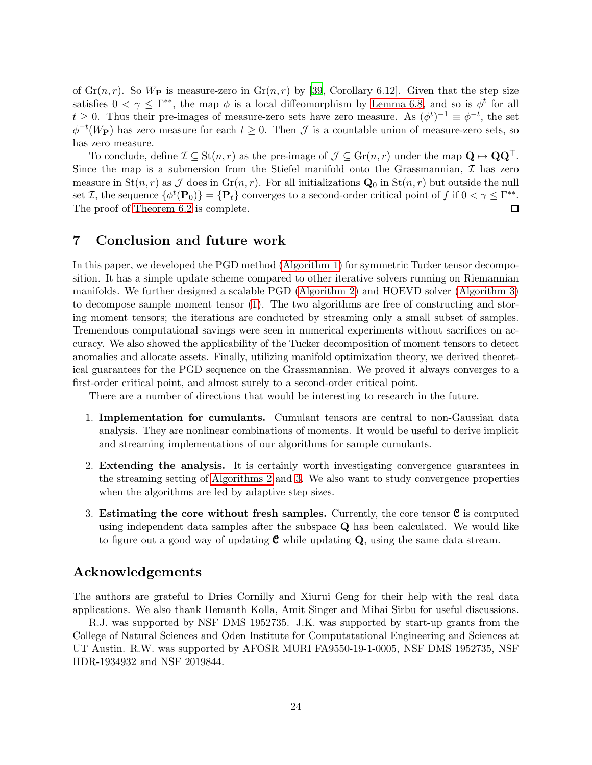of  $\text{Gr}(n, r)$ . So  $W_{\mathbf{P}}$  is measure-zero in  $\text{Gr}(n, r)$  by [\[39,](#page-26-13) Corollary 6.12]. Given that the step size satisfies  $0 < \gamma \le \Gamma^{**}$ , the map  $\phi$  is a local diffeomorphism by [Lemma 6.8,](#page-22-1) and so is  $\phi^t$  for all  $t \geq 0$ . Thus their pre-images of measure-zero sets have zero measure. As  $(\phi^t)^{-1} \equiv \phi^{-t}$ , the set  $\phi^{-t}(W_{\mathbf{P}})$  has zero measure for each  $t \geq 0$ . Then  $\mathcal J$  is a countable union of measure-zero sets, so has zero measure.

To conclude, define  $\mathcal{I} \subseteq \text{St}(n,r)$  as the pre-image of  $\mathcal{J} \subseteq \text{Gr}(n,r)$  under the map  $\mathbf{Q} \mapsto \mathbf{Q} \mathbf{Q}^{\top}$ . Since the map is a submersion from the Stiefel manifold onto the Grassmannian,  $\mathcal I$  has zero measure in  $St(n, r)$  as J does in  $Gr(n, r)$ . For all initializations  $\mathbf{Q}_0$  in  $St(n, r)$  but outside the null set *I*, the sequence  $\{\phi^t(\mathbf{P}_0)\} = \{\mathbf{P}_t\}$  converges to a second-order critical point of f if  $0 < \gamma \le \Gamma^{**}$ . The proof of [Theorem 6.2](#page-17-4) is complete. ◻

### 7 Conclusion and future work

In this paper, we developed the PGD method [\(Algorithm 1\)](#page-5-0) for symmetric Tucker tensor decomposition. It has a simple update scheme compared to other iterative solvers running on Riemannian manifolds. We further designed a scalable PGD [\(Algorithm 2\)](#page-7-0) and HOEVD solver [\(Algorithm 3\)](#page-8-1) to decompose sample moment tensor [\(1\)](#page-1-0). The two algorithms are free of constructing and storing moment tensors; the iterations are conducted by streaming only a small subset of samples. Tremendous computational savings were seen in numerical experiments without sacrifices on accuracy. We also showed the applicability of the Tucker decomposition of moment tensors to detect anomalies and allocate assets. Finally, utilizing manifold optimization theory, we derived theoretical guarantees for the PGD sequence on the Grassmannian. We proved it always converges to a first-order critical point, and almost surely to a second-order critical point.

There are a number of directions that would be interesting to research in the future.

- 1. Implementation for cumulants. Cumulant tensors are central to non-Gaussian data analysis. They are nonlinear combinations of moments. It would be useful to derive implicit and streaming implementations of our algorithms for sample cumulants.
- 2. Extending the analysis. It is certainly worth investigating convergence guarantees in the streaming setting of [Algorithms 2](#page-7-0) and [3.](#page-8-1) We also want to study convergence properties when the algorithms are led by adaptive step sizes.
- 3. Estimating the core without fresh samples. Currently, the core tensor  $\mathfrak{C}$  is computed using independent data samples after the subspace Q has been calculated. We would like to figure out a good way of updating  $C$  while updating  $Q$ , using the same data stream.

### Acknowledgements

The authors are grateful to Dries Cornilly and Xiurui Geng for their help with the real data applications. We also thank Hemanth Kolla, Amit Singer and Mihai Sirbu for useful discussions.

R.J. was supported by NSF DMS 1952735. J.K. was supported by start-up grants from the College of Natural Sciences and Oden Institute for Computatational Engineering and Sciences at UT Austin. R.W. was supported by AFOSR MURI FA9550-19-1-0005, NSF DMS 1952735, NSF HDR-1934932 and NSF 2019844.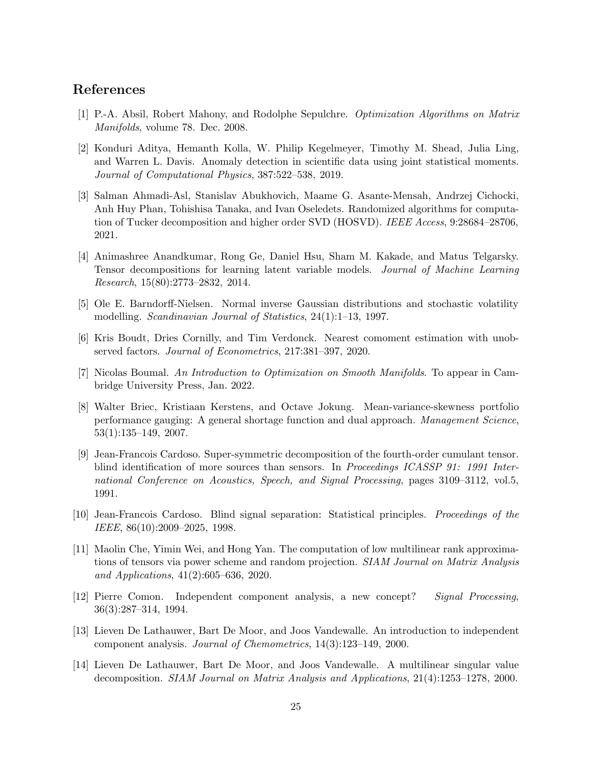### References

- <span id="page-24-11"></span>[1] P.-A. Absil, Robert Mahony, and Rodolphe Sepulchre. Optimization Algorithms on Matrix Manifolds, volume 78. Dec. 2008.
- <span id="page-24-5"></span>[2] Konduri Aditya, Hemanth Kolla, W. Philip Kegelmeyer, Timothy M. Shead, Julia Ling, and Warren L. Davis. Anomaly detection in scientific data using joint statistical moments. Journal of Computational Physics, 387:522–538, 2019.
- <span id="page-24-10"></span>[3] Salman Ahmadi-Asl, Stanislav Abukhovich, Maame G. Asante-Mensah, Andrzej Cichocki, Anh Huy Phan, Tohishisa Tanaka, and Ivan Oseledets. Randomized algorithms for computation of Tucker decomposition and higher order SVD (HOSVD). IEEE Access, 9:28684-28706, 2021.
- <span id="page-24-2"></span>[4] Animashree Anandkumar, Rong Ge, Daniel Hsu, Sham M. Kakade, and Matus Telgarsky. Tensor decompositions for learning latent variable models. Journal of Machine Learning Research, 15(80):2773–2832, 2014.
- <span id="page-24-12"></span>[5] Ole E. Barndorff-Nielsen. Normal inverse Gaussian distributions and stochastic volatility modelling. *Scandinavian Journal of Statistics*, 24(1):1–13, 1997.
- <span id="page-24-7"></span>[6] Kris Boudt, Dries Cornilly, and Tim Verdonck. Nearest comoment estimation with unobserved factors. Journal of Econometrics, 217:381–397, 2020.
- <span id="page-24-13"></span>[7] Nicolas Boumal. An Introduction to Optimization on Smooth Manifolds. To appear in Cambridge University Press, Jan. 2022.
- <span id="page-24-6"></span>[8] Walter Briec, Kristiaan Kerstens, and Octave Jokung. Mean-variance-skewness portfolio performance gauging: A general shortage function and dual approach. Management Science, 53(1):135–149, 2007.
- <span id="page-24-3"></span>[9] Jean-Francois Cardoso. Super-symmetric decomposition of the fourth-order cumulant tensor. blind identification of more sources than sensors. In Proceedings ICASSP 91: 1991 International Conference on Acoustics, Speech, and Signal Processing, pages 3109–3112, vol.5, 1991.
- <span id="page-24-4"></span>[10] Jean-Francois Cardoso. Blind signal separation: Statistical principles. Proceedings of the IEEE, 86(10):2009–2025, 1998.
- <span id="page-24-9"></span>[11] Maolin Che, Yimin Wei, and Hong Yan. The computation of low multilinear rank approximations of tensors via power scheme and random projection. SIAM Journal on Matrix Analysis and Applications, 41(2):605–636, 2020.
- <span id="page-24-0"></span>[12] Pierre Comon. Independent component analysis, a new concept? Signal Processing, 36(3):287–314, 1994.
- <span id="page-24-1"></span>[13] Lieven De Lathauwer, Bart De Moor, and Joos Vandewalle. An introduction to independent component analysis. Journal of Chemometrics, 14(3):123–149, 2000.
- <span id="page-24-8"></span>[14] Lieven De Lathauwer, Bart De Moor, and Joos Vandewalle. A multilinear singular value decomposition. SIAM Journal on Matrix Analysis and Applications, 21(4):1253–1278, 2000.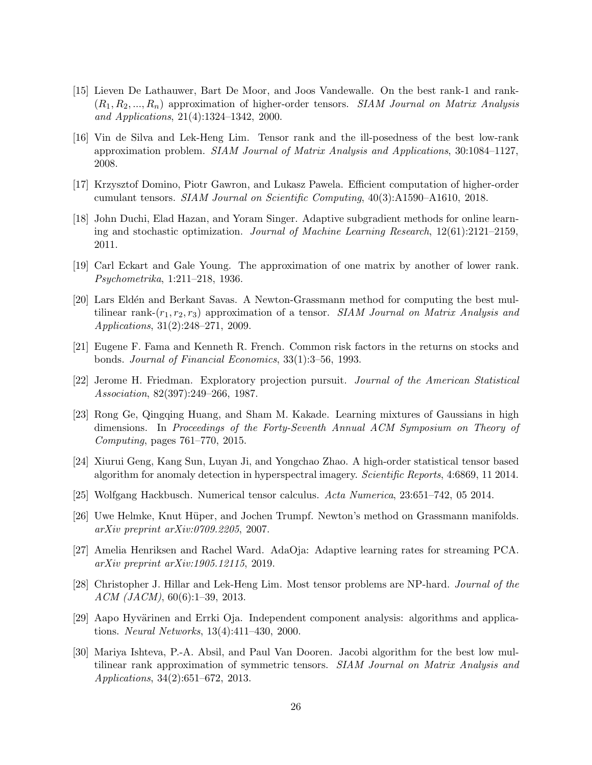- <span id="page-25-6"></span>[15] Lieven De Lathauwer, Bart De Moor, and Joos Vandewalle. On the best rank-1 and rank-  $(R_1, R_2, ..., R_n)$  approximation of higher-order tensors. SIAM Journal on Matrix Analysis and Applications, 21(4):1324–1342, 2000.
- <span id="page-25-9"></span>[16] Vin de Silva and Lek-Heng Lim. Tensor rank and the ill-posedness of the best low-rank approximation problem. SIAM Journal of Matrix Analysis and Applications, 30:1084–1127, 2008.
- <span id="page-25-13"></span>[17] Krzysztof Domino, Piotr Gawron, and Lukasz Pawela. Efficient computation of higher-order cumulant tensors. SIAM Journal on Scientific Computing, 40(3):A1590–A1610, 2018.
- <span id="page-25-12"></span>[18] John Duchi, Elad Hazan, and Yoram Singer. Adaptive subgradient methods for online learning and stochastic optimization. Journal of Machine Learning Research, 12(61):2121–2159, 2011.
- <span id="page-25-10"></span>[19] Carl Eckart and Gale Young. The approximation of one matrix by another of lower rank. Psychometrika, 1:211–218, 1936.
- <span id="page-25-5"></span>[20] Lars Eldén and Berkant Savas. A Newton-Grassmann method for computing the best multilinear rank- $(r_1, r_2, r_3)$  approximation of a tensor. SIAM Journal on Matrix Analysis and Applications, 31(2):248–271, 2009.
- <span id="page-25-3"></span>[21] Eugene F. Fama and Kenneth R. French. Common risk factors in the returns on stocks and bonds. Journal of Financial Economics, 33(1):3–56, 1993.
- <span id="page-25-14"></span>[22] Jerome H. Friedman. Exploratory projection pursuit. Journal of the American Statistical Association, 82(397):249–266, 1987.
- <span id="page-25-1"></span>[23] Rong Ge, Qingqing Huang, and Sham M. Kakade. Learning mixtures of Gaussians in high dimensions. In Proceedings of the Forty-Seventh Annual ACM Symposium on Theory of Computing, pages 761–770, 2015.
- <span id="page-25-2"></span>[24] Xiurui Geng, Kang Sun, Luyan Ji, and Yongchao Zhao. A high-order statistical tensor based algorithm for anomaly detection in hyperspectral imagery. Scientific Reports, 4:6869, 11 2014.
- <span id="page-25-11"></span>[25] Wolfgang Hackbusch. Numerical tensor calculus. Acta Numerica, 23:651–742, 05 2014.
- <span id="page-25-15"></span>[26] Uwe Helmke, Knut Hüper, and Jochen Trumpf. Newton's method on Grassmann manifolds. arXiv preprint arXiv:0709.2205, 2007.
- <span id="page-25-8"></span>[27] Amelia Henriksen and Rachel Ward. AdaOja: Adaptive learning rates for streaming PCA. arXiv preprint arXiv:1905.12115, 2019.
- <span id="page-25-4"></span>[28] Christopher J. Hillar and Lek-Heng Lim. Most tensor problems are NP-hard. Journal of the  $ACM$  (JACM), 60(6):1–39, 2013.
- <span id="page-25-0"></span>[29] Aapo Hyvärinen and Errki Oja. Independent component analysis: algorithms and applications. Neural Networks, 13(4):411–430, 2000.
- <span id="page-25-7"></span>[30] Mariya Ishteva, P.-A. Absil, and Paul Van Dooren. Jacobi algorithm for the best low multilinear rank approximation of symmetric tensors. SIAM Journal on Matrix Analysis and Applications, 34(2):651–672, 2013.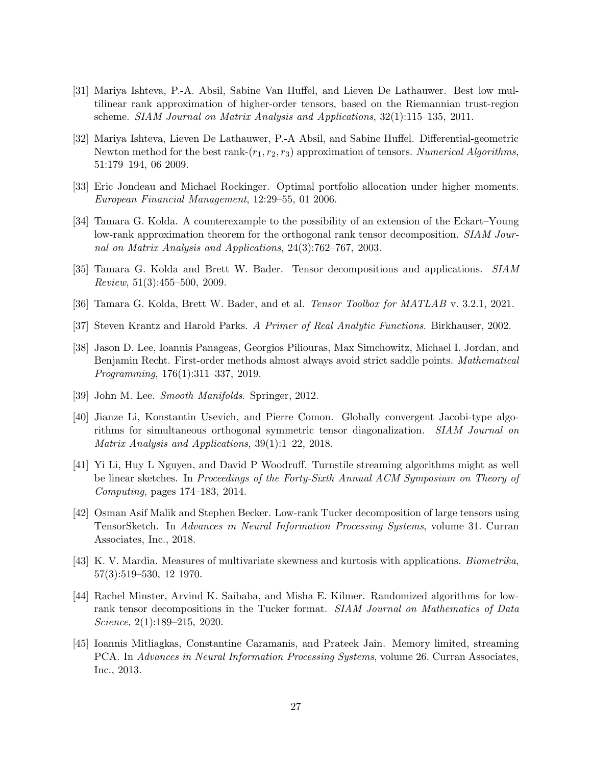- <span id="page-26-4"></span>[31] Mariya Ishteva, P.-A. Absil, Sabine Van Huffel, and Lieven De Lathauwer. Best low multilinear rank approximation of higher-order tensors, based on the Riemannian trust-region scheme. SIAM Journal on Matrix Analysis and Applications, 32(1):115–135, 2011.
- <span id="page-26-3"></span>[32] Mariya Ishteva, Lieven De Lathauwer, P.-A Absil, and Sabine Huffel. Differential-geometric Newton method for the best rank- $(r_1, r_2, r_3)$  approximation of tensors. Numerical Algorithms, 51:179–194, 06 2009.
- <span id="page-26-11"></span>[33] Eric Jondeau and Michael Rockinger. Optimal portfolio allocation under higher moments. European Financial Management, 12:29–55, 01 2006.
- <span id="page-26-7"></span>[34] Tamara G. Kolda. A counterexample to the possibility of an extension of the Eckart–Young low-rank approximation theorem for the orthogonal rank tensor decomposition. SIAM Journal on Matrix Analysis and Applications, 24(3):762–767, 2003.
- <span id="page-26-0"></span>[35] Tamara G. Kolda and Brett W. Bader. Tensor decompositions and applications. SIAM Review, 51(3):455–500, 2009.
- <span id="page-26-9"></span>[36] Tamara G. Kolda, Brett W. Bader, and et al. Tensor Toolbox for MATLAB v. 3.2.1, 2021.
- <span id="page-26-12"></span>[37] Steven Krantz and Harold Parks. A Primer of Real Analytic Functions. Birkhauser, 2002.
- <span id="page-26-14"></span>[38] Jason D. Lee, Ioannis Panageas, Georgios Piliouras, Max Simchowitz, Michael I. Jordan, and Benjamin Recht. First-order methods almost always avoid strict saddle points. Mathematical Programming, 176(1):311–337, 2019.
- <span id="page-26-13"></span>[39] John M. Lee. Smooth Manifolds. Springer, 2012.
- <span id="page-26-5"></span>[40] Jianze Li, Konstantin Usevich, and Pierre Comon. Globally convergent Jacobi-type algorithms for simultaneous orthogonal symmetric tensor diagonalization. SIAM Journal on Matrix Analysis and Applications, 39(1):1–22, 2018.
- <span id="page-26-8"></span>[41] Yi Li, Huy L Nguyen, and David P Woodruff. Turnstile streaming algorithms might as well be linear sketches. In Proceedings of the Forty-Sixth Annual ACM Symposium on Theory of Computing, pages 174–183, 2014.
- <span id="page-26-1"></span>[42] Osman Asif Malik and Stephen Becker. Low-rank Tucker decomposition of large tensors using TensorSketch. In Advances in Neural Information Processing Systems, volume 31. Curran Associates, Inc., 2018.
- <span id="page-26-10"></span>[43] K. V. Mardia. Measures of multivariate skewness and kurtosis with applications. Biometrika, 57(3):519–530, 12 1970.
- <span id="page-26-2"></span>[44] Rachel Minster, Arvind K. Saibaba, and Misha E. Kilmer. Randomized algorithms for lowrank tensor decompositions in the Tucker format. SIAM Journal on Mathematics of Data Science, 2(1):189–215, 2020.
- <span id="page-26-6"></span>[45] Ioannis Mitliagkas, Constantine Caramanis, and Prateek Jain. Memory limited, streaming PCA. In Advances in Neural Information Processing Systems, volume 26. Curran Associates, Inc., 2013.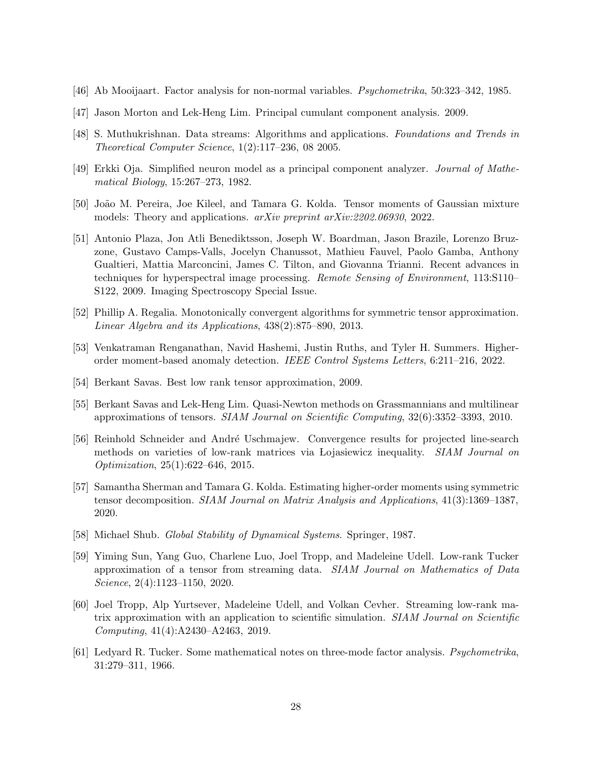- <span id="page-27-3"></span>[46] Ab Mooijaart. Factor analysis for non-normal variables. Psychometrika, 50:323–342, 1985.
- <span id="page-27-2"></span>[47] Jason Morton and Lek-Heng Lim. Principal cumulant component analysis. 2009.
- <span id="page-27-10"></span>[48] S. Muthukrishnan. Data streams: Algorithms and applications. Foundations and Trends in Theoretical Computer Science, 1(2):117–236, 08 2005.
- <span id="page-27-7"></span>[49] Erkki Oja. Simplified neuron model as a principal component analyzer. Journal of Mathematical Biology, 15:267–273, 1982.
- <span id="page-27-9"></span>[50] Jo˜ao M. Pereira, Joe Kileel, and Tamara G. Kolda. Tensor moments of Gaussian mixture models: Theory and applications. arXiv preprint arXiv:2202.06930, 2022.
- <span id="page-27-13"></span>[51] Antonio Plaza, Jon Atli Benediktsson, Joseph W. Boardman, Jason Brazile, Lorenzo Bruzzone, Gustavo Camps-Valls, Jocelyn Chanussot, Mathieu Fauvel, Paolo Gamba, Anthony Gualtieri, Mattia Marconcini, James C. Tilton, and Giovanna Trianni. Recent advances in techniques for hyperspectral image processing. Remote Sensing of Environment, 113:S110– S122, 2009. Imaging Spectroscopy Special Issue.
- <span id="page-27-6"></span>[52] Phillip A. Regalia. Monotonically convergent algorithms for symmetric tensor approximation. Linear Algebra and its Applications, 438(2):875–890, 2013.
- <span id="page-27-1"></span>[53] Venkatraman Renganathan, Navid Hashemi, Justin Ruths, and Tyler H. Summers. Higherorder moment-based anomaly detection. IEEE Control Systems Letters, 6:211–216, 2022.
- <span id="page-27-12"></span>[54] Berkant Savas. Best low rank tensor approximation, 2009.
- <span id="page-27-5"></span>[55] Berkant Savas and Lek-Heng Lim. Quasi-Newton methods on Grassmannians and multilinear approximations of tensors. SIAM Journal on Scientific Computing, 32(6):3352–3393, 2010.
- <span id="page-27-14"></span>[56] Reinhold Schneider and André Uschmajew. Convergence results for projected line-search methods on varieties of low-rank matrices via Lojasiewicz inequality. SIAM Journal on Optimization, 25(1):622–646, 2015.
- <span id="page-27-8"></span>[57] Samantha Sherman and Tamara G. Kolda. Estimating higher-order moments using symmetric tensor decomposition. SIAM Journal on Matrix Analysis and Applications, 41(3):1369–1387, 2020.
- <span id="page-27-15"></span>[58] Michael Shub. Global Stability of Dynamical Systems. Springer, 1987.
- <span id="page-27-4"></span>[59] Yiming Sun, Yang Guo, Charlene Luo, Joel Tropp, and Madeleine Udell. Low-rank Tucker approximation of a tensor from streaming data. SIAM Journal on Mathematics of Data Science, 2(4):1123–1150, 2020.
- <span id="page-27-11"></span>[60] Joel Tropp, Alp Yurtsever, Madeleine Udell, and Volkan Cevher. Streaming low-rank matrix approximation with an application to scientific simulation. SIAM Journal on Scientific Computing, 41(4):A2430–A2463, 2019.
- <span id="page-27-0"></span>[61] Ledyard R. Tucker. Some mathematical notes on three-mode factor analysis. Psychometrika, 31:279–311, 1966.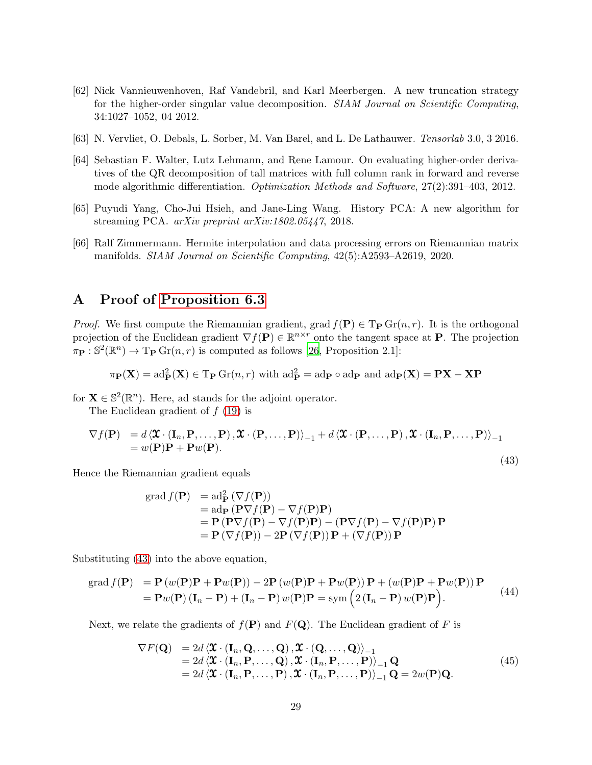- <span id="page-28-0"></span>[62] Nick Vannieuwenhoven, Raf Vandebril, and Karl Meerbergen. A new truncation strategy for the higher-order singular value decomposition. SIAM Journal on Scientific Computing, 34:1027–1052, 04 2012.
- <span id="page-28-2"></span>[63] N. Vervliet, O. Debals, L. Sorber, M. Van Barel, and L. De Lathauwer. Tensorlab 3.0, 3 2016.
- <span id="page-28-6"></span>[64] Sebastian F. Walter, Lutz Lehmann, and Rene Lamour. On evaluating higher-order derivatives of the QR decomposition of tall matrices with full column rank in forward and reverse mode algorithmic differentiation. Optimization Methods and Software, 27(2):391–403, 2012.
- <span id="page-28-1"></span>[65] Puyudi Yang, Cho-Jui Hsieh, and Jane-Ling Wang. History PCA: A new algorithm for streaming PCA. arXiv preprint arXiv:1802.05447, 2018.
- <span id="page-28-7"></span>[66] Ralf Zimmermann. Hermite interpolation and data processing errors on Riemannian matrix manifolds. SIAM Journal on Scientific Computing, 42(5):A2593–A2619, 2020.

# <span id="page-28-3"></span>A Proof of [Proposition 6.3](#page-18-1)

*Proof.* We first compute the Riemannian gradient, grad  $f(\mathbf{P}) \in \mathrm{Tp} \operatorname{Gr}(n,r)$ . It is the orthogonal projection of the Euclidean gradient  $\nabla f(\mathbf{P}) \in \mathbb{R}^{n \times r}$  onto the tangent space at **P**. The projection  $\pi_{\mathbf{P}} : \mathbb{S}^2(\mathbb{R}^n) \to \mathcal{T}_{\mathbf{P}} \operatorname{Gr}(n,r)$  is computed as follows [\[26](#page-25-15), Proposition 2.1]:

$$
\pi_{\mathbf{P}}(\mathbf{X}) = \mathrm{ad}_{\mathbf{P}}^2(\mathbf{X}) \in \mathrm{Tr} \mathrm{Gr}(n, r)
$$
 with  $\mathrm{ad}_{\mathbf{P}}^2 = \mathrm{ad}_{\mathbf{P}} \circ \mathrm{ad}_{\mathbf{P}}$  and  $\mathrm{ad}_{\mathbf{P}}(\mathbf{X}) = \mathbf{P}\mathbf{X} - \mathbf{X}\mathbf{P}$ 

for  $\mathbf{X} \in \mathbb{S}^2(\mathbb{R}^n)$ . Here, ad stands for the adjoint operator.

The Euclidean gradient of  $f(19)$  $f(19)$  is

<span id="page-28-4"></span>
$$
\nabla f(\mathbf{P}) = d \langle \mathbf{\mathcal{X}} \cdot (\mathbf{I}_n, \mathbf{P}, \dots, \mathbf{P}), \mathbf{\mathcal{X}} \cdot (\mathbf{P}, \dots, \mathbf{P}) \rangle_{-1} + d \langle \mathbf{\mathcal{X}} \cdot (\mathbf{P}, \dots, \mathbf{P}), \mathbf{\mathcal{X}} \cdot (\mathbf{I}_n, \mathbf{P}, \dots, \mathbf{P}) \rangle_{-1}
$$
  
= w(\mathbf{P})\mathbf{P} + \mathbf{P}w(\mathbf{P}).

(43)

Hence the Riemannian gradient equals

grad 
$$
f(\mathbf{P})
$$
 = ad<sub>**P**</sub> $\nabla f(\mathbf{P})$   
\n= ad<sub>**P**</sub> $(\nabla \nabla f(\mathbf{P})) - \nabla f(\mathbf{P})\mathbf{P}$   
\n=  $\mathbf{P}(\mathbf{P}\nabla f(\mathbf{P}) - \nabla f(\mathbf{P})\mathbf{P}) - (\mathbf{P}\nabla f(\mathbf{P}) - \nabla f(\mathbf{P})\mathbf{P})\mathbf{P}$   
\n=  $\mathbf{P}(\nabla f(\mathbf{P})) - 2\mathbf{P}(\nabla f(\mathbf{P}))\mathbf{P} + (\nabla f(\mathbf{P}))\mathbf{P}$ 

Substituting [\(43\)](#page-28-4) into the above equation,

<span id="page-28-5"></span>grad 
$$
f(\mathbf{P})
$$
 =  $\mathbf{P}(w(\mathbf{P})\mathbf{P} + \mathbf{P}w(\mathbf{P})) - 2\mathbf{P}(w(\mathbf{P})\mathbf{P} + \mathbf{P}w(\mathbf{P}))\mathbf{P} + (w(\mathbf{P})\mathbf{P} + \mathbf{P}w(\mathbf{P}))\mathbf{P}$   
=  $\mathbf{P}w(\mathbf{P}) (\mathbf{I}_n - \mathbf{P}) + (\mathbf{I}_n - \mathbf{P})w(\mathbf{P})\mathbf{P} = \text{sym} (2(\mathbf{I}_n - \mathbf{P})w(\mathbf{P})\mathbf{P}).$  (44)

Next, we relate the gradients of  $f(\mathbf{P})$  and  $F(\mathbf{Q})$ . The Euclidean gradient of F is

<span id="page-28-8"></span>
$$
\nabla F(\mathbf{Q}) = 2d \langle \mathbf{\mathcal{X}} \cdot (\mathbf{I}_n, \mathbf{Q}, \dots, \mathbf{Q}), \mathbf{\mathcal{X}} \cdot (\mathbf{Q}, \dots, \mathbf{Q}) \rangle_{-1}
$$
  
= 2d \langle \mathbf{\mathcal{X}} \cdot (\mathbf{I}\_n, \mathbf{P}, \dots, \mathbf{Q}), \mathbf{\mathcal{X}} \cdot (\mathbf{I}\_n, \mathbf{P}, \dots, \mathbf{P}) \rangle\_{-1} \mathbf{Q}  
= 2d \langle \mathbf{\mathcal{X}} \cdot (\mathbf{I}\_n, \mathbf{P}, \dots, \mathbf{P}), \mathbf{\mathcal{X}} \cdot (\mathbf{I}\_n, \mathbf{P}, \dots, \mathbf{P}) \rangle\_{-1} \mathbf{Q} = 2w(\mathbf{P})\mathbf{Q}. (45)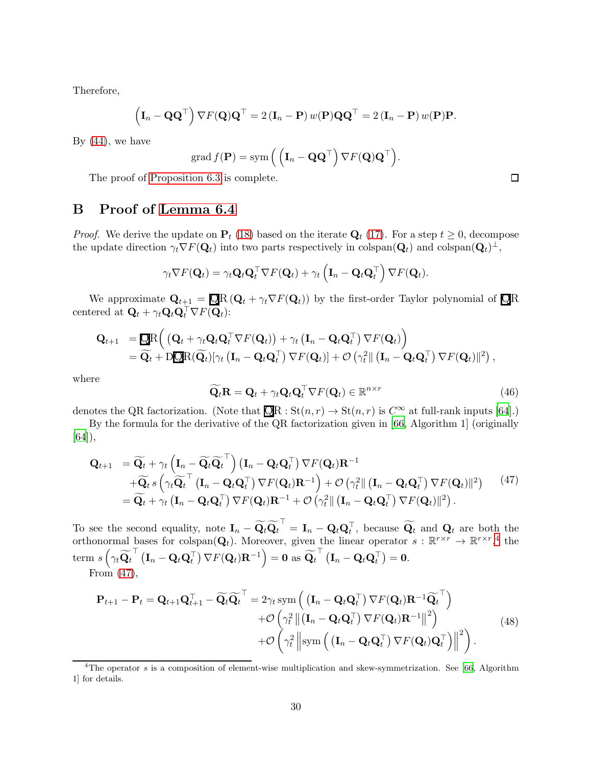Therefore,

$$
(\mathbf{I}_n - \mathbf{Q}\mathbf{Q}^\top)\nabla F(\mathbf{Q})\mathbf{Q}^\top = 2(\mathbf{I}_n - \mathbf{P})w(\mathbf{P})\mathbf{Q}\mathbf{Q}^\top = 2(\mathbf{I}_n - \mathbf{P})w(\mathbf{P})\mathbf{P}.
$$

By  $(44)$ , we have

$$
\operatorname{grad} f(\mathbf{P}) = \operatorname{sym}\left(\left(\mathbf{I}_n - \mathbf{Q}\mathbf{Q}^\top\right)\nabla F(\mathbf{Q})\mathbf{Q}^\top\right).
$$

The proof of [Proposition 6.3](#page-18-1) is complete.

# <span id="page-29-0"></span>B Proof of [Lemma 6.4](#page-18-2)

*Proof.* We derive the update on  $P_t$  [\(18\)](#page-16-3) based on the iterate  $Q_t$  [\(17\)](#page-16-2). For a step  $t \geq 0$ , decompose the update direction  $\gamma_t \nabla F(\mathbf{Q}_t)$  into two parts respectively in colspan $(\mathbf{Q}_t)$  and colspan $(\mathbf{Q}_t)^{\perp}$ ,

$$
\gamma_t \nabla F(\mathbf{Q}_t) = \gamma_t \mathbf{Q}_t \mathbf{Q}_t^\top \nabla F(\mathbf{Q}_t) + \gamma_t \left(\mathbf{I}_n - \mathbf{Q}_t \mathbf{Q}_t^\top\right) \nabla F(\mathbf{Q}_t).
$$

We approximate  $\mathbf{Q}_{t+1} = \mathbf{QR}(\mathbf{Q}_t + \gamma_t \nabla F(\mathbf{Q}_t))$  by the first-order Taylor polynomial of  $\mathbf{QR}$ centered at  $\mathbf{Q}_t + \gamma_t \mathbf{Q}_t \mathbf{Q}_t^\top \nabla F(\mathbf{Q}_t)$ :

$$
\begin{array}{ll}\mathbf{Q}_{t+1} & = \mathbf{\mathbf{Q}} \mathbf{R} \Big( \left( \mathbf{Q}_t + \gamma_t \mathbf{Q}_t \mathbf{Q}_t^\top \nabla F(\mathbf{Q}_t) \right) + \gamma_t \left( \mathbf{I}_n - \mathbf{Q}_t \mathbf{Q}_t^\top \right) \nabla F(\mathbf{Q}_t) \Big) \\
 & = \widetilde{\mathbf{Q}}_t + \mathbf{D} \mathbf{\mathbf{Q}} \mathbf{R} (\widetilde{\mathbf{Q}}_t) [\gamma_t \left( \mathbf{I}_n - \mathbf{Q}_t \mathbf{Q}_t^\top \right) \nabla F(\mathbf{Q}_t) ] + \mathcal{O} \left( \gamma_t^2 \|\left( \mathbf{I}_n - \mathbf{Q}_t \mathbf{Q}_t^\top \right) \nabla F(\mathbf{Q}_t) \|^2 \right),\n\end{array}
$$

where

<span id="page-29-4"></span>
$$
\widetilde{\mathbf{Q}_t} \mathbf{R} = \mathbf{Q}_t + \gamma_t \mathbf{Q}_t \mathbf{Q}_t^\top \nabla F(\mathbf{Q}_t) \in \mathbb{R}^{n \times r}
$$
\n(46)

denotes the QR factorization. (Note that  $\overline{\mathbf{QR}} : \mathrm{St}(n, r) \to \mathrm{St}(n, r)$  is  $C^{\infty}$  at full-rank inputs [\[64](#page-28-6)].)

By the formula for the derivative of the QR factorization given in [\[66](#page-28-7), Algorithm 1] (originally [\[64](#page-28-6)]),

<span id="page-29-2"></span>
$$
\mathbf{Q}_{t+1} = \widetilde{\mathbf{Q}_t} + \gamma_t \left( \mathbf{I}_n - \widetilde{\mathbf{Q}_t} \widetilde{\mathbf{Q}_t}^{\top} \right) \left( \mathbf{I}_n - \mathbf{Q}_t \mathbf{Q}_t^{\top} \right) \nabla F(\mathbf{Q}_t) \mathbf{R}^{-1} \n+ \widetilde{\mathbf{Q}_t} s \left( \gamma_t \widetilde{\mathbf{Q}_t}^{\top} \left( \mathbf{I}_n - \mathbf{Q}_t \mathbf{Q}_t^{\top} \right) \nabla F(\mathbf{Q}_t) \mathbf{R}^{-1} \right) + \mathcal{O} \left( \gamma_t^2 \|\left( \mathbf{I}_n - \mathbf{Q}_t \mathbf{Q}_t^{\top} \right) \nabla F(\mathbf{Q}_t) \|^2 \right) \n= \widetilde{\mathbf{Q}_t} + \gamma_t \left( \mathbf{I}_n - \mathbf{Q}_t \mathbf{Q}_t^{\top} \right) \nabla F(\mathbf{Q}_t) \mathbf{R}^{-1} + \mathcal{O} \left( \gamma_t^2 \|\left( \mathbf{I}_n - \mathbf{Q}_t \mathbf{Q}_t^{\top} \right) \nabla F(\mathbf{Q}_t) \|^2 \right).
$$
\n(47)

To see the second equality, note  $\mathbf{I}_n - \widetilde{\mathbf{Q}_t} \widetilde{\mathbf{Q}_t}^{\top} = \mathbf{I}_n - \mathbf{Q}_t \mathbf{Q}_t^{\top}$ , because  $\widetilde{\mathbf{Q}_t}$  and  $\mathbf{Q}_t$  are both the orthonormal bases for colspan( $\mathbf{Q}_t$ ). Moreover, given the linear operator  $s : \mathbb{R}^{r \times r} \to \mathbb{R}^{r \times r}$ ,<sup>[4](#page-29-1)</sup> the  $\text{term}\,\,s\left(\gamma_t\widetilde{\mathbf{Q}_t}^\top\left(\mathbf{I}_n-\mathbf{Q}_t\mathbf{Q}_t^\top\right)\nabla F(\mathbf{Q}_t)\mathbf{R}^{-1}\right)=\mathbf{0}\,\,\text{as}\,\,\widetilde{\mathbf{Q}_t}^\top\left(\mathbf{I}_n-\mathbf{Q}_t\mathbf{Q}_t^\top\right)=\mathbf{0}.$ From [\(47\)](#page-29-2),

<span id="page-29-3"></span>
$$
\mathbf{P}_{t+1} - \mathbf{P}_t = \mathbf{Q}_{t+1} \mathbf{Q}_{t+1}^\top - \widetilde{\mathbf{Q}_t} \widetilde{\mathbf{Q}_t}^\top = 2\gamma_t \operatorname{sym}\left( \left( \mathbf{I}_n - \mathbf{Q}_t \mathbf{Q}_t^\top \right) \nabla F(\mathbf{Q}_t) \mathbf{R}^{-1} \widetilde{\mathbf{Q}_t}^\top \right) \n+ \mathcal{O}\left( \gamma_t^2 \left\| \left( \mathbf{I}_n - \mathbf{Q}_t \mathbf{Q}_t^\top \right) \nabla F(\mathbf{Q}_t) \mathbf{R}^{-1} \right\|^2 \right) \n+ \mathcal{O}\left( \gamma_t^2 \left\| \operatorname{sym}\left( \left( \mathbf{I}_n - \mathbf{Q}_t \mathbf{Q}_t^\top \right) \nabla F(\mathbf{Q}_t) \mathbf{Q}_t^\top \right) \right\|^2 \right).
$$
\n(48)

口

<span id="page-29-1"></span><sup>&</sup>lt;sup>4</sup>The operator s is a composition of element-wise multiplication and skew-symmetrization. See [\[66](#page-28-7), Algorithm 1] for details.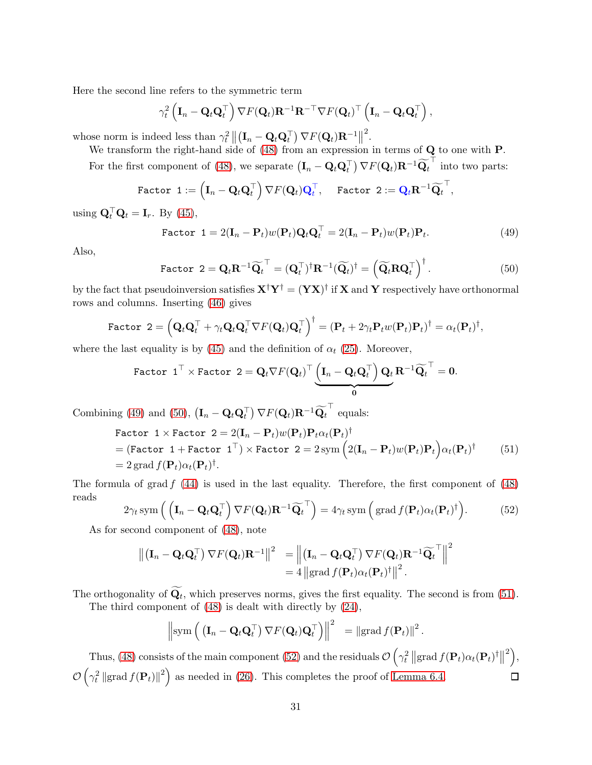Here the second line refers to the symmetric term

$$
\gamma_t^2\left(\mathbf{I}_n-\mathbf{Q}_t\mathbf{Q}_t^\top\right)\nabla F(\mathbf{Q}_t)\mathbf{R}^{-1}\mathbf{R}^{-\top}\nabla F(\mathbf{Q}_t)^\top\left(\mathbf{I}_n-\mathbf{Q}_t\mathbf{Q}_t^\top\right),\,
$$

whose norm is indeed less than  $\gamma_t^2 || (\mathbf{I}_n - \mathbf{Q}_t \mathbf{Q}_t^{\top}) \nabla F(\mathbf{Q}_t) \mathbf{R}^{-1} ||^2$ .

We transform the right-hand side of  $(48)$  from an expression in terms of  $\mathbf Q$  to one with **P**. For the first component of [\(48\)](#page-29-3), we separate  $(\mathbf{I}_n - \mathbf{Q}_t \mathbf{Q}_t^\top) \nabla F(\mathbf{Q}_t) \mathbf{R}^{-1} \widetilde{\mathbf{Q}_t}^\top$  into two parts:

$$
\text{\texttt{Factor}} \hspace{2mm} 1 := \left(\mathbf{I}_n - \mathbf{Q}_t \mathbf{Q}_t^\top\right) \nabla F(\mathbf{Q}_t) \mathbf{Q}_t^\top, \quad \text{\texttt{Factor}} \hspace{2mm} 2 := \mathbf{Q}_t \mathbf{R}^{-1} \widetilde{\mathbf{Q}_t}^\top,
$$

using  $\mathbf{Q}_t^\top \mathbf{Q}_t = \mathbf{I}_r$ . By [\(45\)](#page-28-8),

<span id="page-30-1"></span>Factor 
$$
\mathbf{1} = 2(\mathbf{I}_n - \mathbf{P}_t)w(\mathbf{P}_t)\mathbf{Q}_t\mathbf{Q}_t^\top = 2(\mathbf{I}_n - \mathbf{P}_t)w(\mathbf{P}_t)\mathbf{P}_t.
$$
 (49)

Also,

<span id="page-30-2"></span>Factor 
$$
2 = \mathbf{Q}_t \mathbf{R}^{-1} \widetilde{\mathbf{Q}_t}^{\top} = (\mathbf{Q}_t^{\top})^{\dagger} \mathbf{R}^{-1} (\widetilde{\mathbf{Q}_t})^{\dagger} = (\widetilde{\mathbf{Q}_t} \mathbf{R} \mathbf{Q}_t^{\top})^{\dagger}.
$$
 (50)

by the fact that pseudoinversion satisfies  $X^{\dagger}Y^{\dagger} = (\mathbf{Y}X)^{\dagger}$  if X and Y respectively have orthonormal rows and columns. Inserting [\(46\)](#page-29-4) gives

Factor 
$$
2 = (\mathbf{Q}_t \mathbf{Q}_t^\top + \gamma_t \mathbf{Q}_t \mathbf{Q}_t^\top \nabla F(\mathbf{Q}_t) \mathbf{Q}_t^\top)^{\dagger} = (\mathbf{P}_t + 2\gamma_t \mathbf{P}_t w(\mathbf{P}_t) \mathbf{P}_t)^{\dagger} = \alpha_t (\mathbf{P}_t)^{\dagger},
$$

where the last equality is by [\(45\)](#page-28-8) and the definition of  $\alpha_t$  [\(25\)](#page-18-5). Moreover,

Factor 
$$
\mathbf{1}^{\top} \times \text{Factor } \mathbf{2} = \mathbf{Q}_t \nabla F(\mathbf{Q}_t)^{\top} \underbrace{\left(\mathbf{I}_n - \mathbf{Q}_t \mathbf{Q}_t^{\top}\right) \mathbf{Q}_t}_{\mathbf{0}} \mathbf{R}^{-1} \widetilde{\mathbf{Q}_t}^{\top} = \mathbf{0}.
$$

Combining [\(49\)](#page-30-1) and [\(50\)](#page-30-2),  $(\mathbf{I}_n - \mathbf{Q}_t \mathbf{Q}_t^{\top}) \nabla F(\mathbf{Q}_t) \mathbf{R}^{-1} \widetilde{\mathbf{Q}_t}^{\top}$  equals:

<span id="page-30-0"></span>Factor 
$$
1 \times \text{Factor } 2 = 2(\mathbf{I}_n - \mathbf{P}_t) w(\mathbf{P}_t) \mathbf{P}_t \alpha_t (\mathbf{P}_t)^{\dagger}
$$
  
\n= (Factor  $1 + \text{Factor } 1^{\top} \times \text{Factor } 2 = 2 \text{sym } (2(\mathbf{I}_n - \mathbf{P}_t) w(\mathbf{P}_t) \mathbf{P}_t) \alpha_t (\mathbf{P}_t)^{\dagger}$  (51)  
\n= 2 grad  $f(\mathbf{P}_t) \alpha_t (\mathbf{P}_t)^{\dagger}$ .

The formula of grad  $f$  [\(44\)](#page-28-5) is used in the last equality. Therefore, the first component of [\(48\)](#page-29-3) reads

<span id="page-30-3"></span>
$$
2\gamma_t \operatorname{sym}\left(\left(\mathbf{I}_n - \mathbf{Q}_t \mathbf{Q}_t^\top\right) \nabla F(\mathbf{Q}_t) \mathbf{R}^{-1} \widetilde{\mathbf{Q}_t}^\top\right) = 4\gamma_t \operatorname{sym}\left(\operatorname{grad} f(\mathbf{P}_t) \alpha_t(\mathbf{P}_t)^\dagger\right). \tag{52}
$$

As for second component of [\(48\)](#page-29-3), note

$$
\begin{array}{ll}\n\left\|\left(\mathbf{I}_n-\mathbf{Q}_t\mathbf{Q}_t^\top\right)\nabla F(\mathbf{Q}_t)\mathbf{R}^{-1}\right\|^2 & = \left\|\left(\mathbf{I}_n-\mathbf{Q}_t\mathbf{Q}_t^\top\right)\nabla F(\mathbf{Q}_t)\mathbf{R}^{-1}\widetilde{\mathbf{Q}_t}^\top\right\|^2 \\
& = 4\left\|\operatorname{grad} f(\mathbf{P}_t)\alpha_t(\mathbf{P}_t)^\dagger\right\|^2.\n\end{array}
$$

The orthogonality of  $\mathbf{Q}_t$ , which preserves norms, gives the first equality. The second is from [\(51\)](#page-30-0).

The third component of [\(48\)](#page-29-3) is dealt with directly by [\(24\)](#page-18-6),

$$
\left\|\operatorname{sym}\left(\left(\mathbf{I}_n-\mathbf{Q}_t\mathbf{Q}_t^{\top}\right)\nabla F(\mathbf{Q}_t)\mathbf{Q}_t^{\top}\right)\right\|^2 = \|\operatorname{grad} f(\mathbf{P}_t)\|^2.
$$

Thus, [\(48\)](#page-29-3) consists of the main component [\(52\)](#page-30-3) and the residuals  $\mathcal{O}\left(\gamma_t^2\left\Vert \mathrm{grad}\,f(\mathbf{P}_t)\alpha_t(\mathbf{P}_t)^{\dagger}\right\Vert^2\right)$ ,  $(\gamma_t^2 \|\text{grad } f(\mathbf{P}_t)\|^2)$  as needed in [\(26\)](#page-18-7). This completes the proof of [Lemma 6.4.](#page-18-2) П  $\circ$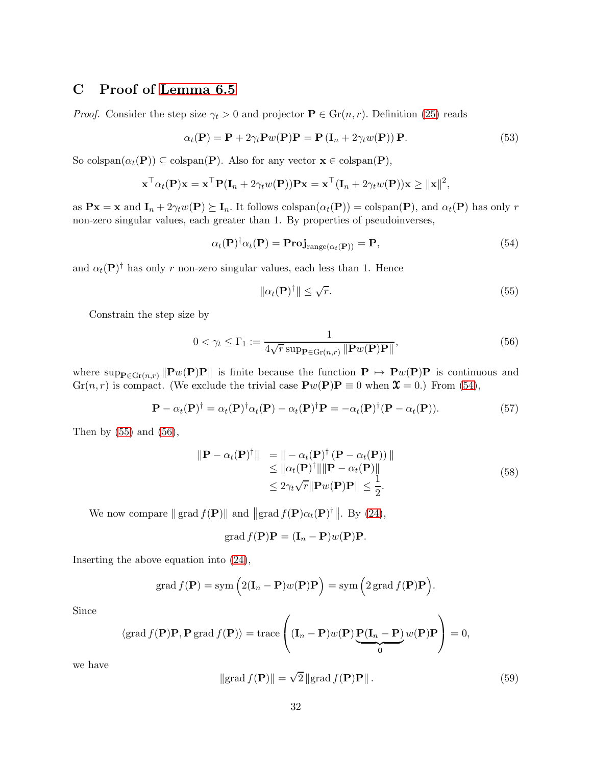# <span id="page-31-0"></span>C Proof of [Lemma 6.5](#page-18-3)

*Proof.* Consider the step size  $\gamma_t > 0$  and projector  $P \in \text{Gr}(n, r)$ . Definition [\(25\)](#page-18-5) reads

$$
\alpha_t(\mathbf{P}) = \mathbf{P} + 2\gamma_t \mathbf{P} w(\mathbf{P}) \mathbf{P} = \mathbf{P} (\mathbf{I}_n + 2\gamma_t w(\mathbf{P})) \mathbf{P}.
$$
 (53)

So colspan $(\alpha_t(\mathbf{P})) \subseteq \text{colspan}(\mathbf{P})$ . Also for any vector  $\mathbf{x} \in \text{colspan}(\mathbf{P})$ ,

$$
\mathbf{x}^{\top} \alpha_t(\mathbf{P}) \mathbf{x} = \mathbf{x}^{\top} \mathbf{P} (\mathbf{I}_n + 2\gamma_t w(\mathbf{P})) \mathbf{P} \mathbf{x} = \mathbf{x}^{\top} (\mathbf{I}_n + 2\gamma_t w(\mathbf{P})) \mathbf{x} \ge ||\mathbf{x}||^2,
$$

as  $\mathbf{P} \mathbf{x} = \mathbf{x}$  and  $\mathbf{I}_n + 2\gamma_t w(\mathbf{P}) \succeq \mathbf{I}_n$ . It follows colspan $(\alpha_t(\mathbf{P})) = \text{colspan}(\mathbf{P})$ , and  $\alpha_t(\mathbf{P})$  has only r non-zero singular values, each greater than 1. By properties of pseudoinverses,

<span id="page-31-1"></span>
$$
\alpha_t(\mathbf{P})^{\dagger} \alpha_t(\mathbf{P}) = \mathbf{Proj}_{range(\alpha_t(\mathbf{P}))} = \mathbf{P},\tag{54}
$$

and  $\alpha_t(\mathbf{P})^{\dagger}$  has only r non-zero singular values, each less than 1. Hence

<span id="page-31-2"></span>
$$
\|\alpha_t(\mathbf{P})^\dagger\| \le \sqrt{r}.\tag{55}
$$

Constrain the step size by

<span id="page-31-3"></span>
$$
0 < \gamma_t \le \Gamma_1 := \frac{1}{4\sqrt{r} \sup_{\mathbf{P} \in \text{Gr}(n,r)} \|\mathbf{P}w(\mathbf{P})\mathbf{P}\|},\tag{56}
$$

where  $\sup_{\mathbf{P}\in\text{Gr}(n,r)} \|\mathbf{P}w(\mathbf{P})\mathbf{P}\|$  is finite because the function  $\mathbf{P} \mapsto \mathbf{P}w(\mathbf{P})\mathbf{P}$  is continuous and  $Gr(n, r)$  is compact. (We exclude the trivial case  $\mathbf{P}w(\mathbf{P})\mathbf{P} \equiv 0$  when  $\mathbf{\mathfrak{X}} = 0$ .) From [\(54\)](#page-31-1),

<span id="page-31-4"></span>
$$
\mathbf{P} - \alpha_t(\mathbf{P})^{\dagger} = \alpha_t(\mathbf{P})^{\dagger} \alpha_t(\mathbf{P}) - \alpha_t(\mathbf{P})^{\dagger} \mathbf{P} = -\alpha_t(\mathbf{P})^{\dagger} (\mathbf{P} - \alpha_t(\mathbf{P})). \tag{57}
$$

Then by  $(55)$  and  $(56)$ ,

<span id="page-31-5"></span>
$$
\|\mathbf{P} - \alpha_t(\mathbf{P})^{\dagger}\| = \|\n-\alpha_t(\mathbf{P})^{\dagger} (\mathbf{P} - \alpha_t(\mathbf{P}))\|
$$
  
\n
$$
\leq \|\alpha_t(\mathbf{P})^{\dagger}\| \|\mathbf{P} - \alpha_t(\mathbf{P})\|
$$
  
\n
$$
\leq 2\gamma_t \sqrt{r} \|\mathbf{P} w(\mathbf{P})\mathbf{P}\| \leq \frac{1}{2}.
$$
\n(58)

We now compare  $\| \operatorname{grad} f(\mathbf{P}) \|$  and  $\| \operatorname{grad} f(\mathbf{P}) \alpha_t(\mathbf{P})^{\dagger} \|$ . By [\(24\)](#page-18-6),

$$
\operatorname{grad} f(\mathbf{P})\mathbf{P} = (\mathbf{I}_n - \mathbf{P})w(\mathbf{P})\mathbf{P}.
$$

Inserting the above equation into [\(24\)](#page-18-6),

$$
\operatorname{grad} f(\mathbf{P}) = \operatorname{sym} (2(\mathbf{I}_n - \mathbf{P})w(\mathbf{P})\mathbf{P}) = \operatorname{sym} (2 \operatorname{grad} f(\mathbf{P})\mathbf{P}).
$$

Since

$$
\langle \operatorname{grad} f(\mathbf{P}) \mathbf{P}, \mathbf{P} \operatorname{grad} f(\mathbf{P}) \rangle = \operatorname{trace} \left( (\mathbf{I}_n - \mathbf{P}) w(\mathbf{P}) \underbrace{\mathbf{P} (\mathbf{I}_n - \mathbf{P})}_{\mathbf{0}} w(\mathbf{P}) \mathbf{P} \right) = 0,
$$

we have

<span id="page-31-6"></span>
$$
\|\operatorname{grad} f(\mathbf{P})\| = \sqrt{2} \|\operatorname{grad} f(\mathbf{P})\mathbf{P}\|.
$$
 (59)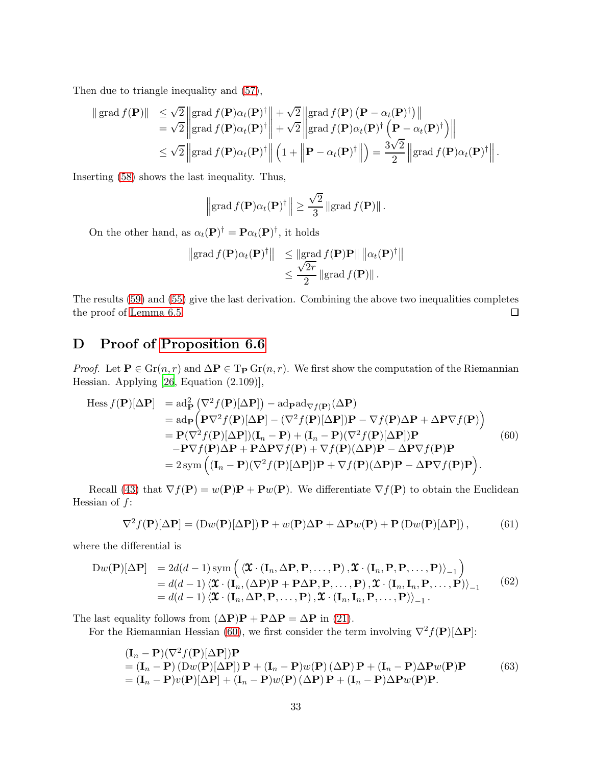Then due to triangle inequality and [\(57\)](#page-31-4),

$$
\|\operatorname{grad} f(\mathbf{P})\| \leq \sqrt{2} \left\| \operatorname{grad} f(\mathbf{P}) \alpha_t(\mathbf{P})^{\dagger} \right\| + \sqrt{2} \left\| \operatorname{grad} f(\mathbf{P}) (\mathbf{P} - \alpha_t(\mathbf{P})^{\dagger}) \right\|
$$
  
\n
$$
= \sqrt{2} \left\| \operatorname{grad} f(\mathbf{P}) \alpha_t(\mathbf{P})^{\dagger} \right\| + \sqrt{2} \left\| \operatorname{grad} f(\mathbf{P}) \alpha_t(\mathbf{P})^{\dagger} (\mathbf{P} - \alpha_t(\mathbf{P})^{\dagger}) \right\|
$$
  
\n
$$
\leq \sqrt{2} \left\| \operatorname{grad} f(\mathbf{P}) \alpha_t(\mathbf{P})^{\dagger} \right\| (1 + \left\| \mathbf{P} - \alpha_t(\mathbf{P})^{\dagger} \right\|) = \frac{3\sqrt{2}}{2} \left\| \operatorname{grad} f(\mathbf{P}) \alpha_t(\mathbf{P})^{\dagger} \right\|.
$$

Inserting [\(58\)](#page-31-5) shows the last inequality. Thus,

$$
\left\| \operatorname{grad} f(\mathbf{P}) \alpha_t(\mathbf{P})^{\dagger} \right\| \geq \frac{\sqrt{2}}{3} \left\| \operatorname{grad} f(\mathbf{P}) \right\|.
$$

On the other hand, as  $\alpha_t(\mathbf{P})^{\dagger} = \mathbf{P}\alpha_t(\mathbf{P})^{\dagger}$ , it holds

$$
\|\operatorname{grad} f(\mathbf{P})\alpha_t(\mathbf{P})^{\dagger}\| \leq \|\operatorname{grad} f(\mathbf{P})\mathbf{P}\| \|\alpha_t(\mathbf{P})^{\dagger}\|
$$
  

$$
\leq \frac{\sqrt{2r}}{2} \|\operatorname{grad} f(\mathbf{P})\|.
$$

The results [\(59\)](#page-31-6) and [\(55\)](#page-31-2) give the last derivation. Combining the above two inequalities completes the proof of [Lemma 6.5.](#page-18-3)  $\Box$ 

# <span id="page-32-0"></span>D Proof of [Proposition 6.6](#page-21-1)

*Proof.* Let  $P \in \text{Gr}(n, r)$  and  $\Delta P \in \text{Tr}(n, r)$ . We first show the computation of the Riemannian Hessian. Applying [\[26](#page-25-15), Equation (2.109)],

<span id="page-32-1"></span>
$$
\begin{split} \text{Hess}\,f(\mathbf{P})[\Delta \mathbf{P}] &= \text{ad}_{\mathbf{P}}^2 \left( \nabla^2 f(\mathbf{P})[\Delta \mathbf{P}] \right) - \text{ad}_{\mathbf{P}} \text{ad}_{\nabla f(\mathbf{P})}(\Delta \mathbf{P}) \\ &= \text{ad}_{\mathbf{P}} \left( \mathbf{P} \nabla^2 f(\mathbf{P})[\Delta \mathbf{P}] - (\nabla^2 f(\mathbf{P})[\Delta \mathbf{P}]) \mathbf{P} - \nabla f(\mathbf{P}) \Delta \mathbf{P} + \Delta \mathbf{P} \nabla f(\mathbf{P}) \right) \\ &= \mathbf{P}(\nabla^2 f(\mathbf{P})[\Delta \mathbf{P}])(\mathbf{I}_n - \mathbf{P}) + (\mathbf{I}_n - \mathbf{P})(\nabla^2 f(\mathbf{P})[\Delta \mathbf{P}]) \mathbf{P} \\ &- \mathbf{P} \nabla f(\mathbf{P}) \Delta \mathbf{P} + \mathbf{P} \Delta \mathbf{P} \nabla f(\mathbf{P}) + \nabla f(\mathbf{P})(\Delta \mathbf{P}) \mathbf{P} - \Delta \mathbf{P} \nabla f(\mathbf{P}) \mathbf{P} \\ &= 2 \text{sym} \left( (\mathbf{I}_n - \mathbf{P})(\nabla^2 f(\mathbf{P})[\Delta \mathbf{P}]) \mathbf{P} + \nabla f(\mathbf{P})(\Delta \mathbf{P}) \mathbf{P} - \Delta \mathbf{P} \nabla f(\mathbf{P}) \mathbf{P} \right). \end{split} \tag{60}
$$

Recall [\(43\)](#page-28-4) that  $\nabla f(\mathbf{P}) = w(\mathbf{P})\mathbf{P} + \mathbf{P}w(\mathbf{P})$ . We differentiate  $\nabla f(\mathbf{P})$  to obtain the Euclidean Hessian of  $f$ :

$$
\nabla^2 f(\mathbf{P})[\Delta \mathbf{P}] = (\mathbf{D}w(\mathbf{P})[\Delta \mathbf{P}])\mathbf{P} + w(\mathbf{P})\Delta \mathbf{P} + \Delta \mathbf{P}w(\mathbf{P}) + \mathbf{P}(\mathbf{D}w(\mathbf{P})[\Delta \mathbf{P}]),\tag{61}
$$

where the differential is

<span id="page-32-2"></span>
$$
Dw(\mathbf{P})[\Delta \mathbf{P}] = 2d(d-1) \operatorname{sym} \left( \langle \mathbf{\mathcal{X}} \cdot (\mathbf{I}_n, \Delta \mathbf{P}, \mathbf{P}, \dots, \mathbf{P}), \mathbf{\mathcal{X}} \cdot (\mathbf{I}_n, \mathbf{P}, \mathbf{P}, \dots, \mathbf{P}) \rangle_{-1} \right) = d(d-1) \langle \mathbf{\mathcal{X}} \cdot (\mathbf{I}_n, (\Delta \mathbf{P})\mathbf{P} + \mathbf{P} \Delta \mathbf{P}, \mathbf{P}, \dots, \mathbf{P}), \mathbf{\mathcal{X}} \cdot (\mathbf{I}_n, \mathbf{I}_n, \mathbf{P}, \dots, \mathbf{P}) \rangle_{-1} = d(d-1) \langle \mathbf{\mathcal{X}} \cdot (\mathbf{I}_n, \Delta \mathbf{P}, \mathbf{P}, \dots, \mathbf{P}), \mathbf{\mathcal{X}} \cdot (\mathbf{I}_n, \mathbf{I}_n, \mathbf{P}, \dots, \mathbf{P}) \rangle_{-1}.
$$
 (62)

The last equality follows from  $(\Delta P)P + P\Delta P = \Delta P$  in [\(21\)](#page-17-5).

For the Riemannian Hessian [\(60\)](#page-32-1), we first consider the term involving  $\nabla^2 f(\mathbf{P})[\Delta \mathbf{P}]$ :

<span id="page-32-3"></span>
$$
(\mathbf{I}_n - \mathbf{P})(\nabla^2 f(\mathbf{P})[\Delta \mathbf{P}])\mathbf{P}
$$
  
= (\mathbf{I}\_n - \mathbf{P})(Dw(\mathbf{P})[\Delta \mathbf{P}])\mathbf{P} + (\mathbf{I}\_n - \mathbf{P})w(\mathbf{P})(\Delta \mathbf{P})\mathbf{P} + (\mathbf{I}\_n - \mathbf{P})\Delta \mathbf{P}w(\mathbf{P})\mathbf{P}  
= (\mathbf{I}\_n - \mathbf{P})v(\mathbf{P})[\Delta \mathbf{P}] + (\mathbf{I}\_n - \mathbf{P})w(\mathbf{P})(\Delta \mathbf{P})\mathbf{P} + (\mathbf{I}\_n - \mathbf{P})\Delta \mathbf{P}w(\mathbf{P})\mathbf{P}. (63)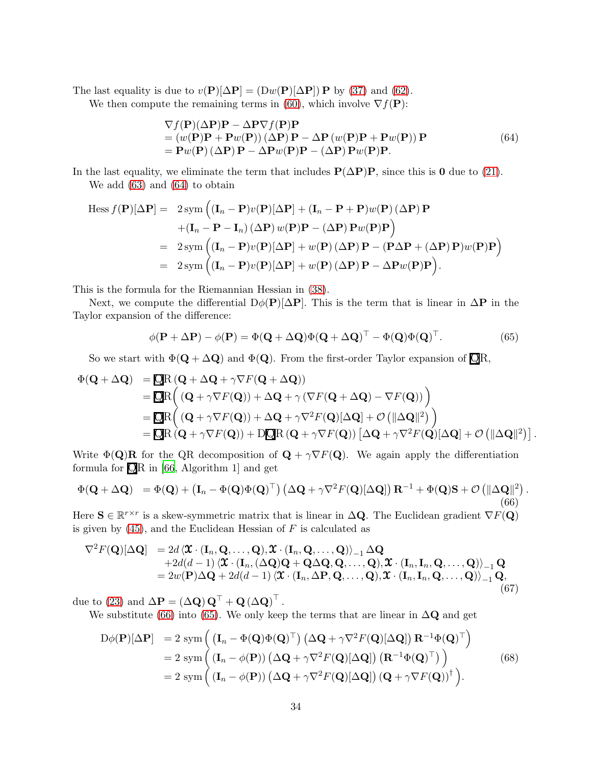The last equality is due to  $v(P)[\Delta P] = (Dw(P)[\Delta P]) P$  by [\(37\)](#page-21-2) and [\(62\)](#page-32-2).

We then compute the remaining terms in [\(60\)](#page-32-1), which involve  $\nabla f(\mathbf{P})$ :

<span id="page-33-0"></span>
$$
\nabla f(\mathbf{P})(\Delta \mathbf{P})\mathbf{P} - \Delta \mathbf{P} \nabla f(\mathbf{P})\mathbf{P}
$$
  
=  $(w(\mathbf{P})\mathbf{P} + \mathbf{P}w(\mathbf{P})) (\Delta \mathbf{P})\mathbf{P} - \Delta \mathbf{P}(w(\mathbf{P})\mathbf{P} + \mathbf{P}w(\mathbf{P}))\mathbf{P}$   
=  $\mathbf{P}w(\mathbf{P})(\Delta \mathbf{P})\mathbf{P} - \Delta \mathbf{P}w(\mathbf{P})\mathbf{P} - (\Delta \mathbf{P})\mathbf{P}w(\mathbf{P})\mathbf{P}.$  (64)

In the last equality, we eliminate the term that includes  $P(\Delta P)P$ , since this is 0 due to [\(21\)](#page-17-5). We add [\(63\)](#page-32-3) and [\(64\)](#page-33-0) to obtain

Hess 
$$
f(\mathbf{P})[\Delta \mathbf{P}] = 2 \text{sym } ((\mathbf{I}_n - \mathbf{P})v(\mathbf{P})[\Delta \mathbf{P}] + (\mathbf{I}_n - \mathbf{P} + \mathbf{P})w(\mathbf{P})(\Delta \mathbf{P})\mathbf{P}
$$
  
  $+ (\mathbf{I}_n - \mathbf{P} - \mathbf{I}_n) (\Delta \mathbf{P})w(\mathbf{P})\mathbf{P} - (\Delta \mathbf{P})\mathbf{P}w(\mathbf{P})\mathbf{P}$   
\n $= 2 \text{sym } ((\mathbf{I}_n - \mathbf{P})v(\mathbf{P})[\Delta \mathbf{P}] + w(\mathbf{P})(\Delta \mathbf{P})\mathbf{P} - (\mathbf{P}\Delta \mathbf{P} + (\Delta \mathbf{P})\mathbf{P})w(\mathbf{P})\mathbf{P}$   
\n $= 2 \text{sym } ((\mathbf{I}_n - \mathbf{P})v(\mathbf{P})[\Delta \mathbf{P}] + w(\mathbf{P})(\Delta \mathbf{P})\mathbf{P} - \Delta \mathbf{P}w(\mathbf{P})\mathbf{P}).$ 

This is the formula for the Riemannian Hessian in [\(38\)](#page-21-3).

Next, we compute the differential  $D\phi(\mathbf{P})[\Delta\mathbf{P}]$ . This is the term that is linear in  $\Delta\mathbf{P}$  in the Taylor expansion of the difference:

<span id="page-33-2"></span>
$$
\phi(\mathbf{P} + \Delta \mathbf{P}) - \phi(\mathbf{P}) = \Phi(\mathbf{Q} + \Delta \mathbf{Q})\Phi(\mathbf{Q} + \Delta \mathbf{Q})^{\top} - \Phi(\mathbf{Q})\Phi(\mathbf{Q})^{\top}.
$$
 (65)

So we start with  $\Phi(\mathbf{Q} + \Delta \mathbf{Q})$  and  $\Phi(\mathbf{Q})$ . From the first-order Taylor expansion of  $\mathbf{QR}$ ,

$$
\begin{aligned} \Phi(\mathbf{Q}+\Delta\mathbf{Q}) &= \mathbf{Q}\mathbf{R}\left(\mathbf{Q}+\Delta\mathbf{Q}+\gamma\nabla F(\mathbf{Q}+\Delta\mathbf{Q})\right) \\ &= \mathbf{Q}\mathbf{R}\Big(\left(\mathbf{Q}+\gamma\nabla F(\mathbf{Q})\right)+\Delta\mathbf{Q}+\gamma\left(\nabla F(\mathbf{Q}+\Delta\mathbf{Q})-\nabla F(\mathbf{Q})\right)\Big) \\ &= \mathbf{Q}\mathbf{R}\Big(\left(\mathbf{Q}+\gamma\nabla F(\mathbf{Q})\right)+\Delta\mathbf{Q}+\gamma\nabla^2 F(\mathbf{Q})[\Delta\mathbf{Q}] + \mathcal{O}\left(\|\Delta\mathbf{Q}\|^2\right)\Big) \\ &= \mathbf{Q}\mathbf{R}\left(\mathbf{Q}+\gamma\nabla F(\mathbf{Q})\right)+\mathbf{D}\mathbf{Q}\mathbf{R}\left(\mathbf{Q}+\gamma\nabla F(\mathbf{Q})\right)\left[\Delta\mathbf{Q}+\gamma\nabla^2 F(\mathbf{Q})[\Delta\mathbf{Q}] + \mathcal{O}\left(\|\Delta\mathbf{Q}\|^2\right)\right]. \end{aligned}
$$

Write  $\Phi(\mathbf{Q})\mathbf{R}$  for the QR decomposition of  $\mathbf{Q} + \gamma \nabla F(\mathbf{Q})$ . We again apply the differentiation formula for  $\overline{QR}$  in [\[66,](#page-28-7) Algorithm 1] and get

<span id="page-33-1"></span>
$$
\Phi(\mathbf{Q} + \Delta \mathbf{Q}) = \Phi(\mathbf{Q}) + \left(\mathbf{I}_n - \Phi(\mathbf{Q})\Phi(\mathbf{Q})^\top\right) \left(\Delta \mathbf{Q} + \gamma \nabla^2 F(\mathbf{Q})[\Delta \mathbf{Q}]\right) \mathbf{R}^{-1} + \Phi(\mathbf{Q})\mathbf{S} + \mathcal{O}\left(\|\Delta \mathbf{Q}\|^2\right).
$$
\n(66)

Here  $S \in \mathbb{R}^{r \times r}$  is a skew-symmetric matrix that is linear in  $\Delta Q$ . The Euclidean gradient  $\nabla F(Q)$ is given by  $(45)$ , and the Euclidean Hessian of F is calculated as

<span id="page-33-4"></span>
$$
\nabla^2 F(\mathbf{Q})[\Delta \mathbf{Q}] = 2d \langle \mathbf{\mathbf{X}} \cdot (\mathbf{I}_n, \mathbf{Q}, \dots, \mathbf{Q}), \mathbf{\mathbf{X}} \cdot (\mathbf{I}_n, \mathbf{Q}, \dots, \mathbf{Q}) \rangle_{-1} \Delta \mathbf{Q} + 2d(d-1) \langle \mathbf{\mathbf{X}} \cdot (\mathbf{I}_n, (\Delta \mathbf{Q})\mathbf{Q} + \mathbf{Q} \Delta \mathbf{Q}, \mathbf{Q}, \dots, \mathbf{Q}), \mathbf{\mathbf{X}} \cdot (\mathbf{I}_n, \mathbf{I}_n, \mathbf{Q}, \dots, \mathbf{Q}) \rangle_{-1} \mathbf{Q} = 2w(\mathbf{P})\Delta \mathbf{Q} + 2d(d-1) \langle \mathbf{\mathbf{X}} \cdot (\mathbf{I}_n, \Delta \mathbf{P}, \mathbf{Q}, \dots, \mathbf{Q}), \mathbf{\mathbf{X}} \cdot (\mathbf{I}_n, \mathbf{I}_n, \mathbf{Q}, \dots, \mathbf{Q}) \rangle_{-1} \mathbf{Q},
$$
\n(67)

due to [\(23\)](#page-18-8) and  $\Delta \mathbf{P} = (\Delta \mathbf{Q}) \mathbf{Q}^{\top} + \mathbf{Q} (\Delta \mathbf{Q})^{\top}$  .

We substitute [\(66\)](#page-33-1) into [\(65\)](#page-33-2). We only keep the terms that are linear in  $\Delta \mathbf{Q}$  and get

<span id="page-33-3"></span>
$$
D\phi(\mathbf{P})[\Delta\mathbf{P}] = 2 \operatorname{sym} \left( (\mathbf{I}_n - \Phi(\mathbf{Q})\Phi(\mathbf{Q})^\top) (\Delta\mathbf{Q} + \gamma \nabla^2 F(\mathbf{Q})[\Delta\mathbf{Q}]) \mathbf{R}^{-1} \Phi(\mathbf{Q})^\top \right)
$$
  
= 2 \operatorname{sym} \left( (\mathbf{I}\_n - \phi(\mathbf{P})) (\Delta\mathbf{Q} + \gamma \nabla^2 F(\mathbf{Q})[\Delta\mathbf{Q}]) (\mathbf{R}^{-1} \Phi(\mathbf{Q})^\top) \right) (68)  
= 2 \operatorname{sym} \left( (\mathbf{I}\_n - \phi(\mathbf{P})) (\Delta\mathbf{Q} + \gamma \nabla^2 F(\mathbf{Q})[\Delta\mathbf{Q}]) (\mathbf{Q} + \gamma \nabla F(\mathbf{Q}))^\dagger \right).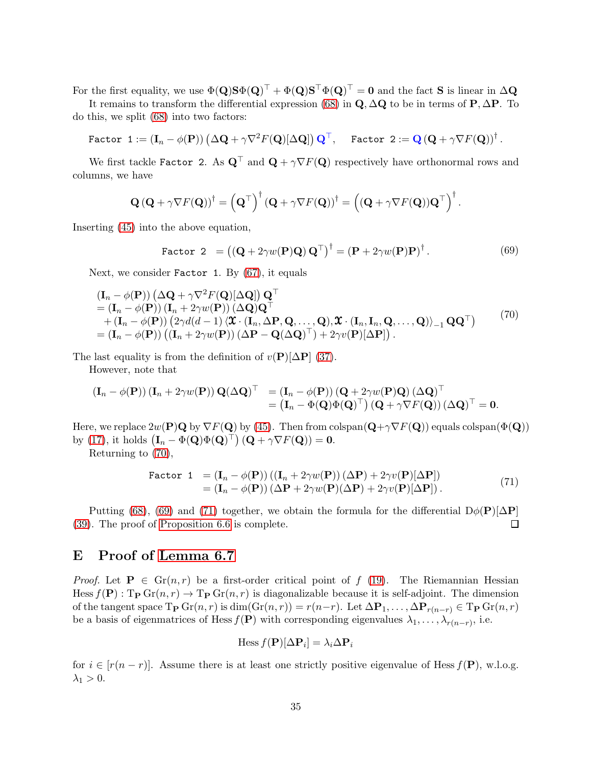For the first equality, we use  $\Phi(\mathbf{Q})\mathbf{S}\Phi(\mathbf{Q})^{\top} + \Phi(\mathbf{Q})\mathbf{S}^{\top}\Phi(\mathbf{Q})^{\top} = \mathbf{0}$  and the fact  $\mathbf{S}$  is linear in  $\Delta \mathbf{Q}$ 

It remains to transform the differential expression [\(68\)](#page-33-3) in  $\mathbf{Q}, \Delta \mathbf{Q}$  to be in terms of P,  $\Delta P$ . To do this, we split [\(68\)](#page-33-3) into two factors:

 $\text{Factor 1} := \left(\mathbf{I}_n - \phi(\mathbf{P})\right) \left(\Delta \mathbf{Q} + \gamma \nabla^2 F(\mathbf{Q})[\Delta \mathbf{Q}]\right) \mathbf{Q}^\top, \quad \text{Factor 2} := \mathbf{Q} \left(\mathbf{Q} + \gamma \nabla F(\mathbf{Q})\right)^\dagger.$ 

We first tackle Factor 2. As  $\mathbf{Q}^{\top}$  and  $\mathbf{Q} + \gamma \nabla F(\mathbf{Q})$  respectively have orthonormal rows and columns, we have

$$
\mathbf{Q}(\mathbf{Q} + \gamma \nabla F(\mathbf{Q}))^{\dagger} = (\mathbf{Q}^{\top})^{\dagger} (\mathbf{Q} + \gamma \nabla F(\mathbf{Q}))^{\dagger} = ((\mathbf{Q} + \gamma \nabla F(\mathbf{Q}))\mathbf{Q}^{\top})^{\dagger}.
$$

Inserting [\(45\)](#page-28-8) into the above equation,

<span id="page-34-2"></span>Factor 2 = 
$$
((\mathbf{Q} + 2\gamma w(\mathbf{P})\mathbf{Q})\mathbf{Q}^{\top})^{\dagger} = (\mathbf{P} + 2\gamma w(\mathbf{P})\mathbf{P})^{\dagger}
$$
. (69)

Next, we consider Factor 1. By [\(67\)](#page-33-4), it equals

<span id="page-34-1"></span>
$$
\begin{array}{ll}\n(\mathbf{I}_n - \phi(\mathbf{P})) \left( \Delta \mathbf{Q} + \gamma \nabla^2 F(\mathbf{Q}) [\Delta \mathbf{Q}] \right) \mathbf{Q}^\top \\
= (\mathbf{I}_n - \phi(\mathbf{P})) \left( \mathbf{I}_n + 2\gamma w(\mathbf{P}) \right) (\Delta \mathbf{Q}) \mathbf{Q}^\top \\
+ (\mathbf{I}_n - \phi(\mathbf{P})) \left( 2\gamma d(d-1) \left( \mathbf{\mathbf{X}} \cdot (\mathbf{I}_n, \Delta \mathbf{P}, \mathbf{Q}, \dots, \mathbf{Q}), \mathbf{\mathbf{X}} \cdot (\mathbf{I}_n, \mathbf{I}_n, \mathbf{Q}, \dots, \mathbf{Q}) \right)_{-1} \mathbf{Q} \mathbf{Q}^\top\n\end{array} \tag{70}
$$
\n
$$
= (\mathbf{I}_n - \phi(\mathbf{P})) \left( (\mathbf{I}_n + 2\gamma w(\mathbf{P})) (\Delta \mathbf{P} - \mathbf{Q} (\Delta \mathbf{Q})^\top) + 2\gamma v(\mathbf{P}) [\Delta \mathbf{P}] \right).
$$

The last equality is from the definition of  $v(P)[\Delta P]$  [\(37\)](#page-21-2).

However, note that

$$
\begin{array}{ll}\n(\mathbf{I}_n - \phi(\mathbf{P})) (\mathbf{I}_n + 2\gamma w(\mathbf{P})) \mathbf{Q}(\Delta \mathbf{Q})^\top & = (\mathbf{I}_n - \phi(\mathbf{P})) (\mathbf{Q} + 2\gamma w(\mathbf{P}) \mathbf{Q}) (\Delta \mathbf{Q})^\top \\
& = (\mathbf{I}_n - \Phi(\mathbf{Q}) \Phi(\mathbf{Q})^\top) (\mathbf{Q} + \gamma \nabla F(\mathbf{Q})) (\Delta \mathbf{Q})^\top = \mathbf{0}.\n\end{array}
$$

Here, we replace  $2w(\mathbf{P})\mathbf{Q}$  by  $\nabla F(\mathbf{Q})$  by [\(45\)](#page-28-8). Then from colspan( $\mathbf{Q}+\gamma\nabla F(\mathbf{Q})$ ) equals colspan( $\Phi(\mathbf{Q})$ ) by [\(17\)](#page-16-2), it holds  $(\mathbf{I}_n - \Phi(\mathbf{Q})\Phi(\mathbf{Q})^\top) (\mathbf{Q} + \gamma \nabla F(\mathbf{Q})) = \mathbf{0}$ .

Returning to [\(70\)](#page-34-1),

<span id="page-34-3"></span>Factor 1 = 
$$
(\mathbf{I}_n - \phi(\mathbf{P})) ((\mathbf{I}_n + 2\gamma w(\mathbf{P})) (\Delta \mathbf{P}) + 2\gamma v(\mathbf{P})[\Delta \mathbf{P}])
$$
  
 =  $(\mathbf{I}_n - \phi(\mathbf{P})) (\Delta \mathbf{P} + 2\gamma w(\mathbf{P})(\Delta \mathbf{P}) + 2\gamma v(\mathbf{P})[\Delta \mathbf{P}]).$  (71)

Putting [\(68\)](#page-33-3), [\(69\)](#page-34-2) and [\(71\)](#page-34-3) together, we obtain the formula for the differential D $\phi(P)[\Delta P]$ [\(39\)](#page-21-4). The proof of [Proposition 6.6](#page-21-1) is complete. 口

### <span id="page-34-0"></span>E Proof of [Lemma 6.7](#page-22-0)

*Proof.* Let  $P \in Gr(n,r)$  be a first-order critical point of f [\(19\)](#page-17-0). The Riemannian Hessian Hess  $f(\mathbf{P}) : \text{Tr } \text{Gr}(n, r) \to \text{Tr } \text{Gr}(n, r)$  is diagonalizable because it is self-adjoint. The dimension of the tangent space  $T_P$  Gr $(n, r)$  is dim $(\text{Gr}(n, r)) = r(n-r)$ . Let  $\Delta P_1, \ldots, \Delta P_{r(n-r)} \in T_P$  Gr $(n, r)$ be a basis of eigenmatrices of Hess  $f(\mathbf{P})$  with corresponding eigenvalues  $\lambda_1, \ldots, \lambda_{r(n-r)}$ , i.e.

$$
\text{Hess } f(\mathbf{P})[\Delta \mathbf{P}_i] = \lambda_i \Delta \mathbf{P}_i
$$

for  $i \in [r(n-r)]$ . Assume there is at least one strictly positive eigenvalue of Hess  $f(\mathbf{P})$ , w.l.o.g.  $\lambda_1 > 0$ .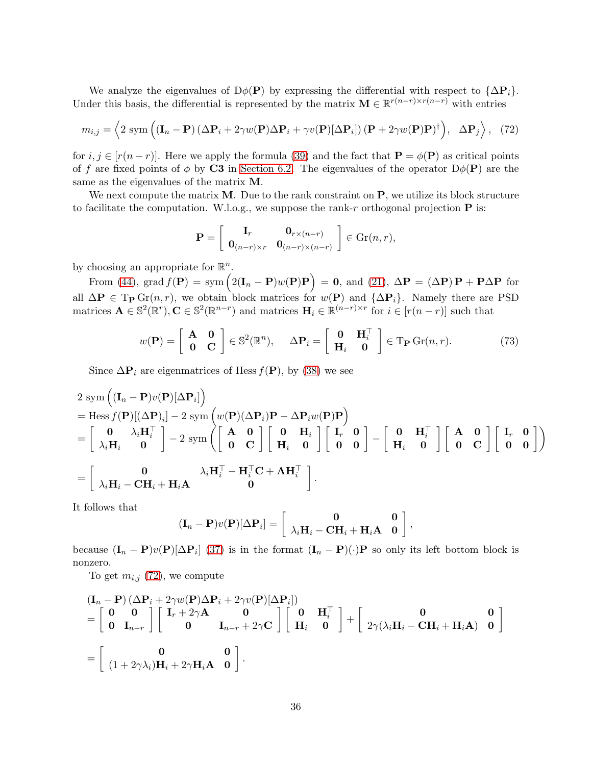We analyze the eigenvalues of D $\phi(\mathbf{P})$  by expressing the differential with respect to  $\{\Delta \mathbf{P}_i\}$ . Under this basis, the differential is represented by the matrix  $\mathbf{M} \in \mathbb{R}^{r(n-r)\times r(n-r)}$  with entries

<span id="page-35-0"></span>
$$
m_{i,j} = \left\langle 2 \operatorname{sym}\left( (\mathbf{I}_n - \mathbf{P}) \left( \Delta \mathbf{P}_i + 2\gamma w(\mathbf{P}) \Delta \mathbf{P}_i + \gamma v(\mathbf{P}) [\Delta \mathbf{P}_i] \right) (\mathbf{P} + 2\gamma w(\mathbf{P}) \mathbf{P})^{\dagger} \right), \Delta \mathbf{P}_j \right\rangle, (72)
$$

for  $i, j \in [r(n-r)]$ . Here we apply the formula [\(39\)](#page-21-4) and the fact that  $\mathbf{P} = \phi(\mathbf{P})$  as critical points of f are fixed points of  $\phi$  by C3 in [Section 6.2.](#page-18-0) The eigenvalues of the operator  $D\phi(\mathbf{P})$  are the same as the eigenvalues of the matrix M.

We next compute the matrix  $M$ . Due to the rank constraint on  $P$ , we utilize its block structure to facilitate the computation. W.l.o.g., we suppose the rank-r orthogonal projection  $P$  is:

$$
\mathbf{P} = \left[ \begin{array}{cc} \mathbf{I}_r & \mathbf{0}_{r \times (n-r)} \\ \mathbf{0}_{(n-r) \times r} & \mathbf{0}_{(n-r) \times (n-r)} \end{array} \right] \in \mathrm{Gr}(n,r),
$$

by choosing an appropriate for  $\mathbb{R}^n$ .

From [\(44\)](#page-28-5), grad  $f(\mathbf{P}) = \text{sym} (2(\mathbf{I}_n - \mathbf{P})w(\mathbf{P})\mathbf{P}) = \mathbf{0}$ , and [\(21\)](#page-17-5),  $\Delta \mathbf{P} = (\Delta \mathbf{P})\mathbf{P} + \mathbf{P}\Delta \mathbf{P}$  for all  $\Delta P \in \mathrm{Tr} \mathrm{Gr}(n, r)$ , we obtain block matrices for  $w(P)$  and  $\{\Delta P_i\}$ . Namely there are PSD matrices  $\mathbf{A} \in \mathbb{S}^2(\mathbb{R}^r), \mathbf{C} \in \mathbb{S}^2(\mathbb{R}^{n-r})$  and matrices  $\mathbf{H}_i \in \mathbb{R}^{(n-r)\times r}$  for  $i \in [r(n-r)]$  such that

$$
w(\mathbf{P}) = \begin{bmatrix} \mathbf{A} & \mathbf{0} \\ \mathbf{0} & \mathbf{C} \end{bmatrix} \in \mathbb{S}^2(\mathbb{R}^n), \quad \Delta \mathbf{P}_i = \begin{bmatrix} \mathbf{0} & \mathbf{H}_i^{\top} \\ \mathbf{H}_i & \mathbf{0} \end{bmatrix} \in \mathrm{T}_{\mathbf{P}} \mathrm{Gr}(n, r). \tag{73}
$$

Since  $\Delta P_i$  are eigenmatrices of Hess  $f(P)$ , by [\(38\)](#page-21-3) we see

$$
2 \operatorname{sym} \left( (\mathbf{I}_n - \mathbf{P}) v(\mathbf{P}) [\Delta \mathbf{P}_i] \right)
$$
  
= Hess  $f(\mathbf{P}) [(\Delta \mathbf{P})_i] - 2 \operatorname{sym} \left( w(\mathbf{P}) (\Delta \mathbf{P}_i) \mathbf{P} - \Delta \mathbf{P}_i w(\mathbf{P}) \mathbf{P} \right)$   
=  $\begin{bmatrix} \mathbf{0} & \lambda_i \mathbf{H}_i^{\top} \\ \lambda_i \mathbf{H}_i & \mathbf{0} \end{bmatrix} - 2 \operatorname{sym} \left( \begin{bmatrix} \mathbf{A} & \mathbf{0} \\ \mathbf{0} & \mathbf{C} \end{bmatrix} \begin{bmatrix} \mathbf{0} & \mathbf{H}_i \\ \mathbf{H}_i & \mathbf{0} \end{bmatrix} \begin{bmatrix} \mathbf{I}_r & \mathbf{0} \\ \mathbf{0} & \mathbf{0} \end{bmatrix} - \begin{bmatrix} \mathbf{0} & \mathbf{H}_i^{\top} \\ \mathbf{H}_i & \mathbf{0} \end{bmatrix} \begin{bmatrix} \mathbf{A} & \mathbf{0} \\ \mathbf{0} & \mathbf{C} \end{bmatrix} \begin{bmatrix} \mathbf{I}_r & \mathbf{0} \\ \mathbf{0} & \mathbf{0} \end{bmatrix} \right)$   
=  $\begin{bmatrix} \mathbf{0} & \lambda_i \mathbf{H}_i^{\top} - \mathbf{H}_i^{\top} \mathbf{C} + \mathbf{A} \mathbf{H}_i^{\top} \\ \lambda_i \mathbf{H}_i - \mathbf{C} \mathbf{H}_i + \mathbf{H}_i \mathbf{A} & \mathbf{0} \end{bmatrix}.$ 

It follows that

$$
(\mathbf{I}_n - \mathbf{P})v(\mathbf{P})[\Delta \mathbf{P}_i] = \begin{bmatrix} \mathbf{0} & \mathbf{0} \\ \lambda_i \mathbf{H}_i - \mathbf{C} \mathbf{H}_i + \mathbf{H}_i \mathbf{A} & \mathbf{0} \end{bmatrix},
$$

because  $(I_n - P)v(P)[\Delta P_i]$  [\(37\)](#page-21-2) is in the format  $(I_n - P)(\cdot)P$  so only its left bottom block is nonzero.

To get  $m_{i,j}$  [\(72\)](#page-35-0), we compute

$$
\begin{split}\n(\mathbf{I}_n - \mathbf{P}) \, (\Delta \mathbf{P}_i + 2\gamma w(\mathbf{P}) \Delta \mathbf{P}_i + 2\gamma v(\mathbf{P}) [\Delta \mathbf{P}_i]) \\
= \begin{bmatrix}\n\mathbf{0} & \mathbf{0} \\
\mathbf{0} & \mathbf{I}_{n-r}\n\end{bmatrix}\n\begin{bmatrix}\n\mathbf{I}_r + 2\gamma \mathbf{A} & \mathbf{0} \\
\mathbf{0} & \mathbf{I}_{n-r} + 2\gamma \mathbf{C}\n\end{bmatrix}\n\begin{bmatrix}\n\mathbf{0} & \mathbf{H}_i^\top \\
\mathbf{H}_i & \mathbf{0}\n\end{bmatrix} + \begin{bmatrix}\n\mathbf{0} & \mathbf{0} \\
2\gamma (\lambda_i \mathbf{H}_i - \mathbf{C} \mathbf{H}_i + \mathbf{H}_i \mathbf{A}) & \mathbf{0}\n\end{bmatrix} \\
= \begin{bmatrix}\n\mathbf{0} & \mathbf{0} \\
(1 + 2\gamma \lambda_i) \mathbf{H}_i + 2\gamma \mathbf{H}_i \mathbf{A} & \mathbf{0}\n\end{bmatrix}.\n\end{split}
$$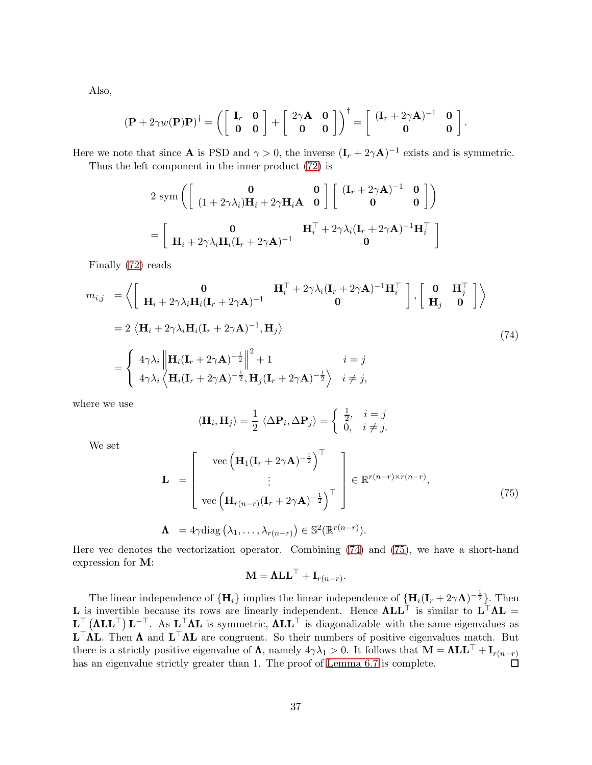Also,

$$
(\mathbf{P} + 2\gamma w(\mathbf{P})\mathbf{P})^{\dagger} = \left( \begin{bmatrix} \mathbf{I}_r & \mathbf{0} \\ \mathbf{0} & \mathbf{0} \end{bmatrix} + \begin{bmatrix} 2\gamma \mathbf{A} & \mathbf{0} \\ \mathbf{0} & \mathbf{0} \end{bmatrix} \right)^{\dagger} = \begin{bmatrix} (\mathbf{I}_r + 2\gamma \mathbf{A})^{-1} & \mathbf{0} \\ \mathbf{0} & \mathbf{0} \end{bmatrix}.
$$

Here we note that since **A** is PSD and  $\gamma > 0$ , the inverse  $(I_r + 2\gamma A)^{-1}$  exists and is symmetric.

Thus the left component in the inner product [\(72\)](#page-35-0) is

$$
2 \operatorname{sym}\left(\begin{bmatrix} \mathbf{0} & \mathbf{0} \\ (1+2\gamma\lambda_i)\mathbf{H}_i + 2\gamma\mathbf{H}_i\mathbf{A} & \mathbf{0} \end{bmatrix} \begin{bmatrix} (\mathbf{I}_r + 2\gamma\mathbf{A})^{-1} & \mathbf{0} \\ \mathbf{0} & \mathbf{0} \end{bmatrix}\right)
$$

$$
= \begin{bmatrix} \mathbf{0} & \mathbf{H}_i^{\top} + 2\gamma\lambda_i(\mathbf{I}_r + 2\gamma\mathbf{A})^{-1}\mathbf{H}_i^{\top} \\ \mathbf{0} & \mathbf{0} \end{bmatrix}
$$

Finally [\(72\)](#page-35-0) reads

<span id="page-36-0"></span>
$$
m_{i,j} = \left\langle \begin{bmatrix} \mathbf{0} & \mathbf{H}_{i}^{\top} + 2\gamma \lambda_{i} (\mathbf{I}_{r} + 2\gamma \mathbf{A})^{-1} \mathbf{H}_{i}^{\top} \\ \mathbf{H}_{i} + 2\gamma \lambda_{i} \mathbf{H}_{i} (\mathbf{I}_{r} + 2\gamma \mathbf{A})^{-1} & \mathbf{0} \end{bmatrix} \right\rangle, \begin{bmatrix} \mathbf{0} & \mathbf{H}_{j}^{\top} \\ \mathbf{H}_{j} & \mathbf{0} \end{bmatrix} \right\rangle
$$
  
= 2  $\langle \mathbf{H}_{i} + 2\gamma \lambda_{i} \mathbf{H}_{i} (\mathbf{I}_{r} + 2\gamma \mathbf{A})^{-1}, \mathbf{H}_{j} \rangle$   
=  $\begin{cases} 4\gamma \lambda_{i} \left\| \mathbf{H}_{i} (\mathbf{I}_{r} + 2\gamma \mathbf{A})^{-\frac{1}{2}} \right\|^{2} + 1 & i = j \\ 4\gamma \lambda_{i} \left\langle \mathbf{H}_{i} (\mathbf{I}_{r} + 2\gamma \mathbf{A})^{-\frac{1}{2}} , \mathbf{H}_{j} (\mathbf{I}_{r} + 2\gamma \mathbf{A})^{-\frac{1}{2}} \right\rangle & i \neq j, \end{cases}$  (74)

where we use

$$
\langle \mathbf{H}_i, \mathbf{H}_j \rangle = \frac{1}{2} \langle \Delta \mathbf{P}_i, \Delta \mathbf{P}_j \rangle = \begin{cases} \frac{1}{2}, & i = j \\ 0, & i \neq j. \end{cases}
$$

We set

<span id="page-36-1"></span>
$$
\mathbf{L} = \begin{bmatrix} \text{vec}\left(\mathbf{H}_1(\mathbf{I}_r + 2\gamma \mathbf{A})^{-\frac{1}{2}}\right)^\top \\ \vdots \\ \text{vec}\left(\mathbf{H}_{r(n-r)}(\mathbf{I}_r + 2\gamma \mathbf{A})^{-\frac{1}{2}}\right)^\top \end{bmatrix} \in \mathbb{R}^{r(n-r) \times r(n-r)},
$$
(75)  

$$
\mathbf{\Lambda} = 4\gamma \text{diag}\left(\lambda_1, \ldots, \lambda_{r(n-r)}\right) \in \mathbb{S}^2(\mathbb{R}^{r(n-r)}).
$$

Here vec denotes the vectorization operator. Combining [\(74\)](#page-36-0) and [\(75\)](#page-36-1), we have a short-hand expression for M:

$$
\mathbf{M}=\mathbf{\Lambda}\mathbf{L}\mathbf{L}^{\top}+\mathbf{I}_{r(n-r)}.
$$

The linear independence of  ${\bf H}_i$  implies the linear independence of  ${\bf H}_i({\bf I}_r + 2\gamma {\bf A})^{-\frac{1}{2}}$ . Then L is invertible because its rows are linearly independent. Hence  $\Lambda L L$ <sup>†</sup> is similar to  $L^{\dagger} \Lambda L =$  $\mathbf{L}^\top (\Lambda \mathbf{L} \mathbf{L}^\top) \mathbf{L}^{-\top}$ . As  $\mathbf{L}^\top \Lambda \mathbf{L}$  is symmetric,  $\Lambda \mathbf{L} \mathbf{L}^\top$  is diagonalizable with the same eigenvalues as  $\mathbf{L}^{\top}$ **ΛL**. Then **Λ** and  $\mathbf{L}^{\top}$ **ΛL** are congruent. So their numbers of positive eigenvalues match. But there is a strictly positive eigenvalue of **Λ**, namely  $4\gamma\lambda_1 > 0$ . It follows that  $\mathbf{M} = \mathbf{\Lambda} \mathbf{L} \mathbf{L}^\top + \mathbf{I}_{r(n-r)}$  has an eigenvalue strictly greater than 1. The proof of Lemma 6.7 is complete. has an eigenvalue strictly greater than 1. The proof of [Lemma](#page-22-0) 6.7 is complete.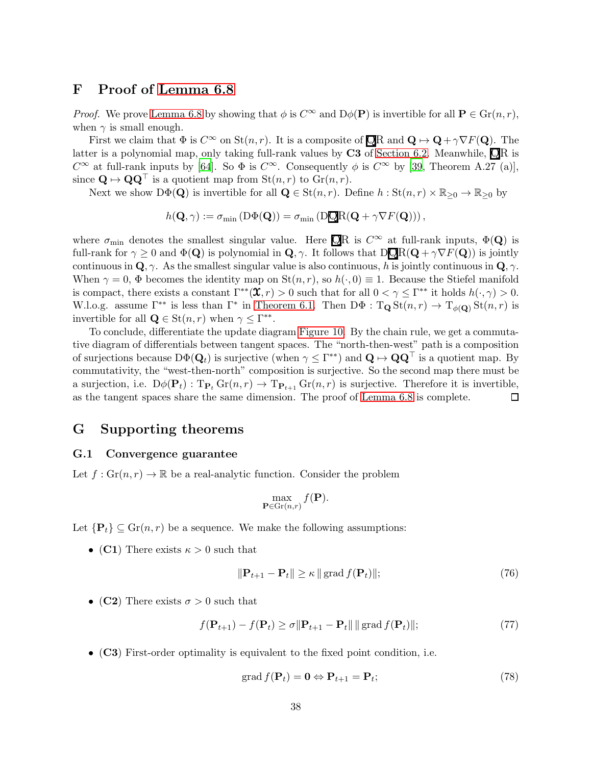### <span id="page-37-3"></span>F Proof of [Lemma 6.8](#page-22-1)

*Proof.* We prove [Lemma 6.8](#page-22-1) by showing that  $\phi$  is  $C^{\infty}$  and  $D\phi(\mathbf{P})$  is invertible for all  $\mathbf{P} \in \text{Gr}(n, r)$ , when  $\gamma$  is small enough.

First we claim that  $\Phi$  is  $C^{\infty}$  on  $\text{St}(n, r)$ . It is a composite of  $\overline{QR}$  and  $\mathbf{Q} \mapsto \mathbf{Q} + \gamma \nabla F(\mathbf{Q})$ . The latter is a polynomial map, only taking full-rank values by  $C3$  of [Section 6.2.](#page-18-0) Meanwhile,  $QR$  is  $C^{\infty}$  at full-rank inputs by [\[64](#page-28-6)]. So  $\Phi$  is  $C^{\infty}$ . Consequently  $\phi$  is  $C^{\infty}$  by [\[39](#page-26-13), Theorem A.27 (a)], since  $\mathbf{Q} \mapsto \mathbf{Q} \mathbf{Q}^{\top}$  is a quotient map from  $\text{St}(n, r)$  to  $\text{Gr}(n, r)$ .

Next we show  $D\Phi(\mathbf{Q})$  is invertible for all  $\mathbf{Q} \in \text{St}(n,r)$ . Define  $h : \text{St}(n,r) \times \mathbb{R}_{\geq 0} \to \mathbb{R}_{\geq 0}$  by

$$
h(\mathbf{Q}, \gamma) := \sigma_{\min} \left( D\Phi(\mathbf{Q}) \right) = \sigma_{\min} \left( D\mathbf{Q}R(\mathbf{Q} + \gamma \nabla F(\mathbf{Q})) \right),
$$

where  $\sigma_{\min}$  denotes the smallest singular value. Here  $\overline{QR}$  is  $C^{\infty}$  at full-rank inputs,  $\Phi(Q)$  is full-rank for  $\gamma \geq 0$  and  $\Phi(\mathbf{Q})$  is polynomial in  $\mathbf{Q}, \gamma$ . It follows that  $D\overline{\mathbf{Q}}R(\mathbf{Q} + \gamma \nabla F(\mathbf{Q}))$  is jointly continuous in  $\mathbf{Q}, \gamma$ . As the smallest singular value is also continuous, h is jointly continuous in  $\mathbf{Q}, \gamma$ . When  $\gamma = 0$ ,  $\Phi$  becomes the identity map on  $St(n, r)$ , so  $h(\cdot, 0) \equiv 1$ . Because the Stiefel manifold is compact, there exists a constant  $\Gamma^{**}(\mathbf{x}, r) > 0$  such that for all  $0 < \gamma \leq \Gamma^{**}$  it holds  $h(\cdot, \gamma) > 0$ . W.l.o.g. assume  $\Gamma^{**}$  is less than  $\Gamma^*$  in [Theorem 6.1.](#page-17-3) Then  $D\Phi : T_{\mathbf{Q}} \text{St}(n,r) \to T_{\phi(\mathbf{Q})} \text{St}(n,r)$  is invertible for all  $\mathbf{Q} \in \text{St}(n, r)$  when  $\gamma \leq \Gamma^{**}$ .

To conclude, differentiate the update diagram [Figure 10.](#page-17-6) By the chain rule, we get a commutative diagram of differentials between tangent spaces. The "north-then-west" path is a composition of surjections because  $D\Phi(\mathbf{Q}_t)$  is surjective (when  $\gamma \leq \Gamma^{**}$ ) and  $\mathbf{Q} \mapsto \mathbf{Q}\mathbf{Q}^{\top}$  is a quotient map. By commutativity, the "west-then-north" composition is surjective. So the second map there must be a surjection, i.e.  $D\phi(\mathbf{P}_t) : \mathrm{T}_{\mathbf{P}_t} \mathrm{Gr}(n, r) \to \mathrm{T}_{\mathbf{P}_{t+1}} \mathrm{Gr}(n, r)$  is surjective. Therefore it is invertible, as the tangent spaces share the same dimension. The proof of Lemma 6.8 is complete. as the tangent spaces share the same dimension. The proof of [Lemma 6.8](#page-22-1) is complete.

### <span id="page-37-0"></span>G Supporting theorems

#### G.1 Convergence guarantee

Let  $f: Gr(n,r) \to \mathbb{R}$  be a real-analytic function. Consider the problem

$$
\max_{\mathbf{P}\in \mathrm{Gr}(n,r)} f(\mathbf{P}).
$$

Let  $\{P_t\} \subset \mathrm{Gr}(n, r)$  be a sequence. We make the following assumptions:

• (C1) There exists  $\kappa > 0$  such that

<span id="page-37-1"></span>
$$
\|\mathbf{P}_{t+1} - \mathbf{P}_t\| \ge \kappa \|\operatorname{grad} f(\mathbf{P}_t)\|; \tag{76}
$$

• (C2) There exists  $\sigma > 0$  such that

<span id="page-37-2"></span>
$$
f(\mathbf{P}_{t+1}) - f(\mathbf{P}_t) \ge \sigma \|\mathbf{P}_{t+1} - \mathbf{P}_t\| \|\operatorname{grad} f(\mathbf{P}_t)\|; \tag{77}
$$

• (C3) First-order optimality is equivalent to the fixed point condition, i.e.

$$
\operatorname{grad} f(\mathbf{P}_t) = \mathbf{0} \Leftrightarrow \mathbf{P}_{t+1} = \mathbf{P}_t; \tag{78}
$$